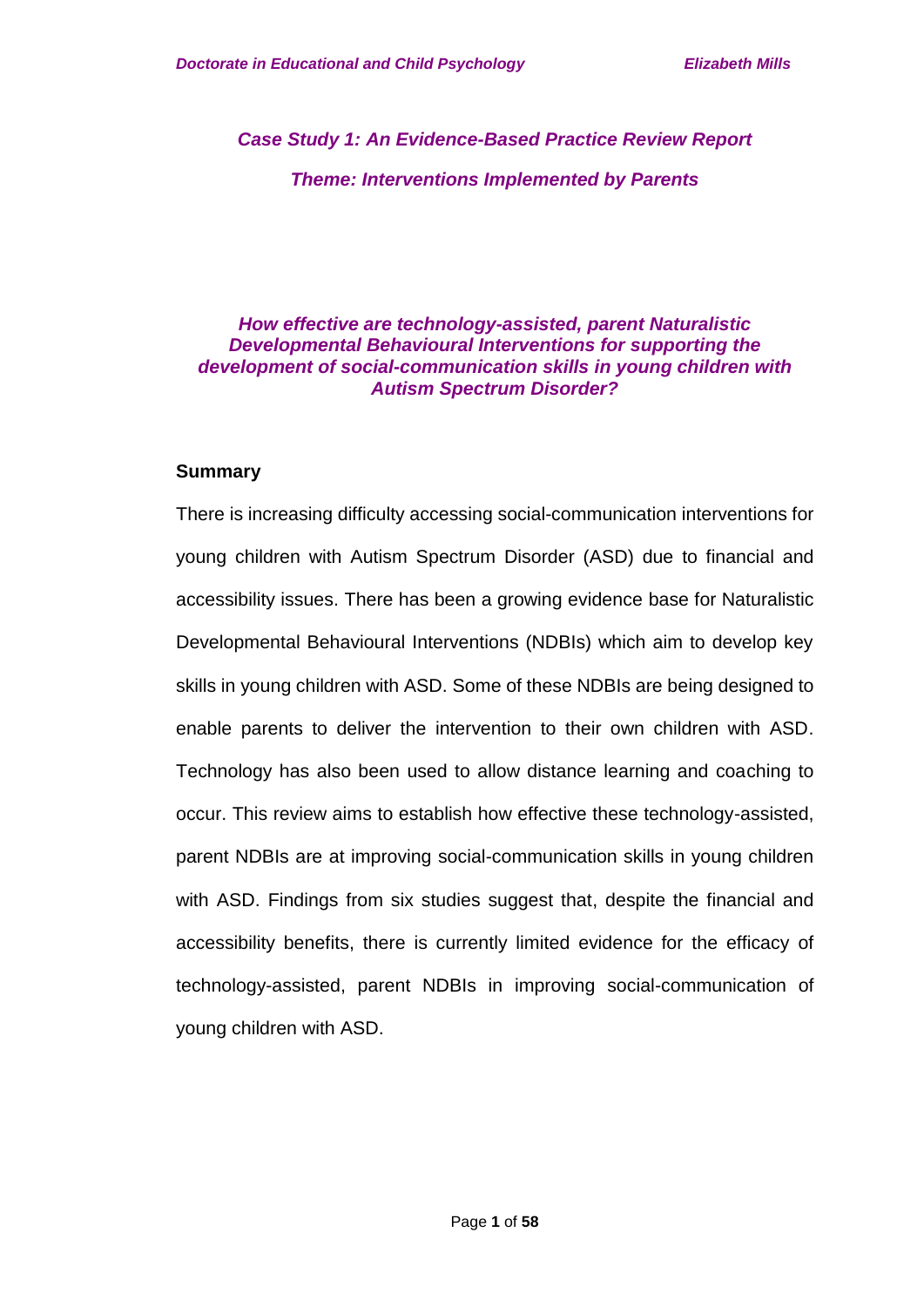*Case Study 1: An Evidence-Based Practice Review Report Theme: Interventions Implemented by Parents* 

### *How effective are technology-assisted, parent Naturalistic Developmental Behavioural Interventions for supporting the development of social-communication skills in young children with Autism Spectrum Disorder?*

#### **Summary**

There is increasing difficulty accessing social-communication interventions for young children with Autism Spectrum Disorder (ASD) due to financial and accessibility issues. There has been a growing evidence base for Naturalistic Developmental Behavioural Interventions (NDBIs) which aim to develop key skills in young children with ASD. Some of these NDBIs are being designed to enable parents to deliver the intervention to their own children with ASD. Technology has also been used to allow distance learning and coaching to occur. This review aims to establish how effective these technology-assisted, parent NDBIs are at improving social-communication skills in young children with ASD. Findings from six studies suggest that, despite the financial and accessibility benefits, there is currently limited evidence for the efficacy of technology-assisted, parent NDBIs in improving social-communication of young children with ASD.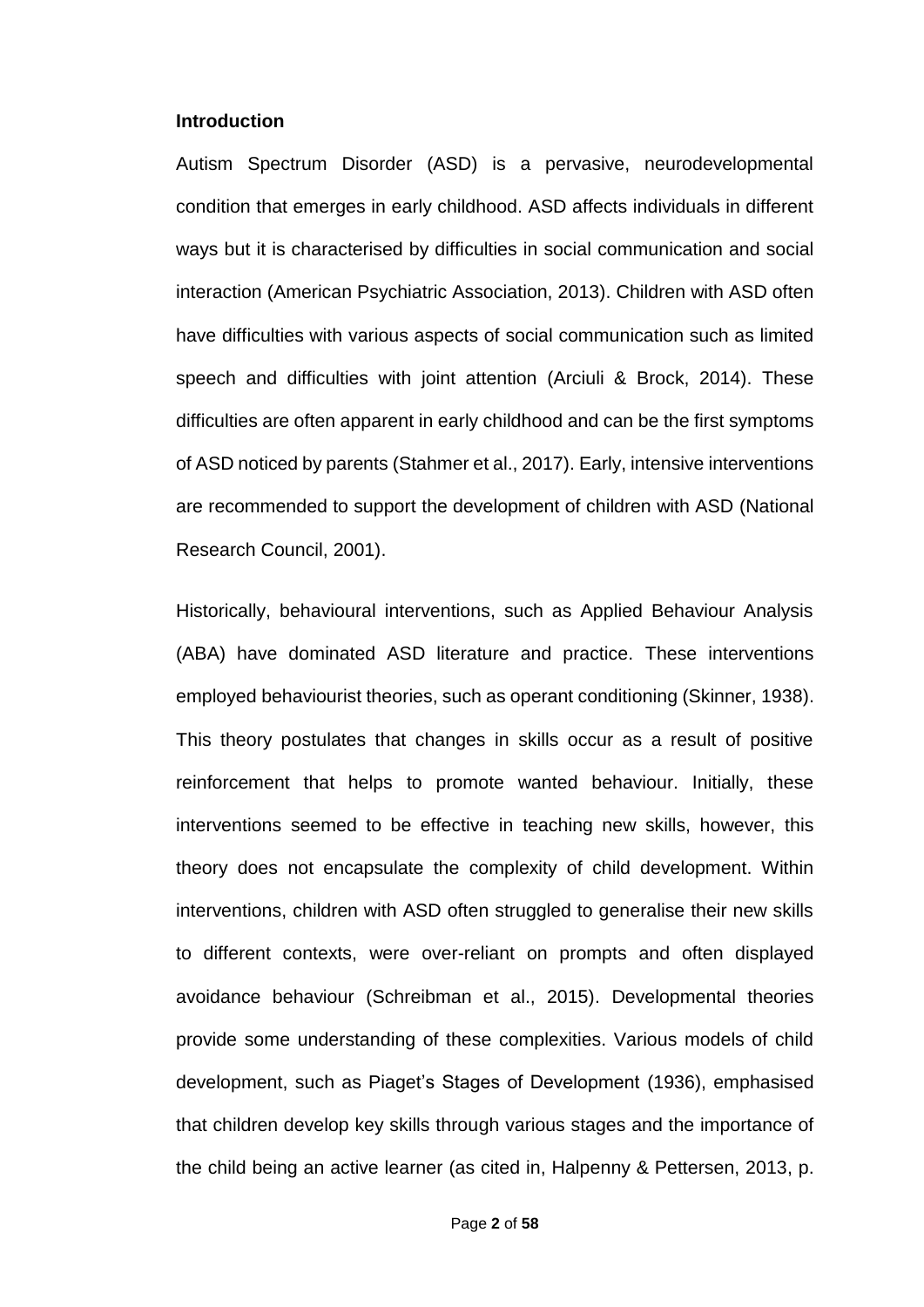#### **Introduction**

Autism Spectrum Disorder (ASD) is a pervasive, neurodevelopmental condition that emerges in early childhood. ASD affects individuals in different ways but it is characterised by difficulties in social communication and social interaction (American Psychiatric Association, 2013). Children with ASD often have difficulties with various aspects of social communication such as limited speech and difficulties with joint attention (Arciuli & Brock, 2014). These difficulties are often apparent in early childhood and can be the first symptoms of ASD noticed by parents (Stahmer et al., 2017). Early, intensive interventions are recommended to support the development of children with ASD (National Research Council, 2001).

Historically, behavioural interventions, such as Applied Behaviour Analysis (ABA) have dominated ASD literature and practice. These interventions employed behaviourist theories, such as operant conditioning (Skinner, 1938). This theory postulates that changes in skills occur as a result of positive reinforcement that helps to promote wanted behaviour. Initially, these interventions seemed to be effective in teaching new skills, however, this theory does not encapsulate the complexity of child development. Within interventions, children with ASD often struggled to generalise their new skills to different contexts, were over-reliant on prompts and often displayed avoidance behaviour (Schreibman et al., 2015). Developmental theories provide some understanding of these complexities. Various models of child development, such as Piaget's Stages of Development (1936), emphasised that children develop key skills through various stages and the importance of the child being an active learner (as cited in, Halpenny & Pettersen, 2013, p.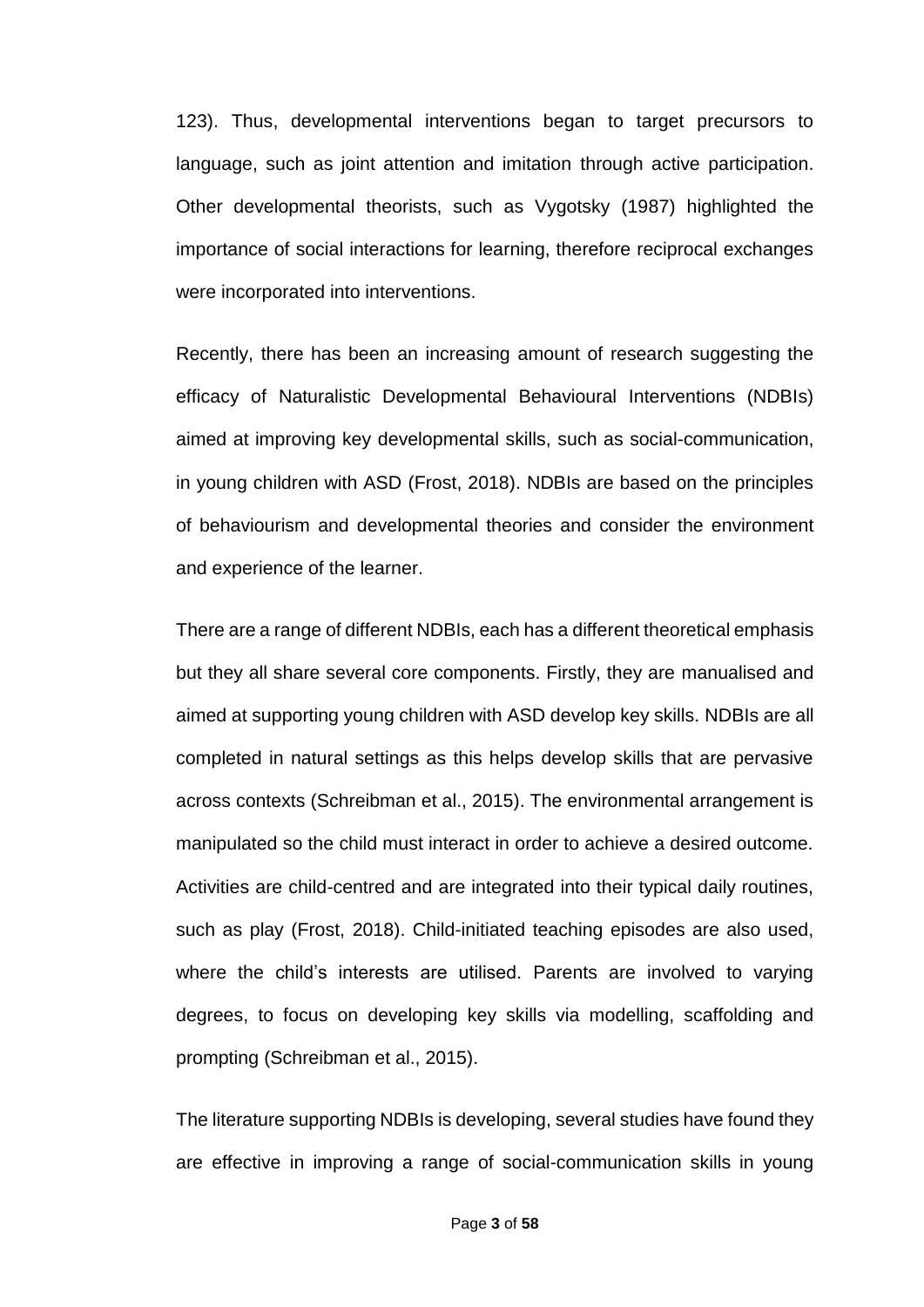123). Thus, developmental interventions began to target precursors to language, such as joint attention and imitation through active participation. Other developmental theorists, such as Vygotsky (1987) highlighted the importance of social interactions for learning, therefore reciprocal exchanges were incorporated into interventions.

Recently, there has been an increasing amount of research suggesting the efficacy of Naturalistic Developmental Behavioural Interventions (NDBIs) aimed at improving key developmental skills, such as social-communication, in young children with ASD (Frost, 2018). NDBIs are based on the principles of behaviourism and developmental theories and consider the environment and experience of the learner.

There are a range of different NDBIs, each has a different theoretical emphasis but they all share several core components. Firstly, they are manualised and aimed at supporting young children with ASD develop key skills. NDBIs are all completed in natural settings as this helps develop skills that are pervasive across contexts (Schreibman et al., 2015). The environmental arrangement is manipulated so the child must interact in order to achieve a desired outcome. Activities are child-centred and are integrated into their typical daily routines, such as play (Frost, 2018). Child-initiated teaching episodes are also used, where the child's interests are utilised. Parents are involved to varying degrees, to focus on developing key skills via modelling, scaffolding and prompting (Schreibman et al., 2015).

The literature supporting NDBIs is developing, several studies have found they are effective in improving a range of social-communication skills in young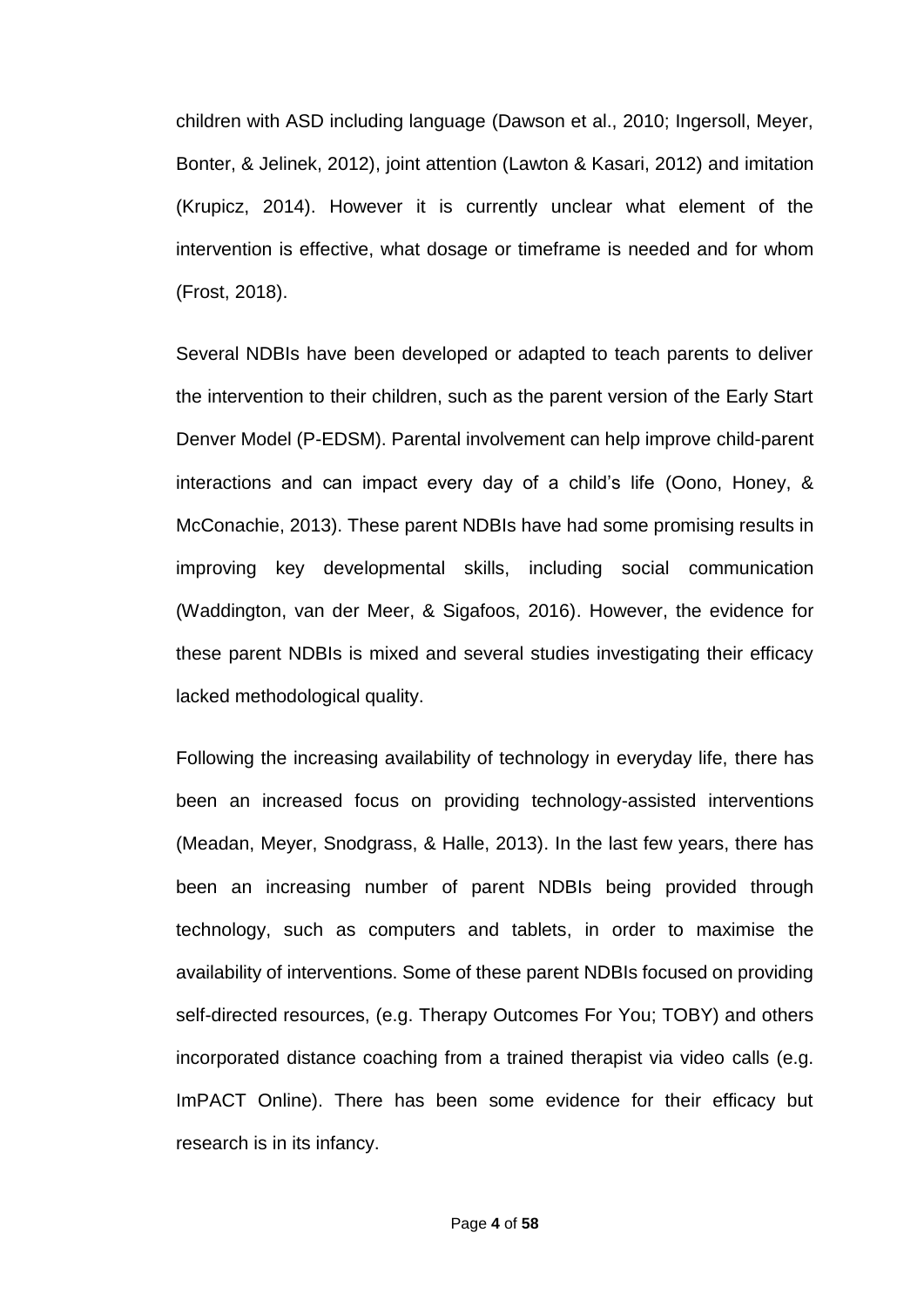children with ASD including language (Dawson et al., 2010; Ingersoll, Meyer, Bonter, & Jelinek, 2012), joint attention (Lawton & Kasari, 2012) and imitation (Krupicz, 2014). However it is currently unclear what element of the intervention is effective, what dosage or timeframe is needed and for whom (Frost, 2018).

Several NDBIs have been developed or adapted to teach parents to deliver the intervention to their children, such as the parent version of the Early Start Denver Model (P-EDSM). Parental involvement can help improve child-parent interactions and can impact every day of a child's life (Oono, Honey, & McConachie, 2013). These parent NDBIs have had some promising results in improving key developmental skills, including social communication (Waddington, van der Meer, & Sigafoos, 2016). However, the evidence for these parent NDBIs is mixed and several studies investigating their efficacy lacked methodological quality.

Following the increasing availability of technology in everyday life, there has been an increased focus on providing technology-assisted interventions (Meadan, Meyer, Snodgrass, & Halle, 2013). In the last few years, there has been an increasing number of parent NDBIs being provided through technology, such as computers and tablets, in order to maximise the availability of interventions. Some of these parent NDBIs focused on providing self-directed resources, (e.g. Therapy Outcomes For You; TOBY) and others incorporated distance coaching from a trained therapist via video calls (e.g. ImPACT Online). There has been some evidence for their efficacy but research is in its infancy.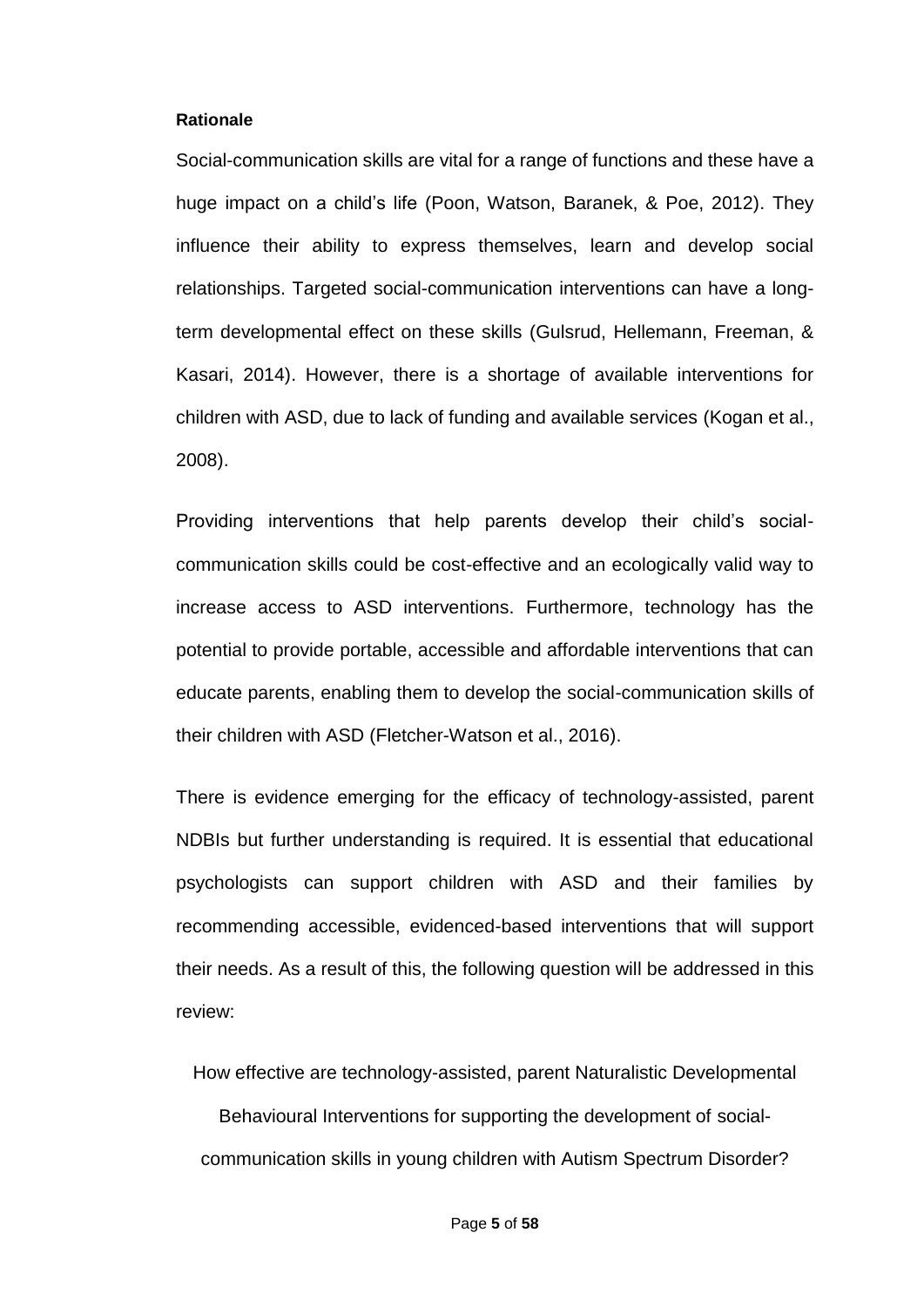#### **Rationale**

Social-communication skills are vital for a range of functions and these have a huge impact on a child's life (Poon, Watson, Baranek, & Poe, 2012). They influence their ability to express themselves, learn and develop social relationships. Targeted social-communication interventions can have a longterm developmental effect on these skills (Gulsrud, Hellemann, Freeman, & Kasari, 2014). However, there is a shortage of available interventions for children with ASD, due to lack of funding and available services (Kogan et al., 2008).

Providing interventions that help parents develop their child's socialcommunication skills could be cost-effective and an ecologically valid way to increase access to ASD interventions. Furthermore, technology has the potential to provide portable, accessible and affordable interventions that can educate parents, enabling them to develop the social-communication skills of their children with ASD (Fletcher-Watson et al., 2016).

There is evidence emerging for the efficacy of technology-assisted, parent NDBIs but further understanding is required. It is essential that educational psychologists can support children with ASD and their families by recommending accessible, evidenced-based interventions that will support their needs. As a result of this, the following question will be addressed in this review:

How effective are technology-assisted, parent Naturalistic Developmental

Behavioural Interventions for supporting the development of socialcommunication skills in young children with Autism Spectrum Disorder?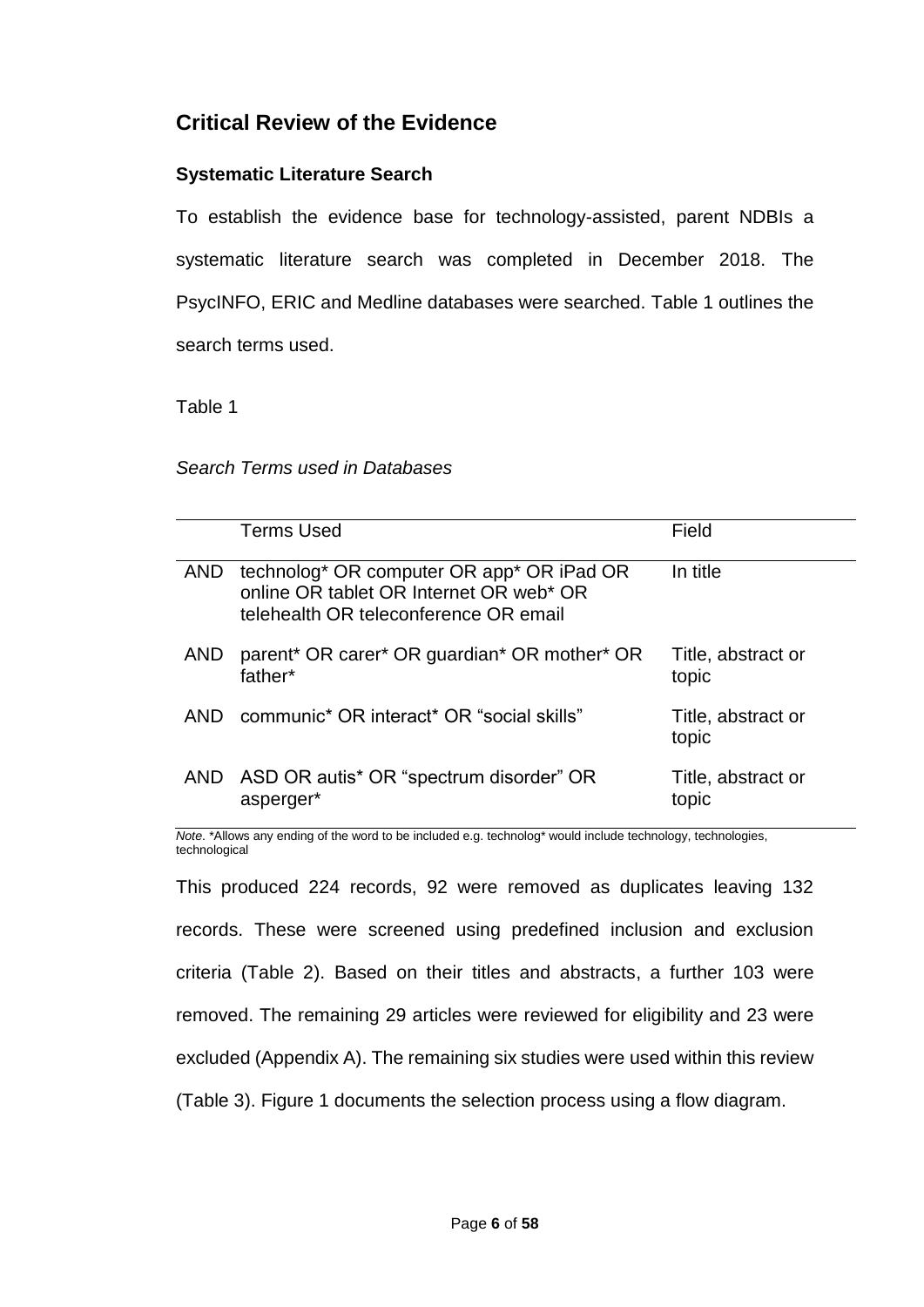# **Critical Review of the Evidence**

### **Systematic Literature Search**

To establish the evidence base for technology-assisted, parent NDBIs a systematic literature search was completed in December 2018. The PsycINFO, ERIC and Medline databases were searched. Table 1 outlines the search terms used.

Table 1

### *Search Terms used in Databases*

|            | <b>Terms Used</b>                                                                                                             | Field                       |
|------------|-------------------------------------------------------------------------------------------------------------------------------|-----------------------------|
| <b>AND</b> | technolog* OR computer OR app* OR iPad OR<br>online OR tablet OR Internet OR web* OR<br>telehealth OR teleconference OR email | In title                    |
| AND        | parent* OR carer* OR guardian* OR mother* OR<br>father*                                                                       | Title, abstract or<br>topic |
| AND.       | communic* OR interact* OR "social skills"                                                                                     | Title, abstract or<br>topic |
|            | AND ASD OR autis* OR "spectrum disorder" OR<br>asperger*                                                                      | Title, abstract or<br>topic |

*Note*. \*Allows any ending of the word to be included e.g. technolog\* would include technology, technologies, technological

This produced 224 records, 92 were removed as duplicates leaving 132 records. These were screened using predefined inclusion and exclusion criteria (Table 2). Based on their titles and abstracts, a further 103 were removed. The remaining 29 articles were reviewed for eligibility and 23 were excluded (Appendix A). The remaining six studies were used within this review (Table 3). Figure 1 documents the selection process using a flow diagram.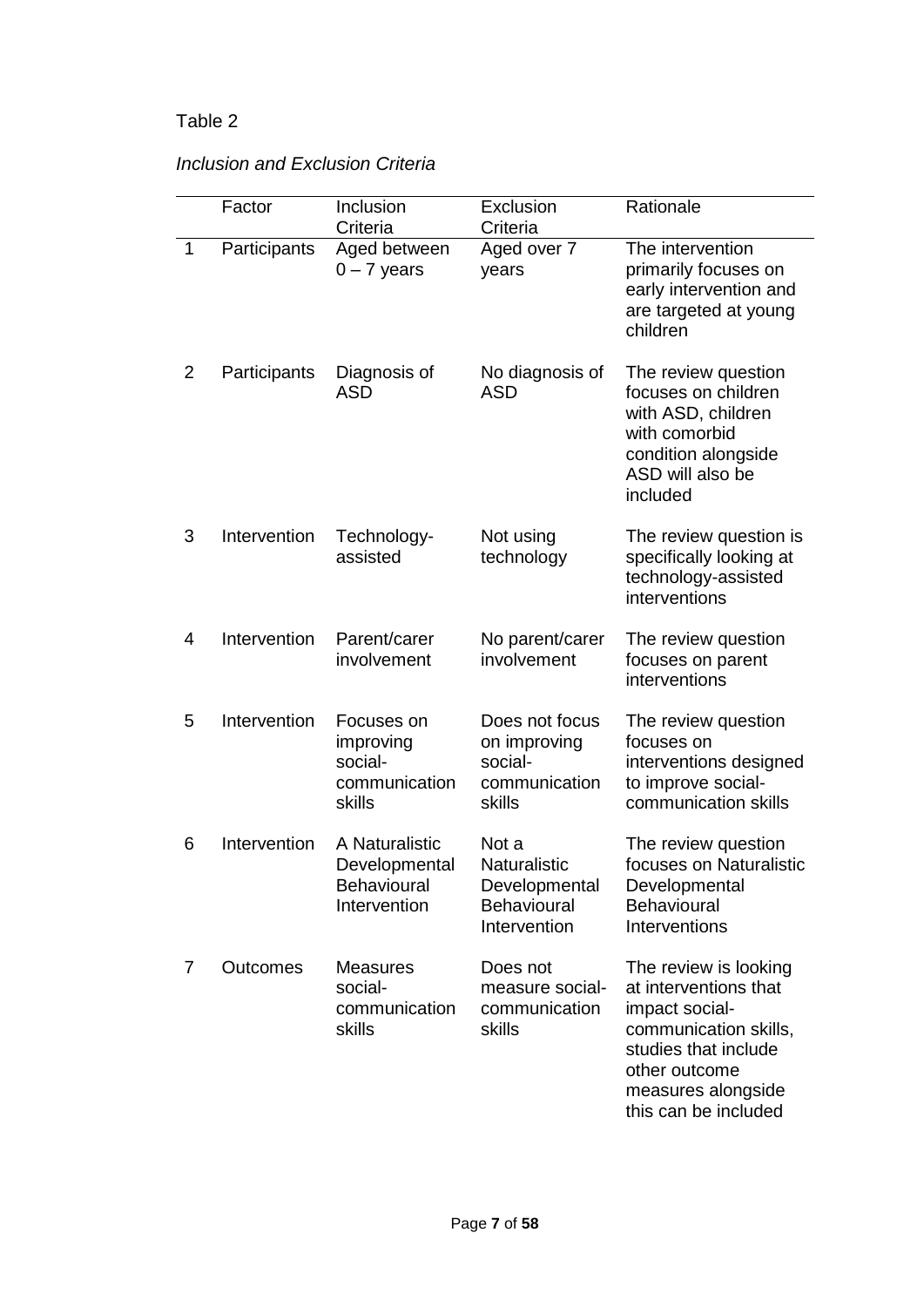|                | Factor       | Inclusion<br>Criteria                                                 | Exclusion<br>Criteria                                                               | Rationale                                                                                                                                                                        |
|----------------|--------------|-----------------------------------------------------------------------|-------------------------------------------------------------------------------------|----------------------------------------------------------------------------------------------------------------------------------------------------------------------------------|
| 1              | Participants | Aged between<br>$0 - 7$ years                                         | Aged over 7<br>years                                                                | The intervention<br>primarily focuses on<br>early intervention and<br>are targeted at young<br>children                                                                          |
| 2              | Participants | Diagnosis of<br><b>ASD</b>                                            | No diagnosis of<br><b>ASD</b>                                                       | The review question<br>focuses on children<br>with ASD, children<br>with comorbid<br>condition alongside<br>ASD will also be<br>included                                         |
| 3              | Intervention | Technology-<br>assisted                                               | Not using<br>technology                                                             | The review question is<br>specifically looking at<br>technology-assisted<br>interventions                                                                                        |
| $\overline{4}$ | Intervention | Parent/carer<br>involvement                                           | No parent/carer<br>involvement                                                      | The review question<br>focuses on parent<br>interventions                                                                                                                        |
| 5              | Intervention | Focuses on<br>improving<br>social-<br>communication<br>skills         | Does not focus<br>on improving<br>social-<br>communication<br>skills                | The review question<br>focuses on<br>interventions designed<br>to improve social-<br>communication skills                                                                        |
| 6              | Intervention | A Naturalistic<br>Developmental<br><b>Behavioural</b><br>Intervention | Not a<br><b>Naturalistic</b><br>Developmental<br><b>Behavioural</b><br>Intervention | The review question<br>focuses on Naturalistic<br>Developmental<br><b>Behavioural</b><br>Interventions                                                                           |
| 7              | Outcomes     | <b>Measures</b><br>social-<br>communication<br>skills                 | Does not<br>measure social-<br>communication<br>skills                              | The review is looking<br>at interventions that<br>impact social-<br>communication skills,<br>studies that include<br>other outcome<br>measures alongside<br>this can be included |

## *Inclusion and Exclusion Criteria*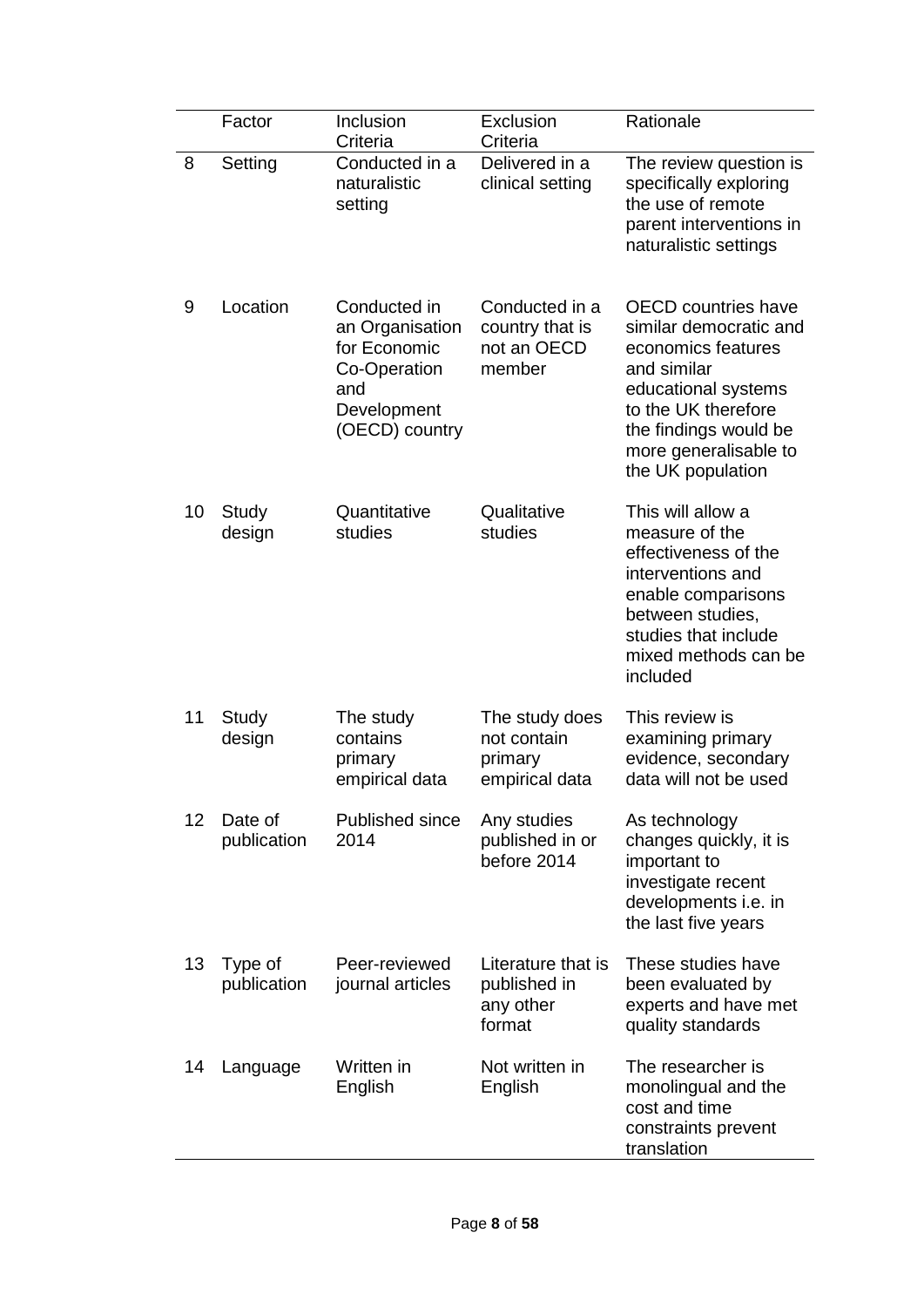|    | Factor                 | Inclusion<br>Criteria                                                                                   | Exclusion<br>Criteria                                      | Rationale                                                                                                                                                                                                      |
|----|------------------------|---------------------------------------------------------------------------------------------------------|------------------------------------------------------------|----------------------------------------------------------------------------------------------------------------------------------------------------------------------------------------------------------------|
| 8  | Setting                | Conducted in a<br>naturalistic<br>setting                                                               | Delivered in a<br>clinical setting                         | The review question is<br>specifically exploring<br>the use of remote<br>parent interventions in<br>naturalistic settings                                                                                      |
| 9  | Location               | Conducted in<br>an Organisation<br>for Economic<br>Co-Operation<br>and<br>Development<br>(OECD) country | Conducted in a<br>country that is<br>not an OECD<br>member | <b>OECD</b> countries have<br>similar democratic and<br>economics features<br>and similar<br>educational systems<br>to the UK therefore<br>the findings would be<br>more generalisable to<br>the UK population |
| 10 | Study<br>design        | Quantitative<br>studies                                                                                 | Qualitative<br>studies                                     | This will allow a<br>measure of the<br>effectiveness of the<br>interventions and<br>enable comparisons<br>between studies,<br>studies that include<br>mixed methods can be<br>included                         |
| 11 | Study<br>design        | The study<br>contains<br>primary<br>empirical data                                                      | The study does<br>not contain<br>primary<br>empirical data | This review is<br>examining primary<br>evidence, secondary<br>data will not be used                                                                                                                            |
| 12 | Date of<br>publication | <b>Published since</b><br>2014                                                                          | Any studies<br>published in or<br>before 2014              | As technology<br>changes quickly, it is<br>important to<br>investigate recent<br>developments i.e. in<br>the last five years                                                                                   |
| 13 | Type of<br>publication | Peer-reviewed<br>journal articles                                                                       | Literature that is<br>published in<br>any other<br>format  | These studies have<br>been evaluated by<br>experts and have met<br>quality standards                                                                                                                           |
| 14 | Language               | Written in<br>English                                                                                   | Not written in<br>English                                  | The researcher is<br>monolingual and the<br>cost and time<br>constraints prevent<br>translation                                                                                                                |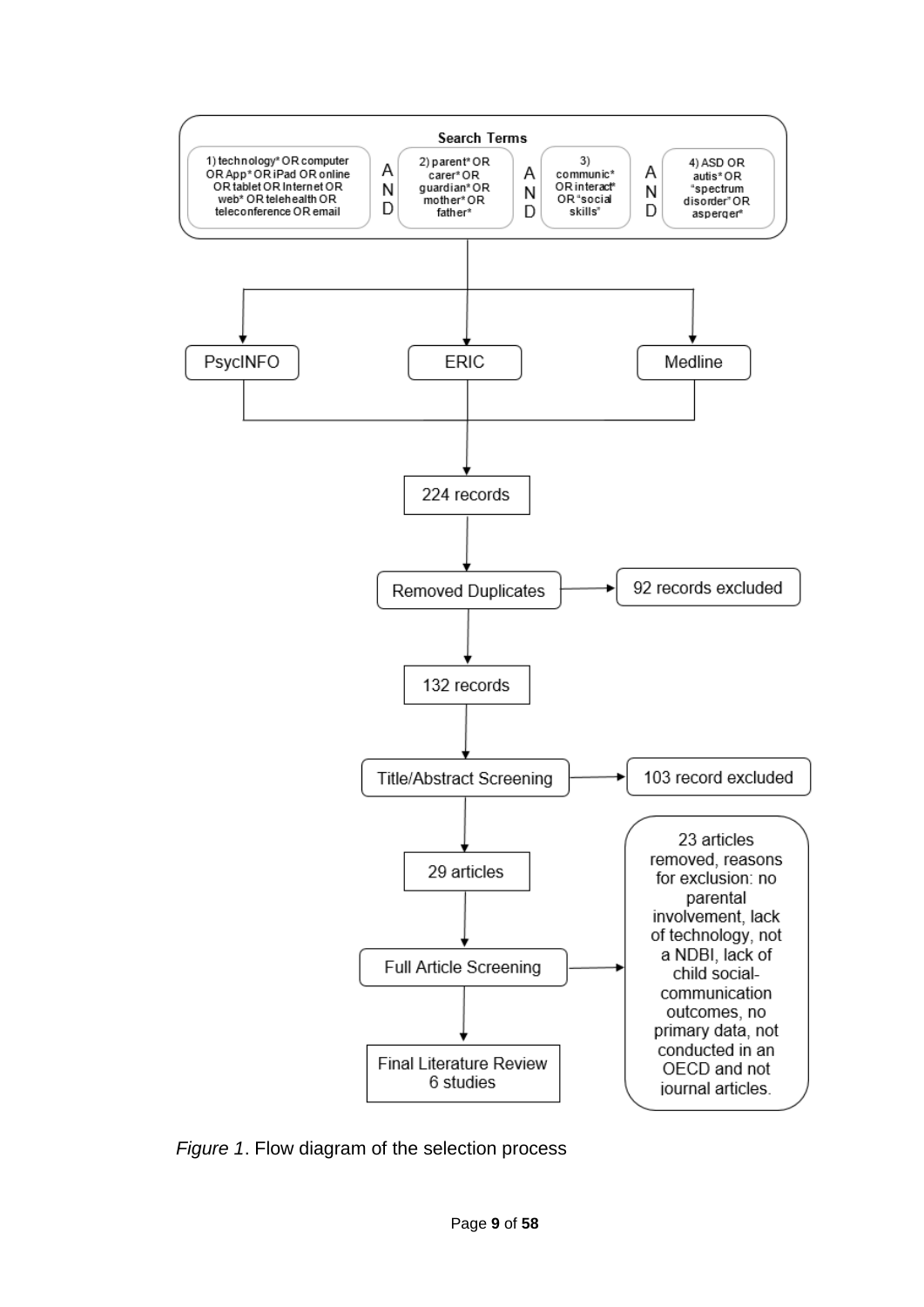

*Figure 1*. Flow diagram of the selection process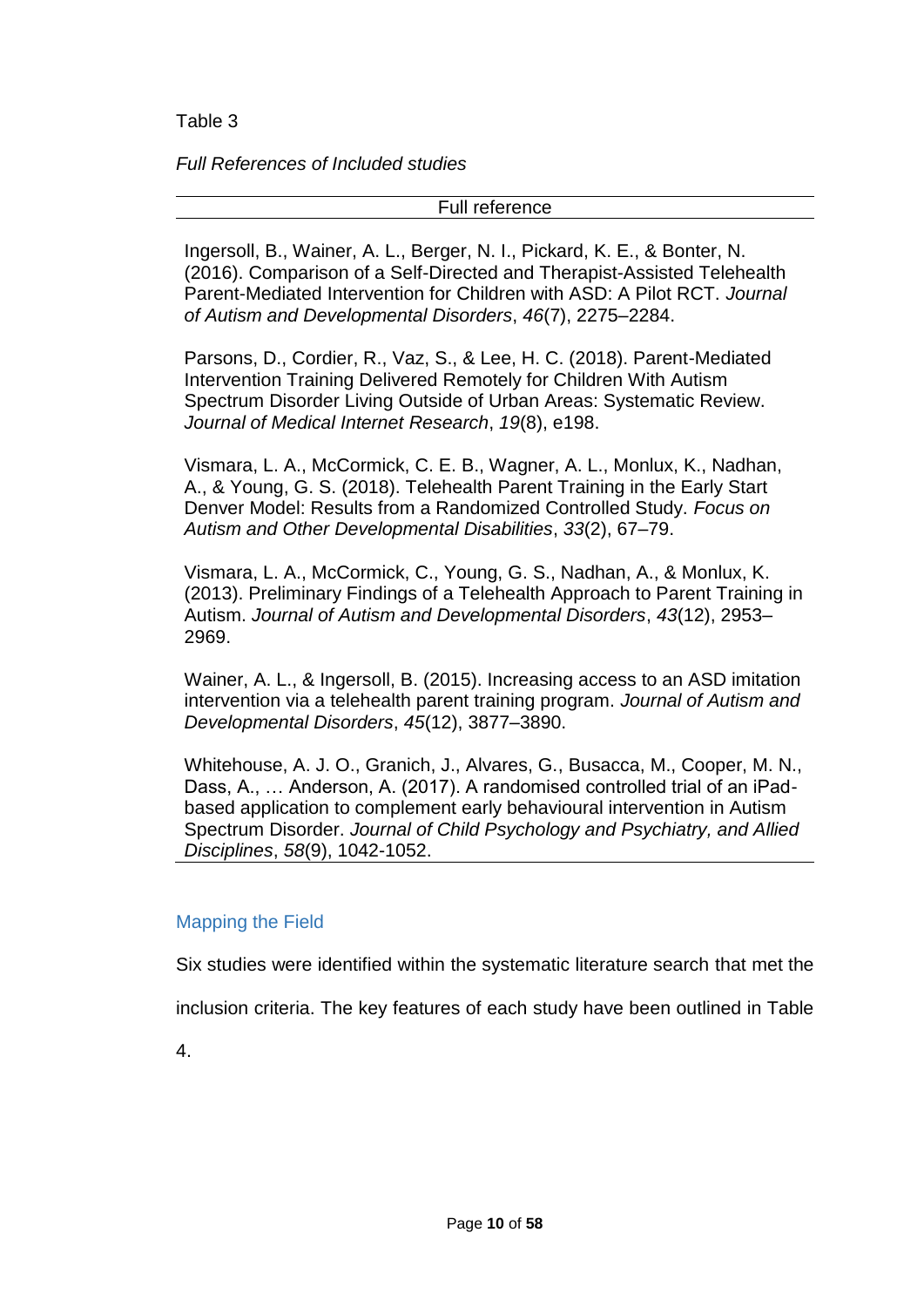*Full References of Included studies* 

Full reference

Ingersoll, B., Wainer, A. L., Berger, N. I., Pickard, K. E., & Bonter, N. (2016). Comparison of a Self-Directed and Therapist-Assisted Telehealth Parent-Mediated Intervention for Children with ASD: A Pilot RCT. *Journal of Autism and Developmental Disorders*, *46*(7), 2275–2284.

Parsons, D., Cordier, R., Vaz, S., & Lee, H. C. (2018). Parent-Mediated Intervention Training Delivered Remotely for Children With Autism Spectrum Disorder Living Outside of Urban Areas: Systematic Review. *Journal of Medical Internet Research*, *19*(8), e198.

Vismara, L. A., McCormick, C. E. B., Wagner, A. L., Monlux, K., Nadhan, A., & Young, G. S. (2018). Telehealth Parent Training in the Early Start Denver Model: Results from a Randomized Controlled Study. *Focus on Autism and Other Developmental Disabilities*, *33*(2), 67–79.

Vismara, L. A., McCormick, C., Young, G. S., Nadhan, A., & Monlux, K. (2013). Preliminary Findings of a Telehealth Approach to Parent Training in Autism. *Journal of Autism and Developmental Disorders*, *43*(12), 2953– 2969.

Wainer, A. L., & Ingersoll, B. (2015). Increasing access to an ASD imitation intervention via a telehealth parent training program. *Journal of Autism and Developmental Disorders*, *45*(12), 3877–3890.

Whitehouse, A. J. O., Granich, J., Alvares, G., Busacca, M., Cooper, M. N., Dass, A., … Anderson, A. (2017). A randomised controlled trial of an iPadbased application to complement early behavioural intervention in Autism Spectrum Disorder. *Journal of Child Psychology and Psychiatry, and Allied Disciplines*, *58*(9), 1042-1052.

## Mapping the Field

Six studies were identified within the systematic literature search that met the

inclusion criteria. The key features of each study have been outlined in Table

4.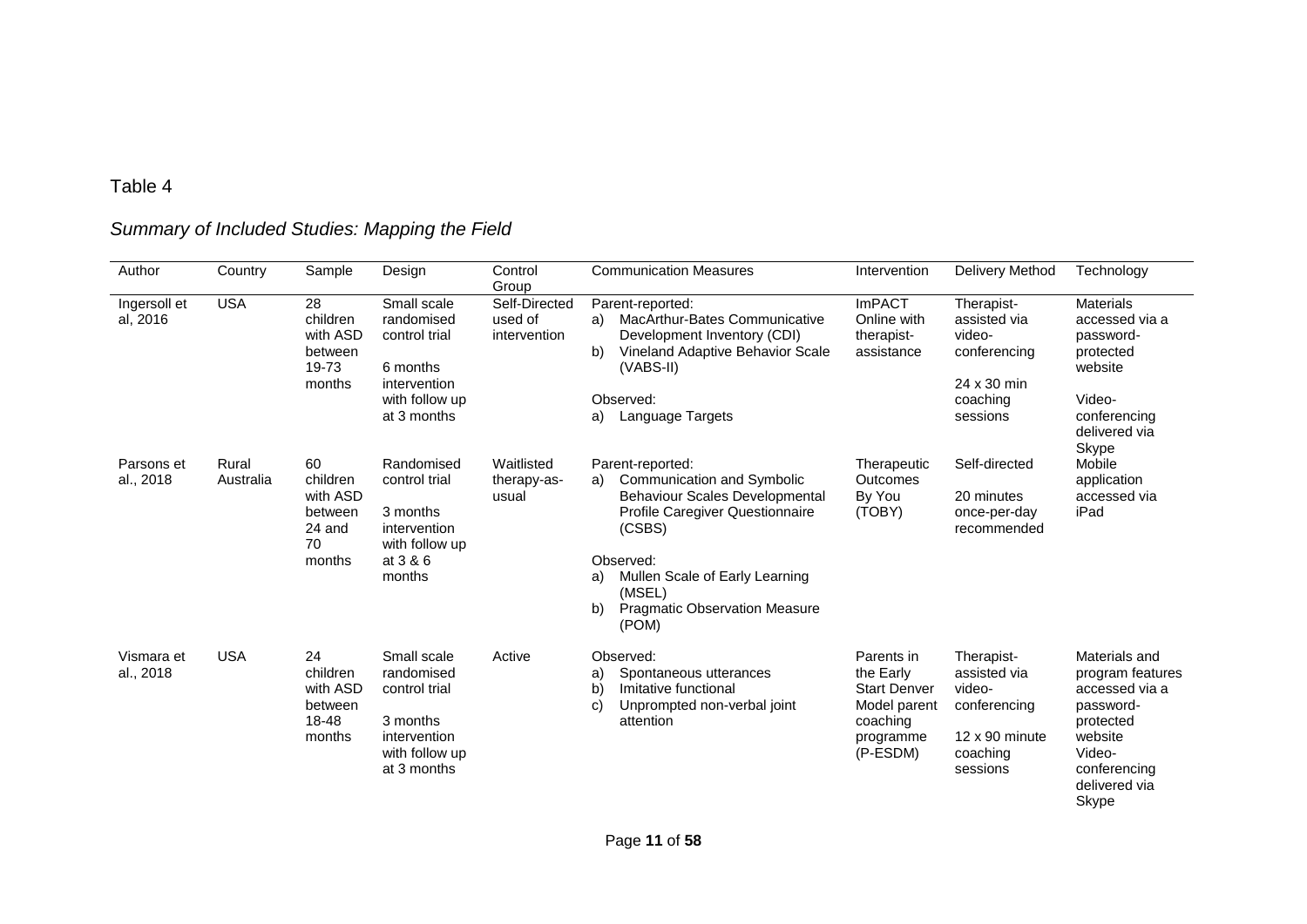# *Summary of Included Studies: Mapping the Field*

| Author                   | Country            | Sample                                                          | Design                                                                                                  | Control<br>Group                         | <b>Communication Measures</b>                                                                                                                                                                                                                                    | Intervention                                                                                        | Delivery Method                                                                                       | Technology                                                                                                                                   |
|--------------------------|--------------------|-----------------------------------------------------------------|---------------------------------------------------------------------------------------------------------|------------------------------------------|------------------------------------------------------------------------------------------------------------------------------------------------------------------------------------------------------------------------------------------------------------------|-----------------------------------------------------------------------------------------------------|-------------------------------------------------------------------------------------------------------|----------------------------------------------------------------------------------------------------------------------------------------------|
| Ingersoll et<br>al, 2016 | <b>USA</b>         | 28<br>children<br>with ASD<br>between<br>19-73<br>months        | Small scale<br>randomised<br>control trial<br>6 months<br>intervention<br>with follow up<br>at 3 months | Self-Directed<br>used of<br>intervention | Parent-reported:<br><b>MacArthur-Bates Communicative</b><br>a)<br>Development Inventory (CDI)<br>b)<br>Vineland Adaptive Behavior Scale<br>(VABS-II)<br>Observed:<br>Language Targets<br>a)                                                                      | <b>ImPACT</b><br>Online with<br>therapist-<br>assistance                                            | Therapist-<br>assisted via<br>video-<br>conferencing<br>24 x 30 min<br>coaching<br>sessions           | <b>Materials</b><br>accessed via a<br>password-<br>protected<br>website<br>Video-<br>conferencing<br>delivered via<br>Skype                  |
| Parsons et<br>al., 2018  | Rural<br>Australia | 60<br>children<br>with ASD<br>between<br>24 and<br>70<br>months | Randomised<br>control trial<br>3 months<br>intervention<br>with follow up<br>at 3 & 6<br>months         | Waitlisted<br>therapy-as-<br>usual       | Parent-reported:<br>Communication and Symbolic<br>a)<br><b>Behaviour Scales Developmental</b><br>Profile Caregiver Questionnaire<br>(CSBS)<br>Observed:<br>Mullen Scale of Early Learning<br>a)<br>(MSEL)<br>b)<br><b>Pragmatic Observation Measure</b><br>(POM) | Therapeutic<br><b>Outcomes</b><br>By You<br>(TOBY)                                                  | Self-directed<br>20 minutes<br>once-per-day<br>recommended                                            | Mobile<br>application<br>accessed via<br>iPad                                                                                                |
| Vismara et<br>al., 2018  | <b>USA</b>         | 24<br>children<br>with ASD<br>between<br>18-48<br>months        | Small scale<br>randomised<br>control trial<br>3 months<br>intervention<br>with follow up<br>at 3 months | Active                                   | Observed:<br>a)<br>Spontaneous utterances<br>b)<br>Imitative functional<br>Unprompted non-verbal joint<br>C)<br>attention                                                                                                                                        | Parents in<br>the Early<br><b>Start Denver</b><br>Model parent<br>coaching<br>programme<br>(P-ESDM) | Therapist-<br>assisted via<br>video-<br>conferencing<br>$12 \times 90$ minute<br>coaching<br>sessions | Materials and<br>program features<br>accessed via a<br>password-<br>protected<br>website<br>Video-<br>conferencing<br>delivered via<br>Skype |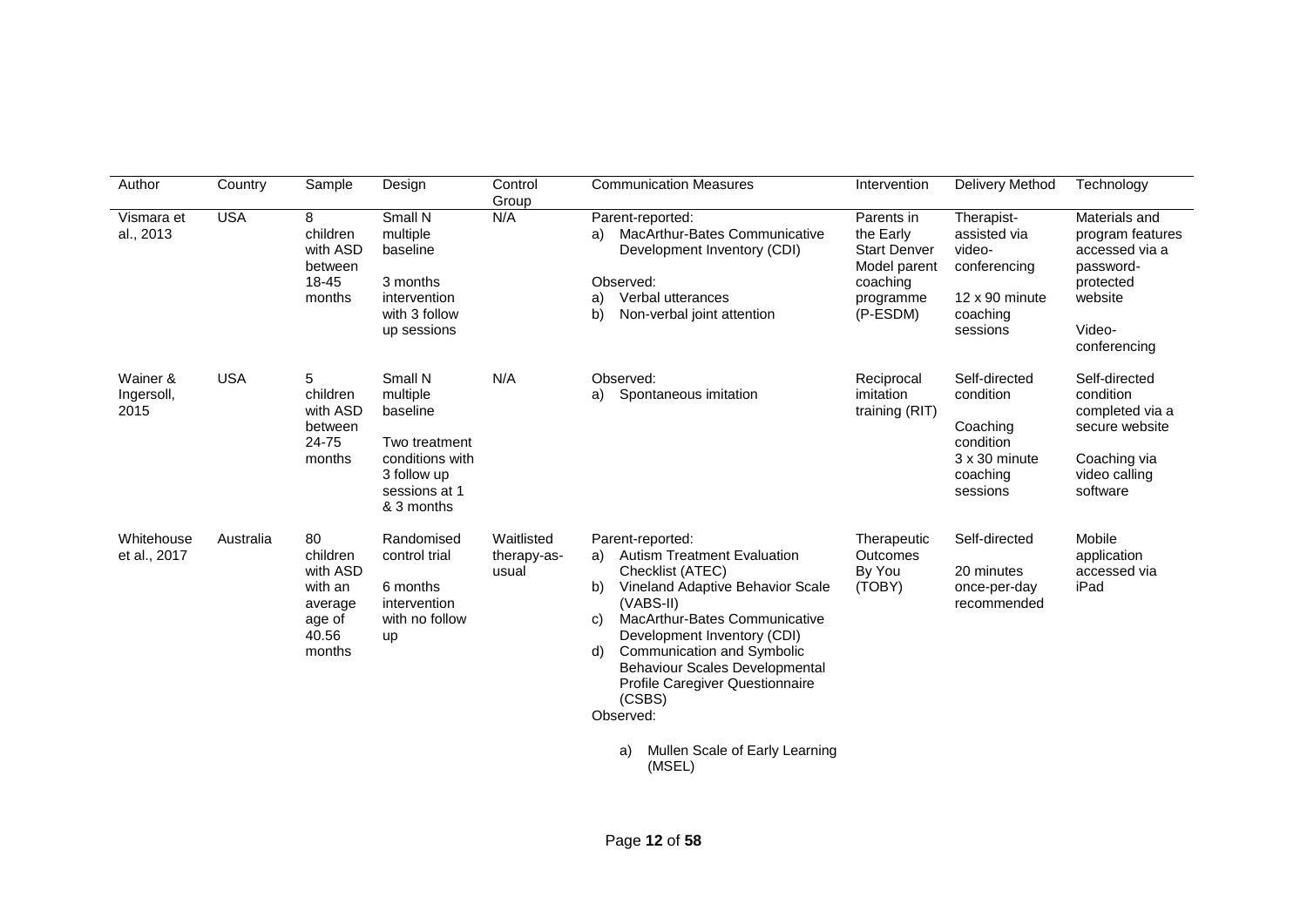| Author                         | Country    | Sample                                                                        | Design                                                                                                            | Control<br>Group                   | <b>Communication Measures</b>                                                                                                                                                                                                                                                                                                                                                                                 | Intervention                                                                                        | Delivery Method                                                                                     | Technology                                                                                                         |
|--------------------------------|------------|-------------------------------------------------------------------------------|-------------------------------------------------------------------------------------------------------------------|------------------------------------|---------------------------------------------------------------------------------------------------------------------------------------------------------------------------------------------------------------------------------------------------------------------------------------------------------------------------------------------------------------------------------------------------------------|-----------------------------------------------------------------------------------------------------|-----------------------------------------------------------------------------------------------------|--------------------------------------------------------------------------------------------------------------------|
| Vismara et<br>al., 2013        | <b>USA</b> | 8<br>children<br>with ASD<br>between<br>18-45<br>months                       | Small N<br>multiple<br>baseline<br>3 months<br>intervention<br>with 3 follow<br>up sessions                       | N/A                                | Parent-reported:<br>MacArthur-Bates Communicative<br>a)<br>Development Inventory (CDI)<br>Observed:<br>Verbal utterances<br>a)<br>b)<br>Non-verbal joint attention                                                                                                                                                                                                                                            | Parents in<br>the Early<br><b>Start Denver</b><br>Model parent<br>coaching<br>programme<br>(P-ESDM) | Therapist-<br>assisted via<br>video-<br>conferencing<br>12 x 90 minute<br>coaching<br>sessions      | Materials and<br>program features<br>accessed via a<br>password-<br>protected<br>website<br>Video-<br>conferencing |
| Wainer &<br>Ingersoll,<br>2015 | <b>USA</b> | 5<br>children<br>with ASD<br>between<br>24-75<br>months                       | Small N<br>multiple<br>baseline<br>Two treatment<br>conditions with<br>3 follow up<br>sessions at 1<br>& 3 months | N/A                                | Observed:<br>Spontaneous imitation<br>a)                                                                                                                                                                                                                                                                                                                                                                      | Reciprocal<br>imitation<br>training (RIT)                                                           | Self-directed<br>condition<br>Coaching<br>condition<br>$3 \times 30$ minute<br>coaching<br>sessions | Self-directed<br>condition<br>completed via a<br>secure website<br>Coaching via<br>video calling<br>software       |
| Whitehouse<br>et al., 2017     | Australia  | 80<br>children<br>with ASD<br>with an<br>average<br>age of<br>40.56<br>months | Randomised<br>control trial<br>6 months<br>intervention<br>with no follow<br><b>up</b>                            | Waitlisted<br>therapy-as-<br>usual | Parent-reported:<br><b>Autism Treatment Evaluation</b><br>a)<br>Checklist (ATEC)<br>Vineland Adaptive Behavior Scale<br>b)<br>(VABS-II)<br><b>MacArthur-Bates Communicative</b><br>C)<br>Development Inventory (CDI)<br>Communication and Symbolic<br>d)<br><b>Behaviour Scales Developmental</b><br>Profile Caregiver Questionnaire<br>(CSBS)<br>Observed:<br>Mullen Scale of Early Learning<br>a)<br>(MSEL) | Therapeutic<br><b>Outcomes</b><br>By You<br>(TOBY)                                                  | Self-directed<br>20 minutes<br>once-per-day<br>recommended                                          | Mobile<br>application<br>accessed via<br>iPad                                                                      |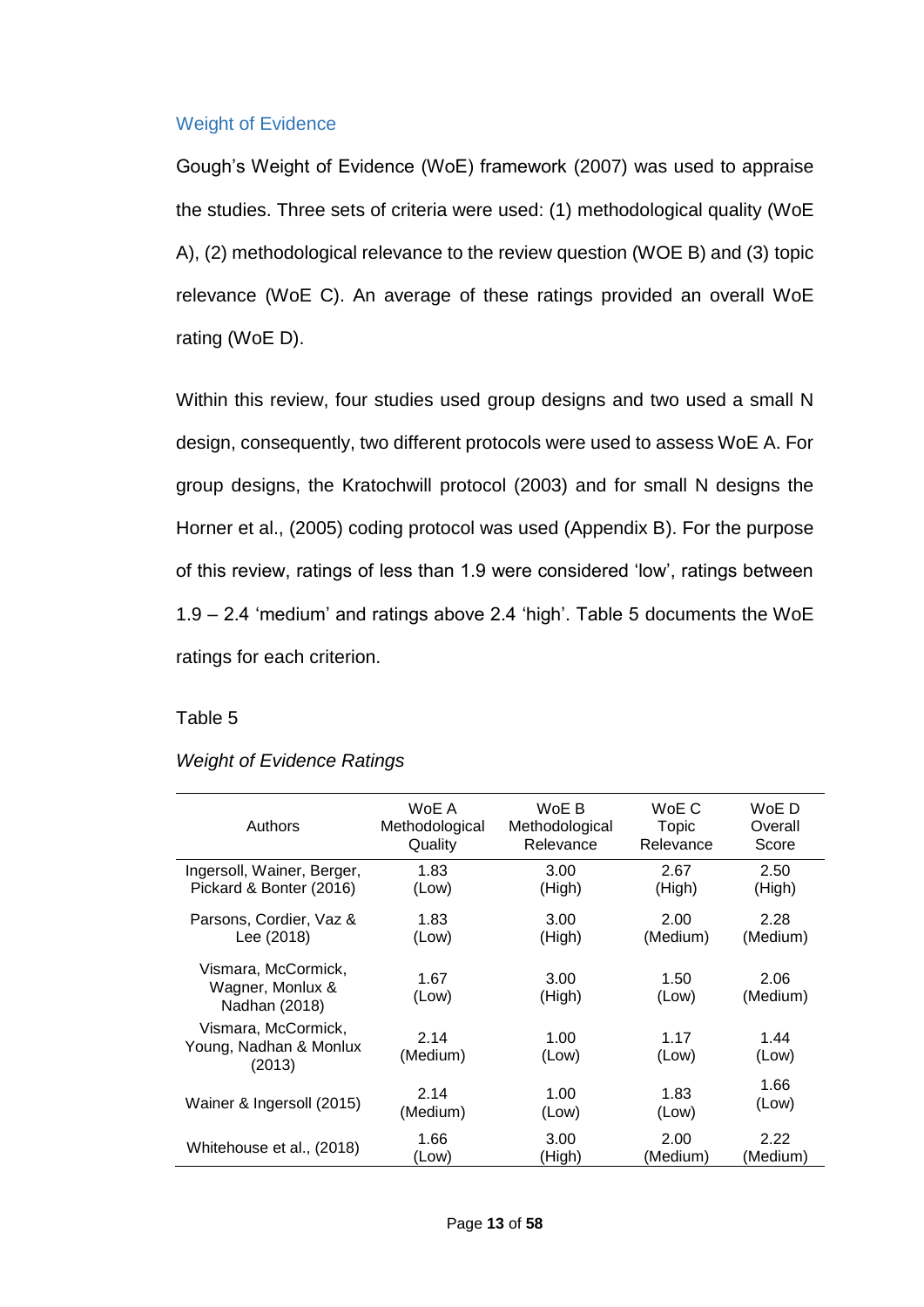### Weight of Evidence

Gough's Weight of Evidence (WoE) framework (2007) was used to appraise the studies. Three sets of criteria were used: (1) methodological quality (WoE A), (2) methodological relevance to the review question (WOE B) and (3) topic relevance (WoE C). An average of these ratings provided an overall WoE rating (WoE D).

Within this review, four studies used group designs and two used a small N design, consequently, two different protocols were used to assess WoE A. For group designs, the Kratochwill protocol (2003) and for small N designs the Horner et al., (2005) coding protocol was used (Appendix B). For the purpose of this review, ratings of less than 1.9 were considered 'low', ratings between 1.9 – 2.4 'medium' and ratings above 2.4 'high'. Table 5 documents the WoE ratings for each criterion.

#### Table 5

#### *Weight of Evidence Ratings*

| Authors                                                  | WoE A            | WoE B          | WoE C         | WoE D            |
|----------------------------------------------------------|------------------|----------------|---------------|------------------|
|                                                          | Methodological   | Methodological | Topic         | Overall          |
|                                                          | Quality          | Relevance      | Relevance     | Score            |
| Ingersoll, Wainer, Berger,                               | 1.83             | 3.00           | 2.67          | 2.50             |
| Pickard & Bonter (2016)                                  | (Low)            | (High)         | (High)        | (High)           |
| Parsons, Cordier, Vaz &                                  | 1.83             | 3.00           | 2.00          | 2.28             |
| Lee (2018)                                               | (Low)            | (High)         | (Medium)      | (Medium)         |
| Vismara, McCormick,<br>Wagner, Monlux &<br>Nadhan (2018) | 1.67<br>(Low)    | 3.00<br>(High) | 1.50<br>(Low) | 2.06<br>(Medium) |
| Vismara, McCormick,<br>Young, Nadhan & Monlux<br>(2013)  | 2.14<br>(Medium) | 1.00<br>(Low)  | 1.17<br>(Low) | 1.44<br>(Low)    |
| Wainer & Ingersoll (2015)                                | 2.14             | 1.00           | 1.83          | 1.66             |
|                                                          | (Medium)         | (Low)          | (Low)         | (Low)            |
| Whitehouse et al., (2018)                                | 1.66             | 3.00           | 2.00          | 2.22             |
|                                                          | (Low)            | (High)         | (Medium)      | (Medium)         |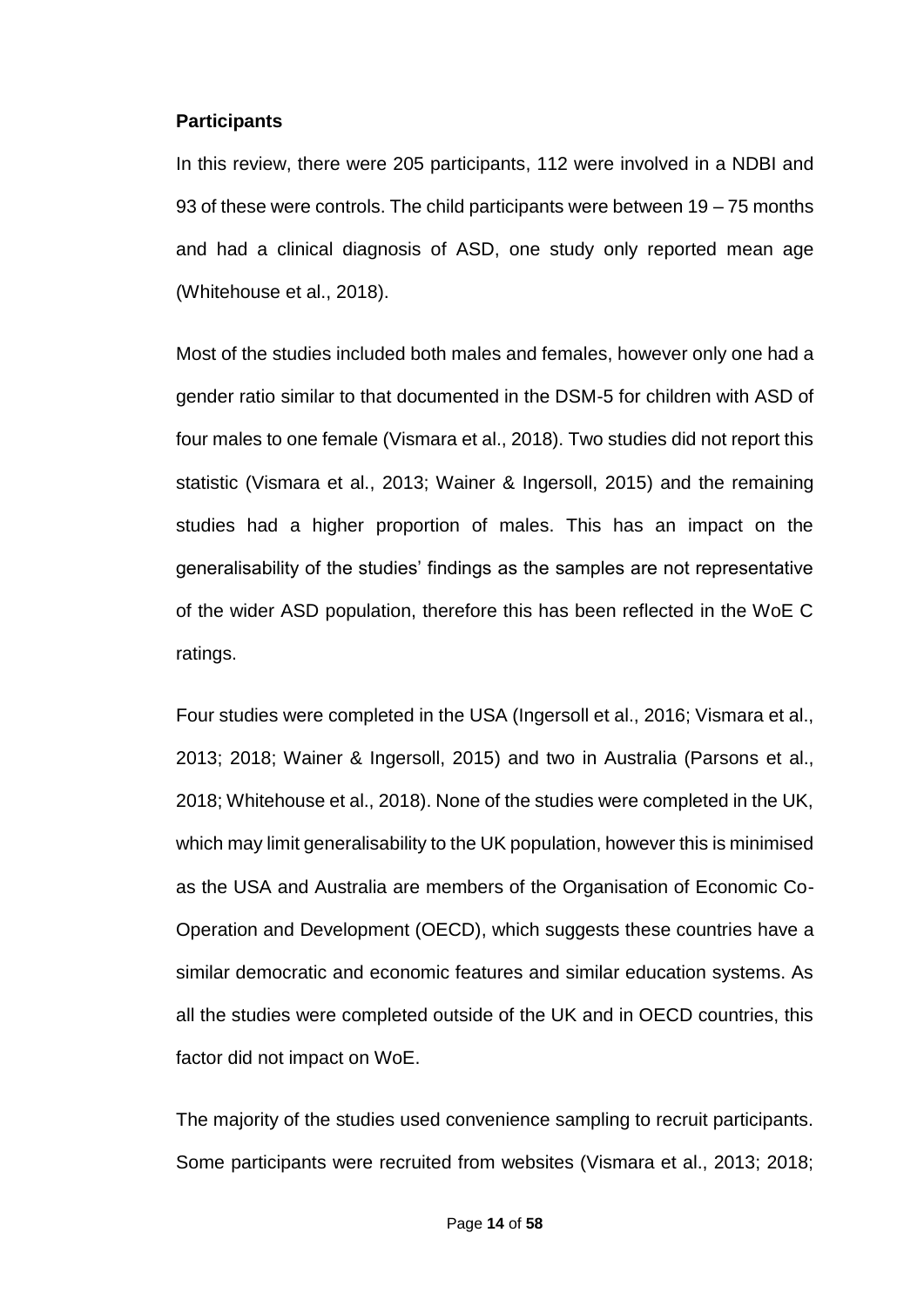#### **Participants**

In this review, there were 205 participants, 112 were involved in a NDBI and 93 of these were controls. The child participants were between 19 – 75 months and had a clinical diagnosis of ASD, one study only reported mean age (Whitehouse et al., 2018).

Most of the studies included both males and females, however only one had a gender ratio similar to that documented in the DSM-5 for children with ASD of four males to one female (Vismara et al., 2018). Two studies did not report this statistic (Vismara et al., 2013; Wainer & Ingersoll, 2015) and the remaining studies had a higher proportion of males. This has an impact on the generalisability of the studies' findings as the samples are not representative of the wider ASD population, therefore this has been reflected in the WoE C ratings.

Four studies were completed in the USA (Ingersoll et al., 2016; Vismara et al., 2013; 2018; Wainer & Ingersoll, 2015) and two in Australia (Parsons et al., 2018; Whitehouse et al., 2018). None of the studies were completed in the UK, which may limit generalisability to the UK population, however this is minimised as the USA and Australia are members of the Organisation of Economic Co-Operation and Development (OECD), which suggests these countries have a similar democratic and economic features and similar education systems. As all the studies were completed outside of the UK and in OECD countries, this factor did not impact on WoE.

The majority of the studies used convenience sampling to recruit participants. Some participants were recruited from websites (Vismara et al., 2013; 2018;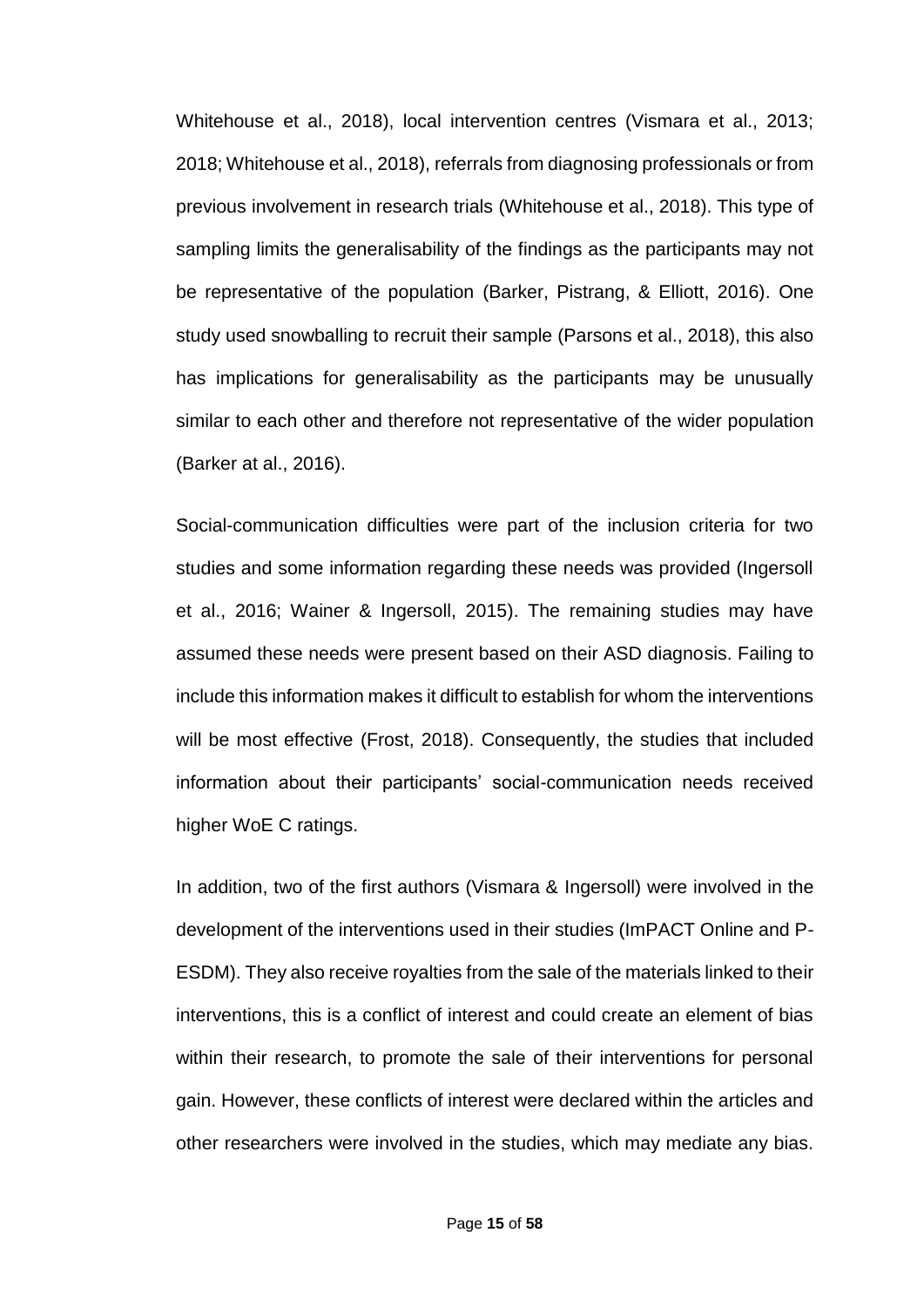Whitehouse et al., 2018), local intervention centres (Vismara et al., 2013; 2018; Whitehouse et al., 2018), referrals from diagnosing professionals or from previous involvement in research trials (Whitehouse et al., 2018). This type of sampling limits the generalisability of the findings as the participants may not be representative of the population (Barker, Pistrang, & Elliott, 2016). One study used snowballing to recruit their sample (Parsons et al., 2018), this also has implications for generalisability as the participants may be unusually similar to each other and therefore not representative of the wider population (Barker at al., 2016).

Social-communication difficulties were part of the inclusion criteria for two studies and some information regarding these needs was provided (Ingersoll et al., 2016; Wainer & Ingersoll, 2015). The remaining studies may have assumed these needs were present based on their ASD diagnosis. Failing to include this information makes it difficult to establish for whom the interventions will be most effective (Frost, 2018). Consequently, the studies that included information about their participants' social-communication needs received higher WoE C ratings.

In addition, two of the first authors (Vismara & Ingersoll) were involved in the development of the interventions used in their studies (ImPACT Online and P-ESDM). They also receive royalties from the sale of the materials linked to their interventions, this is a conflict of interest and could create an element of bias within their research, to promote the sale of their interventions for personal gain. However, these conflicts of interest were declared within the articles and other researchers were involved in the studies, which may mediate any bias.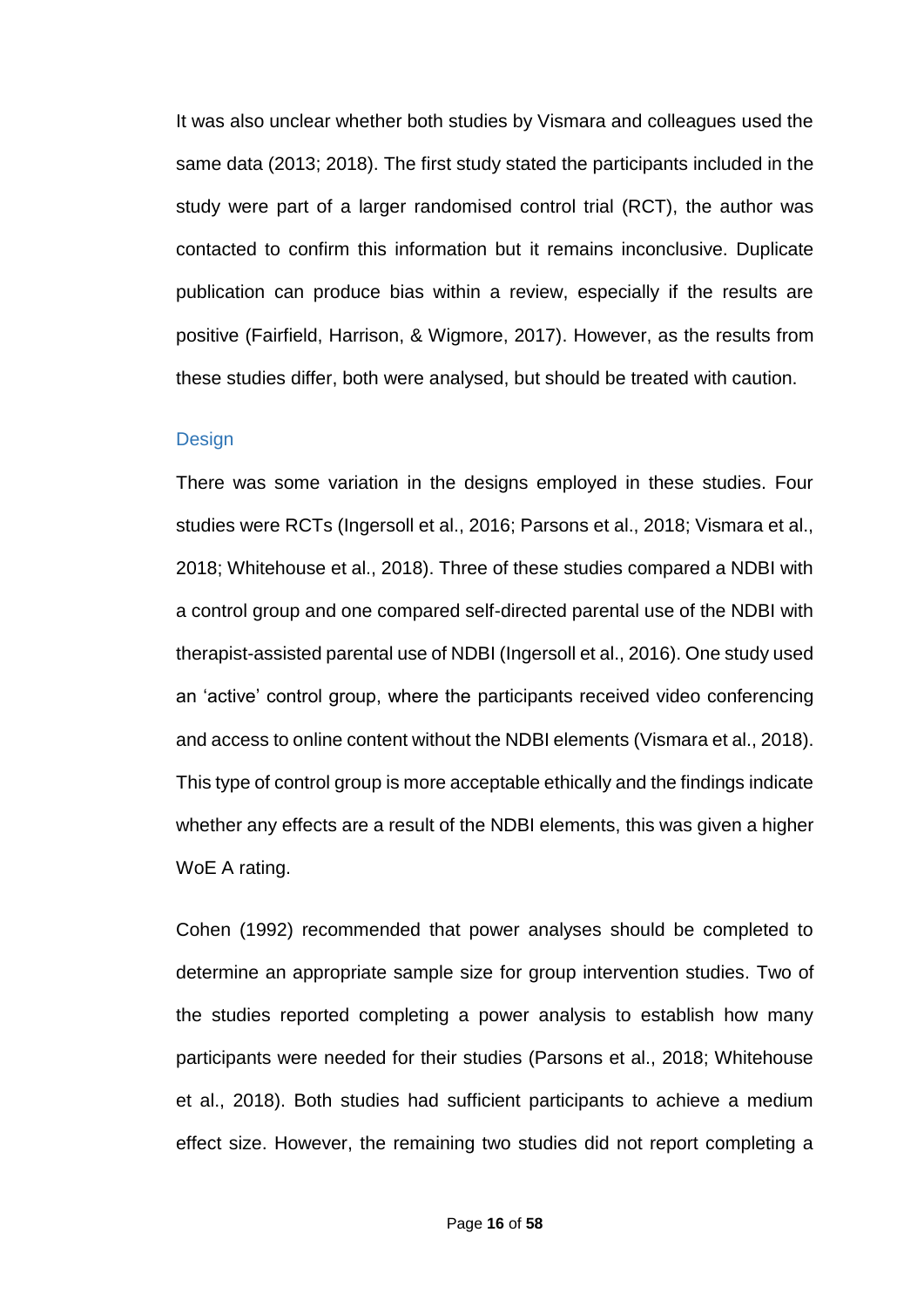It was also unclear whether both studies by Vismara and colleagues used the same data (2013; 2018). The first study stated the participants included in the study were part of a larger randomised control trial (RCT), the author was contacted to confirm this information but it remains inconclusive. Duplicate publication can produce bias within a review, especially if the results are positive (Fairfield, Harrison, & Wigmore, 2017). However, as the results from these studies differ, both were analysed, but should be treated with caution.

#### **Design**

There was some variation in the designs employed in these studies. Four studies were RCTs (Ingersoll et al., 2016; Parsons et al., 2018; Vismara et al., 2018; Whitehouse et al., 2018). Three of these studies compared a NDBI with a control group and one compared self-directed parental use of the NDBI with therapist-assisted parental use of NDBI (Ingersoll et al., 2016). One study used an 'active' control group, where the participants received video conferencing and access to online content without the NDBI elements (Vismara et al., 2018). This type of control group is more acceptable ethically and the findings indicate whether any effects are a result of the NDBI elements, this was given a higher WoE A rating.

Cohen (1992) recommended that power analyses should be completed to determine an appropriate sample size for group intervention studies. Two of the studies reported completing a power analysis to establish how many participants were needed for their studies (Parsons et al., 2018; Whitehouse et al., 2018). Both studies had sufficient participants to achieve a medium effect size. However, the remaining two studies did not report completing a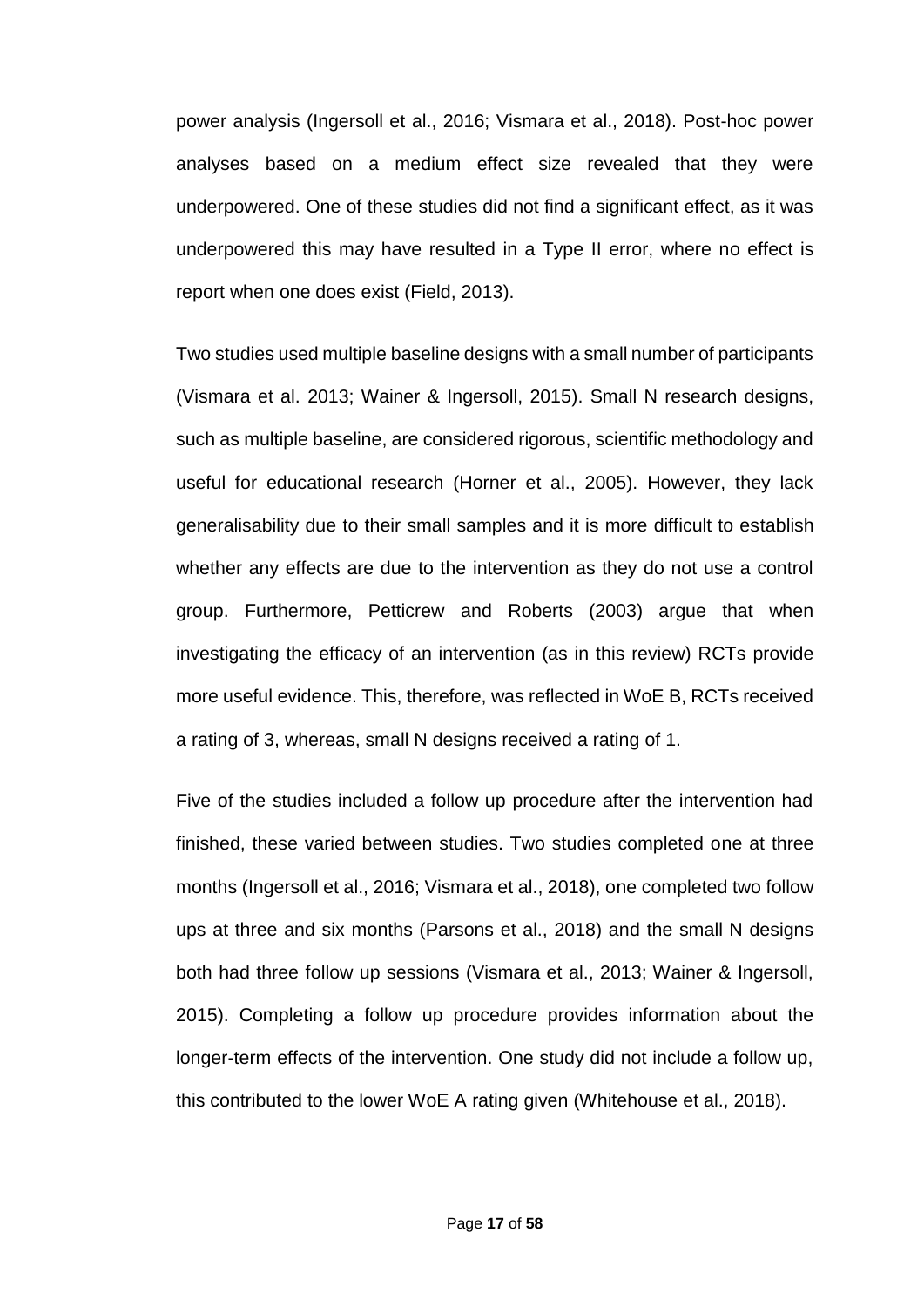power analysis (Ingersoll et al., 2016; Vismara et al., 2018). Post-hoc power analyses based on a medium effect size revealed that they were underpowered. One of these studies did not find a significant effect, as it was underpowered this may have resulted in a Type II error, where no effect is report when one does exist (Field, 2013).

Two studies used multiple baseline designs with a small number of participants (Vismara et al. 2013; Wainer & Ingersoll, 2015). Small N research designs, such as multiple baseline, are considered rigorous, scientific methodology and useful for educational research (Horner et al., 2005). However, they lack generalisability due to their small samples and it is more difficult to establish whether any effects are due to the intervention as they do not use a control group. Furthermore, Petticrew and Roberts (2003) argue that when investigating the efficacy of an intervention (as in this review) RCTs provide more useful evidence. This, therefore, was reflected in WoE B, RCTs received a rating of 3, whereas, small N designs received a rating of 1.

Five of the studies included a follow up procedure after the intervention had finished, these varied between studies. Two studies completed one at three months (Ingersoll et al., 2016; Vismara et al., 2018), one completed two follow ups at three and six months (Parsons et al., 2018) and the small N designs both had three follow up sessions (Vismara et al., 2013; Wainer & Ingersoll, 2015). Completing a follow up procedure provides information about the longer-term effects of the intervention. One study did not include a follow up, this contributed to the lower WoE A rating given (Whitehouse et al., 2018).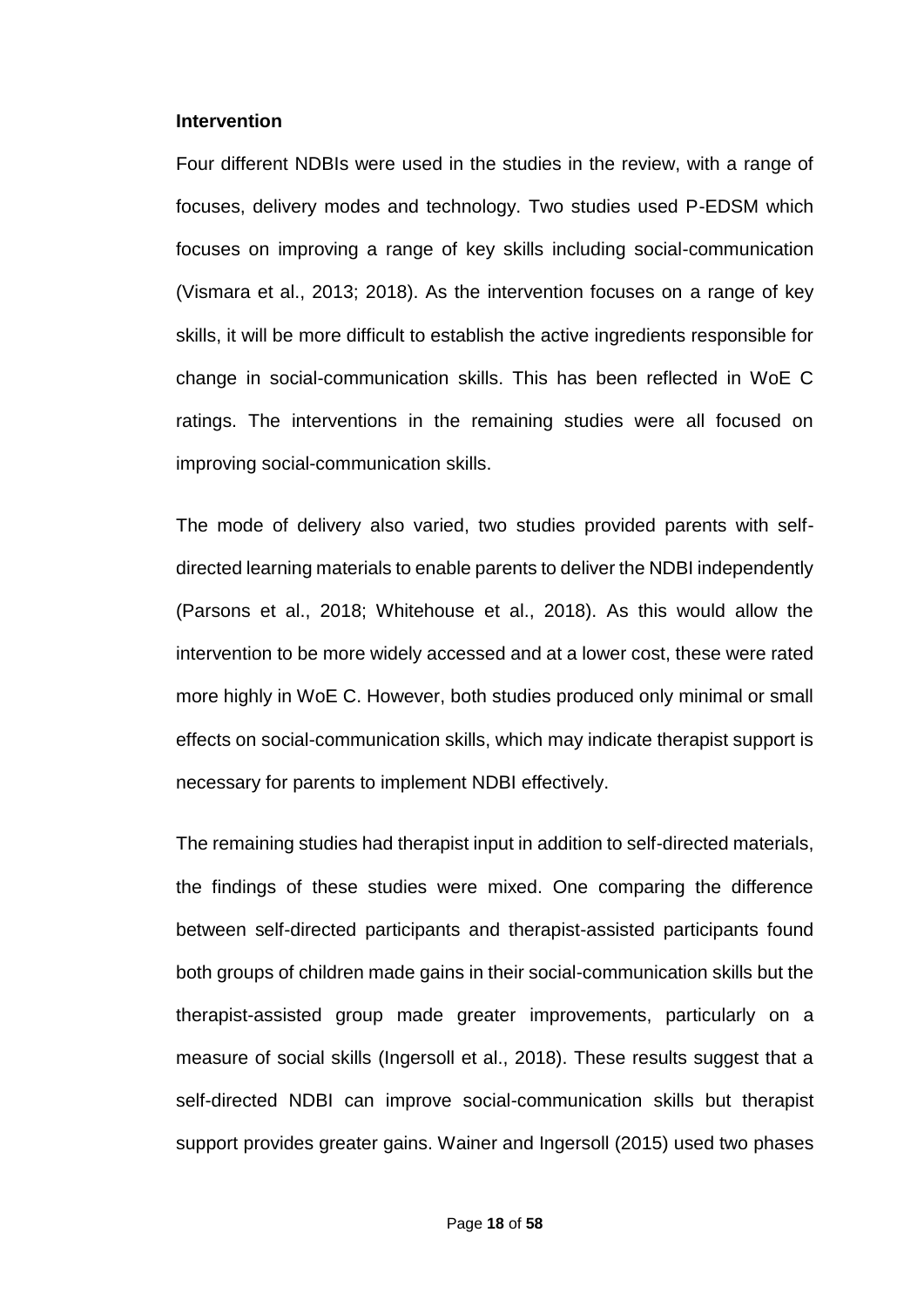#### **Intervention**

Four different NDBIs were used in the studies in the review, with a range of focuses, delivery modes and technology. Two studies used P-EDSM which focuses on improving a range of key skills including social-communication (Vismara et al., 2013; 2018). As the intervention focuses on a range of key skills, it will be more difficult to establish the active ingredients responsible for change in social-communication skills. This has been reflected in WoE C ratings. The interventions in the remaining studies were all focused on improving social-communication skills.

The mode of delivery also varied, two studies provided parents with selfdirected learning materials to enable parents to deliver the NDBI independently (Parsons et al., 2018; Whitehouse et al., 2018). As this would allow the intervention to be more widely accessed and at a lower cost, these were rated more highly in WoE C. However, both studies produced only minimal or small effects on social-communication skills, which may indicate therapist support is necessary for parents to implement NDBI effectively.

The remaining studies had therapist input in addition to self-directed materials, the findings of these studies were mixed. One comparing the difference between self-directed participants and therapist-assisted participants found both groups of children made gains in their social-communication skills but the therapist-assisted group made greater improvements, particularly on a measure of social skills (Ingersoll et al., 2018). These results suggest that a self-directed NDBI can improve social-communication skills but therapist support provides greater gains. Wainer and Ingersoll (2015) used two phases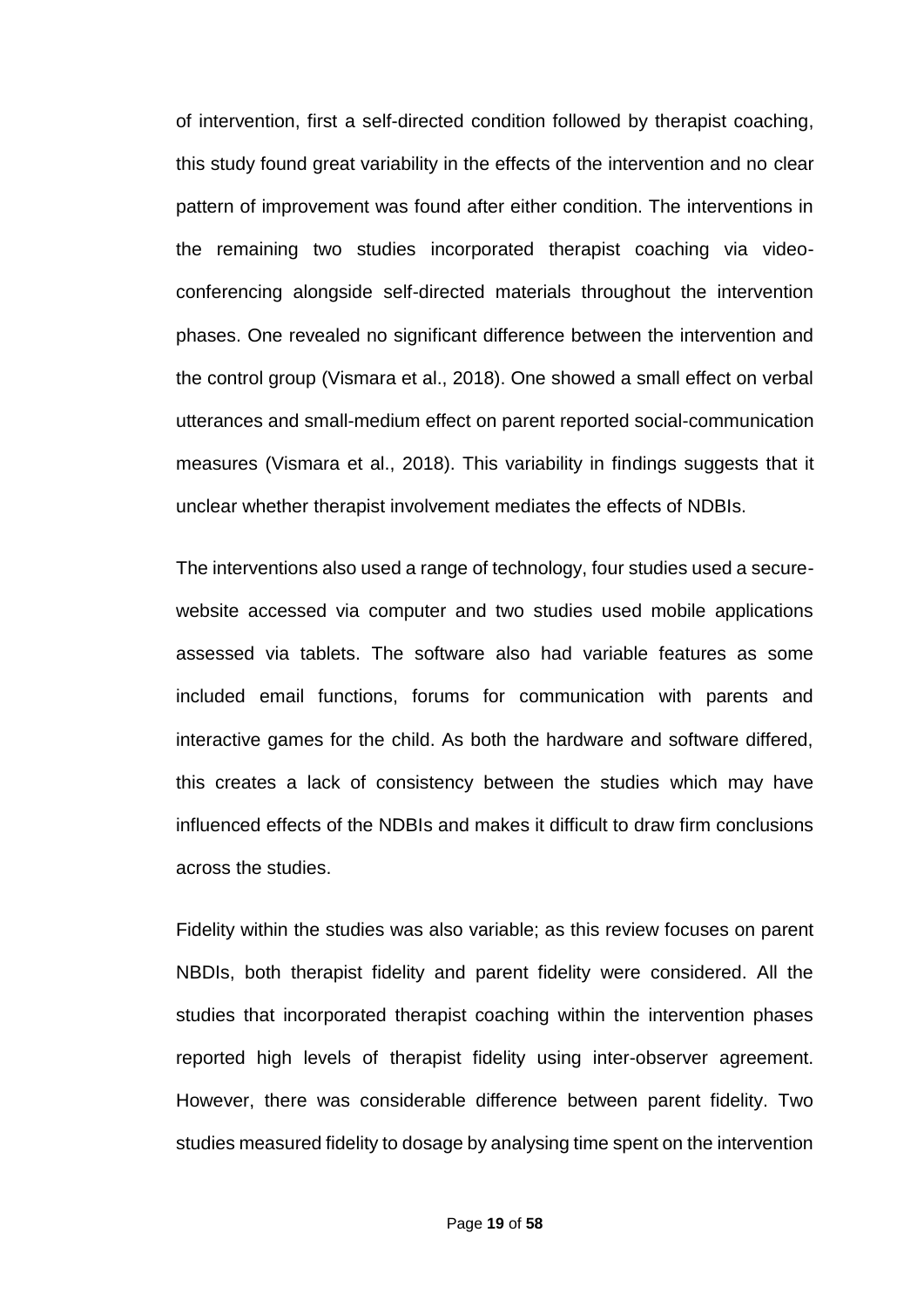of intervention, first a self-directed condition followed by therapist coaching, this study found great variability in the effects of the intervention and no clear pattern of improvement was found after either condition. The interventions in the remaining two studies incorporated therapist coaching via videoconferencing alongside self-directed materials throughout the intervention phases. One revealed no significant difference between the intervention and the control group (Vismara et al., 2018). One showed a small effect on verbal utterances and small-medium effect on parent reported social-communication measures (Vismara et al., 2018). This variability in findings suggests that it unclear whether therapist involvement mediates the effects of NDBIs.

The interventions also used a range of technology, four studies used a securewebsite accessed via computer and two studies used mobile applications assessed via tablets. The software also had variable features as some included email functions, forums for communication with parents and interactive games for the child. As both the hardware and software differed, this creates a lack of consistency between the studies which may have influenced effects of the NDBIs and makes it difficult to draw firm conclusions across the studies.

Fidelity within the studies was also variable; as this review focuses on parent NBDIs, both therapist fidelity and parent fidelity were considered. All the studies that incorporated therapist coaching within the intervention phases reported high levels of therapist fidelity using inter-observer agreement. However, there was considerable difference between parent fidelity. Two studies measured fidelity to dosage by analysing time spent on the intervention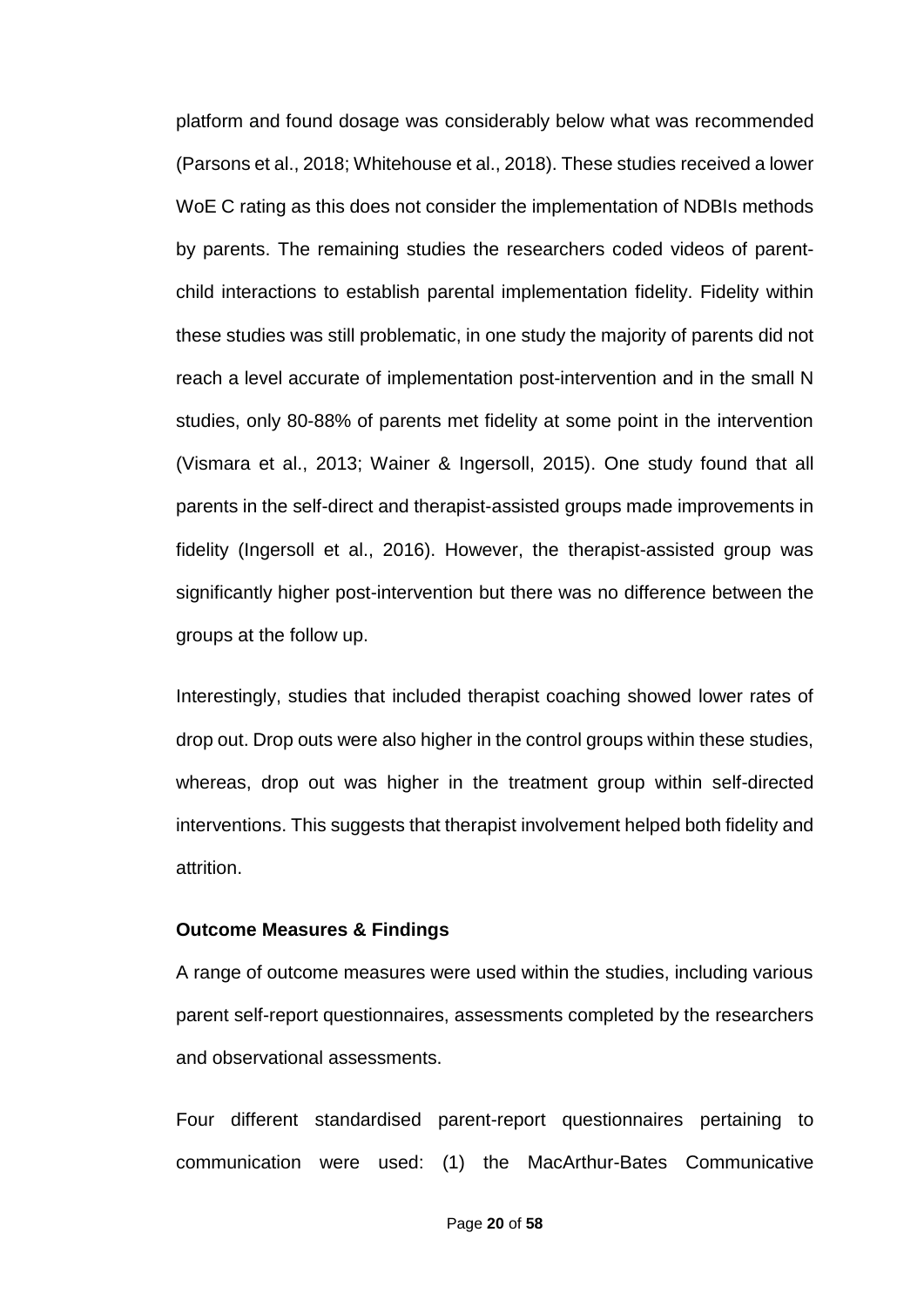platform and found dosage was considerably below what was recommended (Parsons et al., 2018; Whitehouse et al., 2018). These studies received a lower WoE C rating as this does not consider the implementation of NDBIs methods by parents. The remaining studies the researchers coded videos of parentchild interactions to establish parental implementation fidelity. Fidelity within these studies was still problematic, in one study the majority of parents did not reach a level accurate of implementation post-intervention and in the small N studies, only 80-88% of parents met fidelity at some point in the intervention (Vismara et al., 2013; Wainer & Ingersoll, 2015). One study found that all parents in the self-direct and therapist-assisted groups made improvements in fidelity (Ingersoll et al., 2016). However, the therapist-assisted group was significantly higher post-intervention but there was no difference between the groups at the follow up.

Interestingly, studies that included therapist coaching showed lower rates of drop out. Drop outs were also higher in the control groups within these studies, whereas, drop out was higher in the treatment group within self-directed interventions. This suggests that therapist involvement helped both fidelity and attrition.

### **Outcome Measures & Findings**

A range of outcome measures were used within the studies, including various parent self-report questionnaires, assessments completed by the researchers and observational assessments.

Four different standardised parent-report questionnaires pertaining to communication were used: (1) the MacArthur-Bates Communicative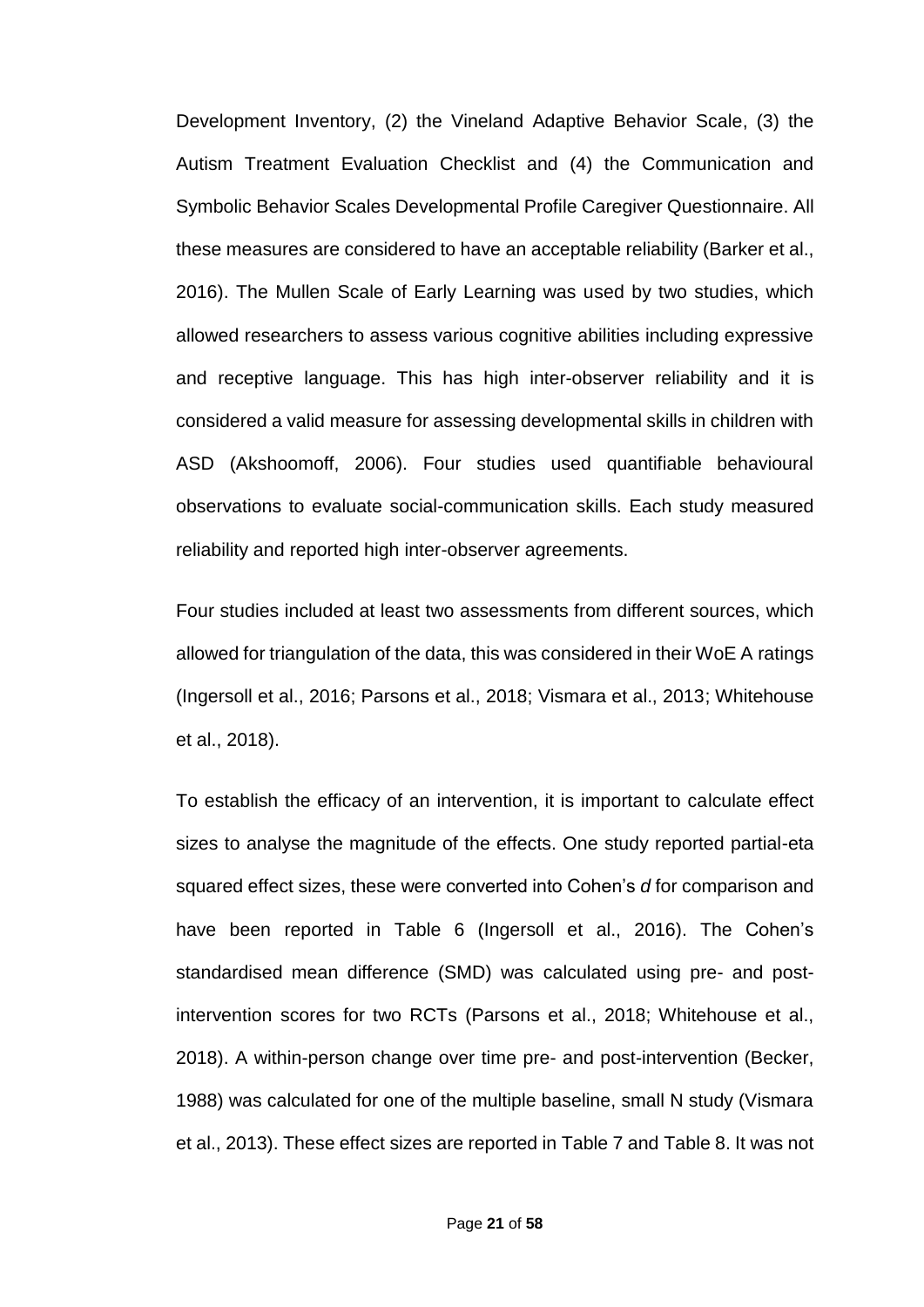Development Inventory, (2) the Vineland Adaptive Behavior Scale, (3) the Autism Treatment Evaluation Checklist and (4) the Communication and Symbolic Behavior Scales Developmental Profile Caregiver Questionnaire. All these measures are considered to have an acceptable reliability (Barker et al., 2016). The Mullen Scale of Early Learning was used by two studies, which allowed researchers to assess various cognitive abilities including expressive and receptive language. This has high inter-observer reliability and it is considered a valid measure for assessing developmental skills in children with ASD (Akshoomoff, 2006). Four studies used quantifiable behavioural observations to evaluate social-communication skills. Each study measured reliability and reported high inter-observer agreements.

Four studies included at least two assessments from different sources, which allowed for triangulation of the data, this was considered in their WoE A ratings (Ingersoll et al., 2016; Parsons et al., 2018; Vismara et al., 2013; Whitehouse et al., 2018).

To establish the efficacy of an intervention, it is important to calculate effect sizes to analyse the magnitude of the effects. One study reported partial-eta squared effect sizes, these were converted into Cohen's *d* for comparison and have been reported in Table 6 (Ingersoll et al., 2016). The Cohen's standardised mean difference (SMD) was calculated using pre- and postintervention scores for two RCTs (Parsons et al., 2018; Whitehouse et al., 2018). A within-person change over time pre- and post-intervention (Becker, 1988) was calculated for one of the multiple baseline, small N study (Vismara et al., 2013). These effect sizes are reported in Table 7 and Table 8. It was not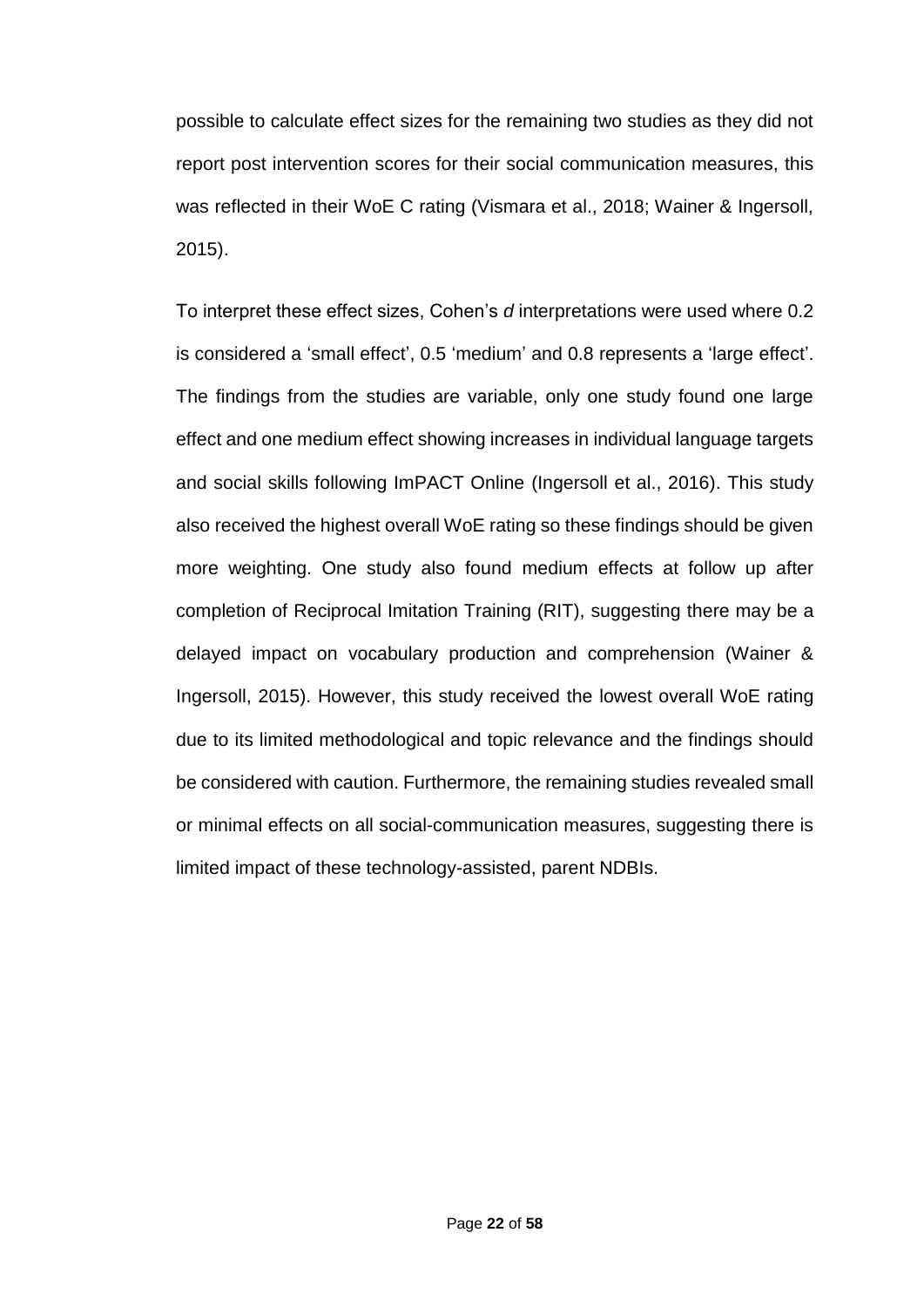possible to calculate effect sizes for the remaining two studies as they did not report post intervention scores for their social communication measures, this was reflected in their WoE C rating (Vismara et al., 2018; Wainer & Ingersoll, 2015).

To interpret these effect sizes, Cohen's *d* interpretations were used where 0.2 is considered a 'small effect', 0.5 'medium' and 0.8 represents a 'large effect'. The findings from the studies are variable, only one study found one large effect and one medium effect showing increases in individual language targets and social skills following ImPACT Online (Ingersoll et al., 2016). This study also received the highest overall WoE rating so these findings should be given more weighting. One study also found medium effects at follow up after completion of Reciprocal Imitation Training (RIT), suggesting there may be a delayed impact on vocabulary production and comprehension (Wainer & Ingersoll, 2015). However, this study received the lowest overall WoE rating due to its limited methodological and topic relevance and the findings should be considered with caution. Furthermore, the remaining studies revealed small or minimal effects on all social-communication measures, suggesting there is limited impact of these technology-assisted, parent NDBIs.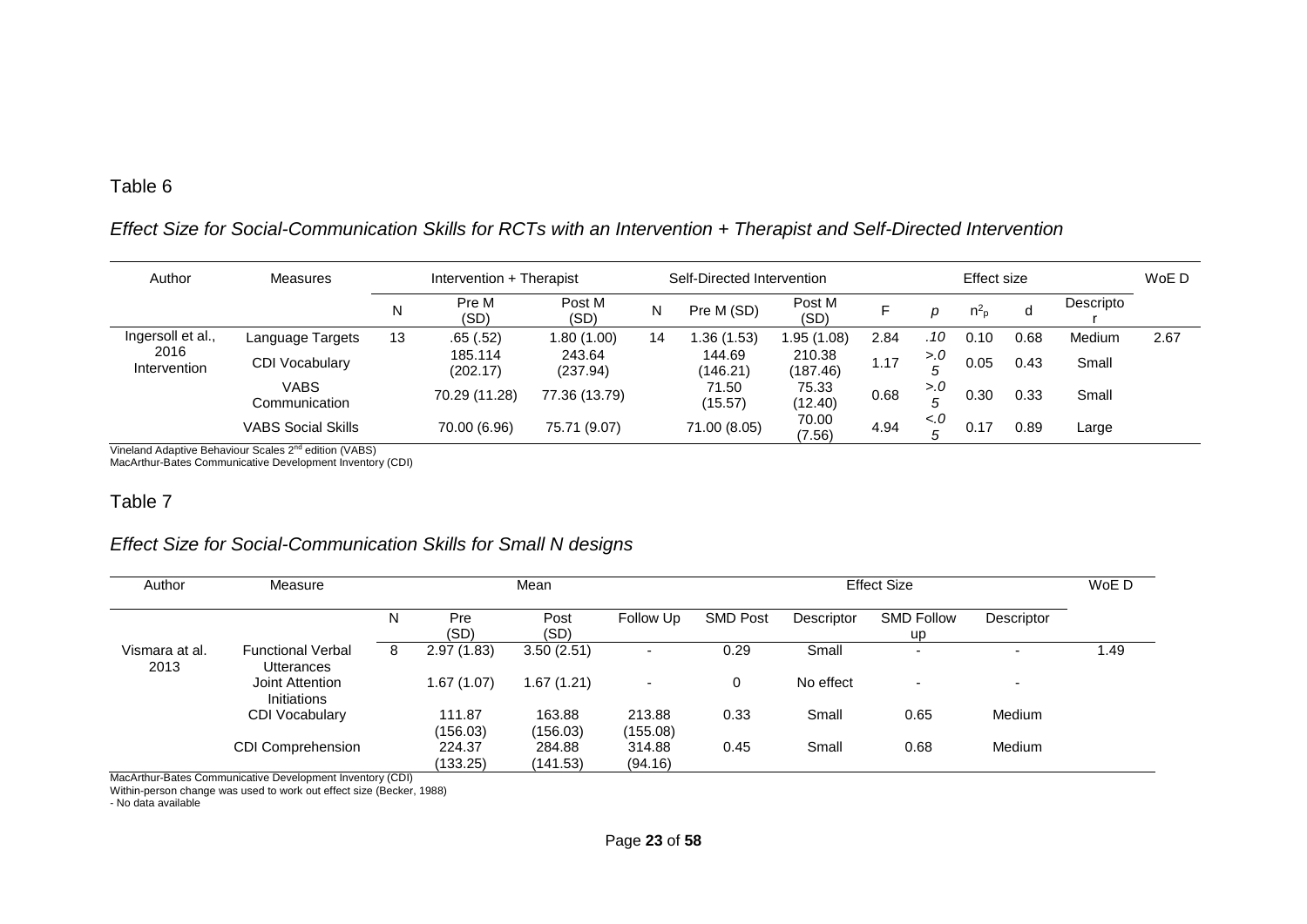### *Effect Size for Social-Communication Skills for RCTs with an Intervention + Therapist and Self-Directed Intervention*

| Author               | <b>Measures</b>                                                                                                                                                                                                                                                                                                                                        |    | Intervention + Therapist |                    |    | Self-Directed Intervention |                    |      | Effect size   |                |      |               | WoE D |
|----------------------|--------------------------------------------------------------------------------------------------------------------------------------------------------------------------------------------------------------------------------------------------------------------------------------------------------------------------------------------------------|----|--------------------------|--------------------|----|----------------------------|--------------------|------|---------------|----------------|------|---------------|-------|
|                      |                                                                                                                                                                                                                                                                                                                                                        | N  | Pre M<br>(SD)            | Post M<br>(SD)     | N  | Pre M (SD)                 | Post M<br>(SD)     |      | D             | n <sub>p</sub> | a    | Descripto     |       |
| Ingersoll et al.,    | Language Targets                                                                                                                                                                                                                                                                                                                                       | 13 | .65(.52)                 | 1.80 (1.00)        | 14 | .36(1.53)                  | 1.95 (1.08)        | 2.84 | .10           | 0.10           | 0.68 | <b>Medium</b> | 2.67  |
| 2016<br>Intervention | <b>CDI Vocabulary</b>                                                                                                                                                                                                                                                                                                                                  |    | 185.114<br>(202.17)      | 243.64<br>(237.94) |    | 144.69<br>(146.21)         | 210.38<br>(187.46) | 1.17 | 5.0           | 0.05           | 0.43 | Small         |       |
|                      | <b>VABS</b><br>Communication                                                                                                                                                                                                                                                                                                                           |    | 70.29 (11.28)            | 77.36 (13.79)      |    | 71.50<br>(15.57)           | 75.33<br>(12.40)   | 0.68 | > 0           | 0.30           | 0.33 | Small         |       |
|                      | <b>VABS Social Skills</b><br>$\mathcal{L}^{(n)}$ is the set of $\mathcal{L}^{(n)}$ in $\mathcal{L}^{(n)}$ in $\mathcal{L}^{(n)}$ in $\mathcal{L}^{(n)}$ in $\mathcal{L}^{(n)}$ in $\mathcal{L}^{(n)}$ in $\mathcal{L}^{(n)}$ in $\mathcal{L}^{(n)}$ in $\mathcal{L}^{(n)}$ in $\mathcal{L}^{(n)}$ in $\mathcal{L}^{(n)}$ in $\mathcal{L}^{(n)}$ in $\$ |    | 70.00 (6.96)             | 75.71 (9.07)       |    | 71.00 (8.05)               | 70.00<br>(7.56)    | 4.94 | $\epsilon$ .0 | 0.17           | 0.89 | Large         |       |

Vineland Adaptive Behaviour Scales 2<sup>nd</sup> edition (VABS) MacArthur-Bates Communicative Development Inventory (CDI)

#### Table 7

### *Effect Size for Social-Communication Skills for Small N designs*

| Author                 | Measure                                |   |                    | Mean               |                          |                 |            | <b>Effect Size</b>             |                          | WoE D |
|------------------------|----------------------------------------|---|--------------------|--------------------|--------------------------|-----------------|------------|--------------------------------|--------------------------|-------|
|                        |                                        | N | Pre<br>(SD)        | Post<br>(SD)       | Follow Up                | <b>SMD Post</b> | Descriptor | <b>SMD Follow</b><br><b>up</b> | Descriptor               |       |
| Vismara at al.<br>2013 | <b>Functional Verbal</b><br>Utterances | 8 | 2.97(1.83)         | 3.50(2.51)         | -                        | 0.29            | Small      | $\overline{\phantom{0}}$       |                          | 1.49  |
|                        | Joint Attention<br><b>Initiations</b>  |   | 1.67 (1.07)        | 1.67 (1.21)        | $\overline{\phantom{0}}$ |                 | No effect  | $\overline{\phantom{0}}$       | $\overline{\phantom{a}}$ |       |
|                        | <b>CDI Vocabulary</b>                  |   | 111.87<br>(156.03) | 163.88<br>(156.03) | 213.88<br>(155.08)       | 0.33            | Small      | 0.65                           | Medium                   |       |
|                        | <b>CDI Comprehension</b>               |   | 224.37<br>(133.25) | 284.88<br>(141.53) | 314.88<br>(94.16)        | 0.45            | Small      | 0.68                           | Medium                   |       |

MacArthur-Bates Communicative Development Inventory (CDI)

Within-person change was used to work out effect size (Becker, 1988)

- No data available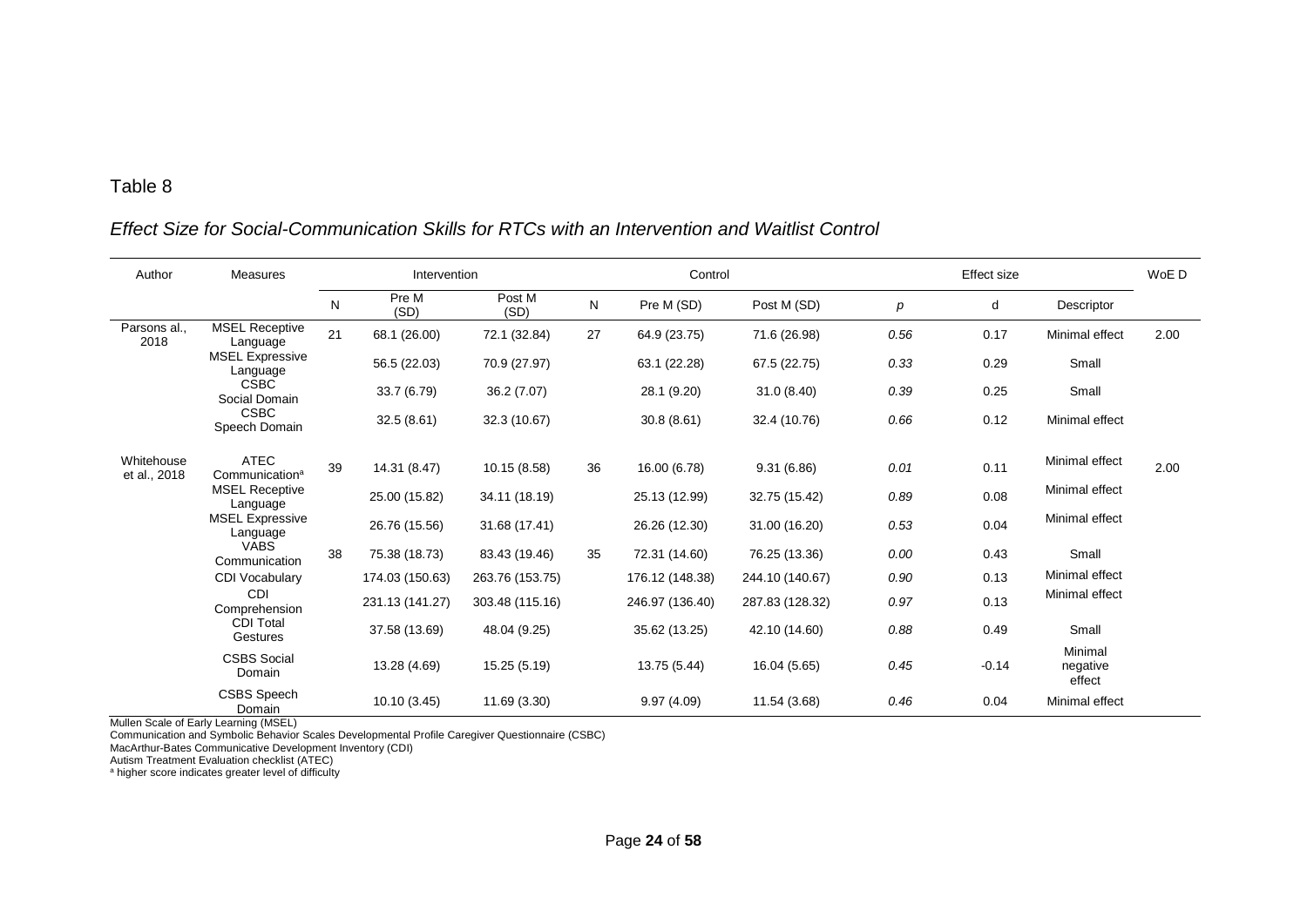### *Effect Size for Social-Communication Skills for RTCs with an Intervention and Waitlist Control*

| Author                     | <b>Measures</b>                           |    | Intervention    |                 | Control |                 |                 |      | <b>Effect size</b> |                               | WoE D |
|----------------------------|-------------------------------------------|----|-----------------|-----------------|---------|-----------------|-----------------|------|--------------------|-------------------------------|-------|
|                            |                                           | N  | Pre M<br>(SD)   | Post M<br>(SD)  | N       | Pre M (SD)      | Post M (SD)     | p    | d                  | Descriptor                    |       |
| Parsons al.,<br>2018       | <b>MSEL Receptive</b><br>Language         | 21 | 68.1 (26.00)    | 72.1 (32.84)    | 27      | 64.9 (23.75)    | 71.6 (26.98)    | 0.56 | 0.17               | Minimal effect                | 2.00  |
|                            | <b>MSEL Expressive</b><br>Language        |    | 56.5 (22.03)    | 70.9 (27.97)    |         | 63.1 (22.28)    | 67.5 (22.75)    | 0.33 | 0.29               | Small                         |       |
|                            | <b>CSBC</b><br>Social Domain              |    | 33.7 (6.79)     | 36.2 (7.07)     |         | 28.1 (9.20)     | 31.0(8.40)      | 0.39 | 0.25               | Small                         |       |
|                            | <b>CSBC</b><br>Speech Domain              |    | 32.5(8.61)      | 32.3 (10.67)    |         | 30.8(8.61)      | 32.4 (10.76)    | 0.66 | 0.12               | Minimal effect                |       |
| Whitehouse<br>et al., 2018 | <b>ATEC</b><br>Communication <sup>a</sup> | 39 | 14.31 (8.47)    | 10.15 (8.58)    | 36      | 16.00 (6.78)    | 9.31(6.86)      | 0.01 | 0.11               | Minimal effect                | 2.00  |
|                            | <b>MSEL Receptive</b><br>Language         |    | 25.00 (15.82)   | 34.11 (18.19)   |         | 25.13 (12.99)   | 32.75 (15.42)   | 0.89 | 0.08               | Minimal effect                |       |
|                            | <b>MSEL Expressive</b><br>Language        |    | 26.76 (15.56)   | 31.68 (17.41)   |         | 26.26 (12.30)   | 31.00 (16.20)   | 0.53 | 0.04               | Minimal effect                |       |
|                            | <b>VABS</b><br>Communication              | 38 | 75.38 (18.73)   | 83.43 (19.46)   | 35      | 72.31 (14.60)   | 76.25 (13.36)   | 0.00 | 0.43               | Small                         |       |
|                            | <b>CDI Vocabulary</b>                     |    | 174.03 (150.63) | 263.76 (153.75) |         | 176.12 (148.38) | 244.10 (140.67) | 0.90 | 0.13               | Minimal effect                |       |
|                            | CDI<br>Comprehension                      |    | 231.13 (141.27) | 303.48 (115.16) |         | 246.97 (136.40) | 287.83 (128.32) | 0.97 | 0.13               | Minimal effect                |       |
|                            | <b>CDI Total</b><br>Gestures              |    | 37.58 (13.69)   | 48.04 (9.25)    |         | 35.62 (13.25)   | 42.10 (14.60)   | 0.88 | 0.49               | Small                         |       |
|                            | <b>CSBS Social</b><br>Domain              |    | 13.28 (4.69)    | 15.25 (5.19)    |         | 13.75 (5.44)    | 16.04 (5.65)    | 0.45 | $-0.14$            | Minimal<br>negative<br>effect |       |
|                            | <b>CSBS</b> Speech<br>Domain              |    | 10.10 (3.45)    | 11.69 (3.30)    |         | 9.97(4.09)      | 11.54 (3.68)    | 0.46 | 0.04               | Minimal effect                |       |

Mullen Scale of Early Learning (MSEL)

Communication and Symbolic Behavior Scales Developmental Profile Caregiver Questionnaire (CSBC)

MacArthur-Bates Communicative Development Inventory (CDI)

Autism Treatment Evaluation checklist (ATEC)

<sup>a</sup> higher score indicates greater level of difficulty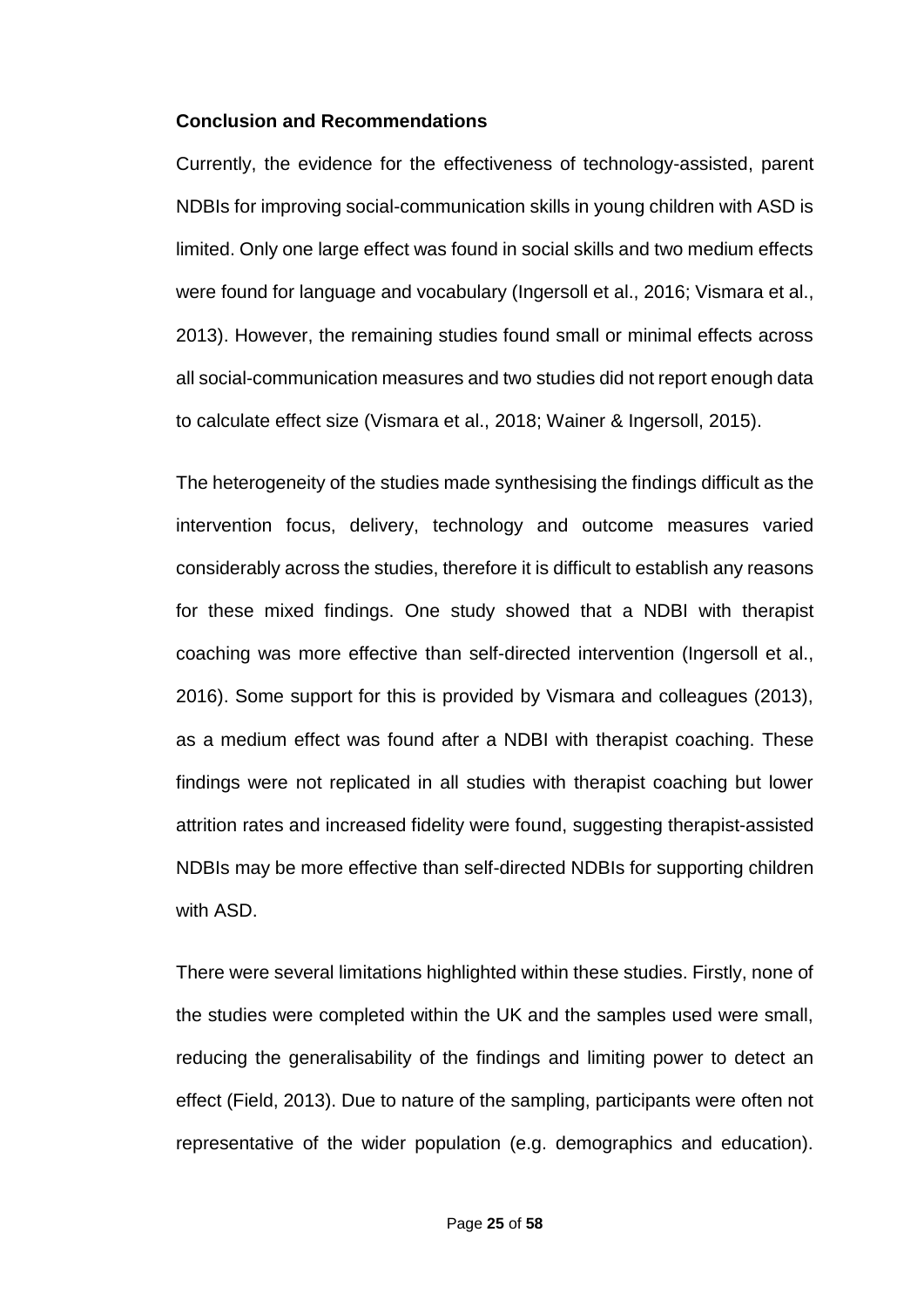#### **Conclusion and Recommendations**

Currently, the evidence for the effectiveness of technology-assisted, parent NDBIs for improving social-communication skills in young children with ASD is limited. Only one large effect was found in social skills and two medium effects were found for language and vocabulary (Ingersoll et al., 2016; Vismara et al., 2013). However, the remaining studies found small or minimal effects across all social-communication measures and two studies did not report enough data to calculate effect size (Vismara et al., 2018; Wainer & Ingersoll, 2015).

The heterogeneity of the studies made synthesising the findings difficult as the intervention focus, delivery, technology and outcome measures varied considerably across the studies, therefore it is difficult to establish any reasons for these mixed findings. One study showed that a NDBI with therapist coaching was more effective than self-directed intervention (Ingersoll et al., 2016). Some support for this is provided by Vismara and colleagues (2013), as a medium effect was found after a NDBI with therapist coaching. These findings were not replicated in all studies with therapist coaching but lower attrition rates and increased fidelity were found, suggesting therapist-assisted NDBIs may be more effective than self-directed NDBIs for supporting children with ASD.

There were several limitations highlighted within these studies. Firstly, none of the studies were completed within the UK and the samples used were small, reducing the generalisability of the findings and limiting power to detect an effect (Field, 2013). Due to nature of the sampling, participants were often not representative of the wider population (e.g. demographics and education).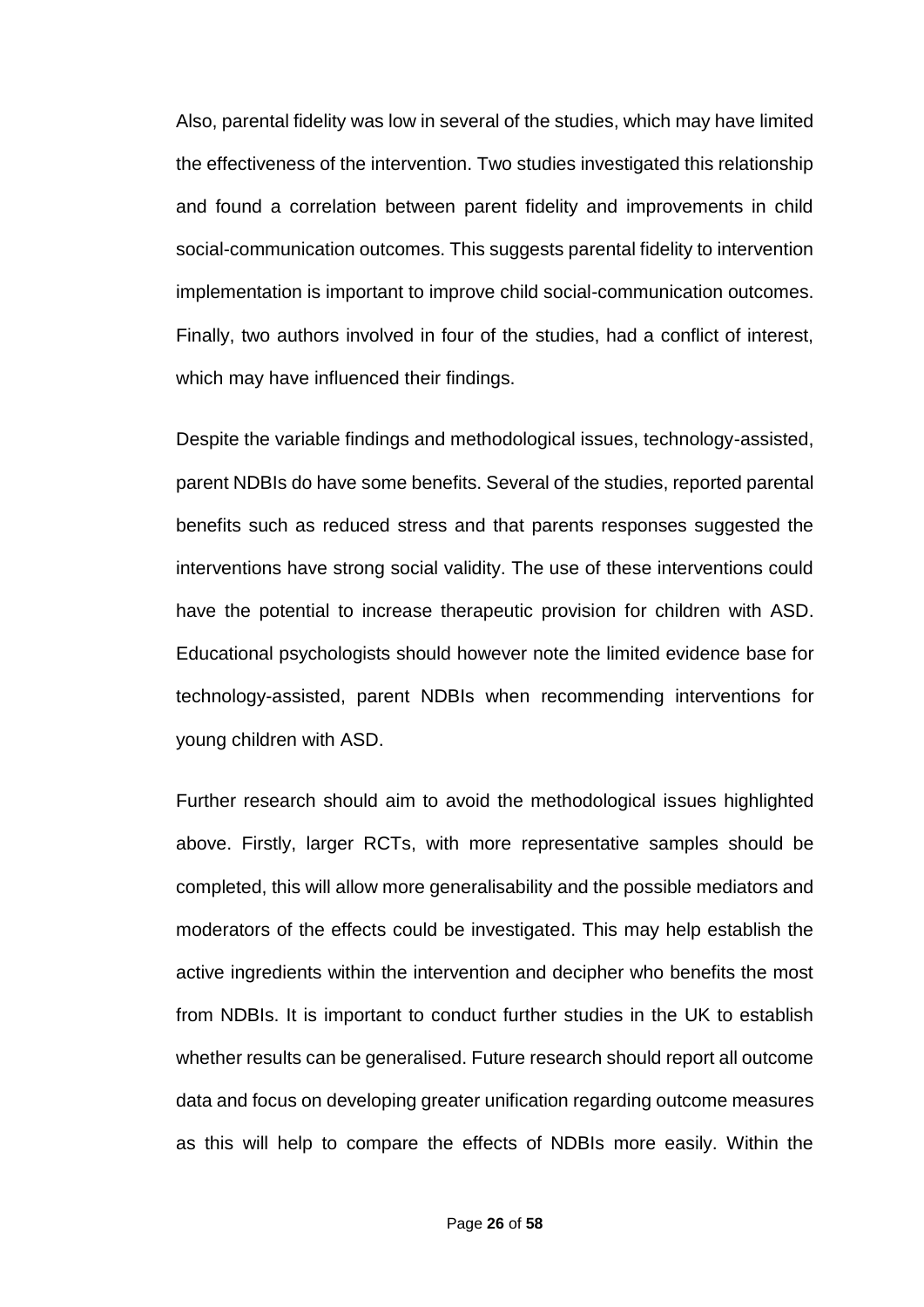Also, parental fidelity was low in several of the studies, which may have limited the effectiveness of the intervention. Two studies investigated this relationship and found a correlation between parent fidelity and improvements in child social-communication outcomes. This suggests parental fidelity to intervention implementation is important to improve child social-communication outcomes. Finally, two authors involved in four of the studies, had a conflict of interest, which may have influenced their findings.

Despite the variable findings and methodological issues, technology-assisted, parent NDBIs do have some benefits. Several of the studies, reported parental benefits such as reduced stress and that parents responses suggested the interventions have strong social validity. The use of these interventions could have the potential to increase therapeutic provision for children with ASD. Educational psychologists should however note the limited evidence base for technology-assisted, parent NDBIs when recommending interventions for young children with ASD.

Further research should aim to avoid the methodological issues highlighted above. Firstly, larger RCTs, with more representative samples should be completed, this will allow more generalisability and the possible mediators and moderators of the effects could be investigated. This may help establish the active ingredients within the intervention and decipher who benefits the most from NDBIs. It is important to conduct further studies in the UK to establish whether results can be generalised. Future research should report all outcome data and focus on developing greater unification regarding outcome measures as this will help to compare the effects of NDBIs more easily. Within the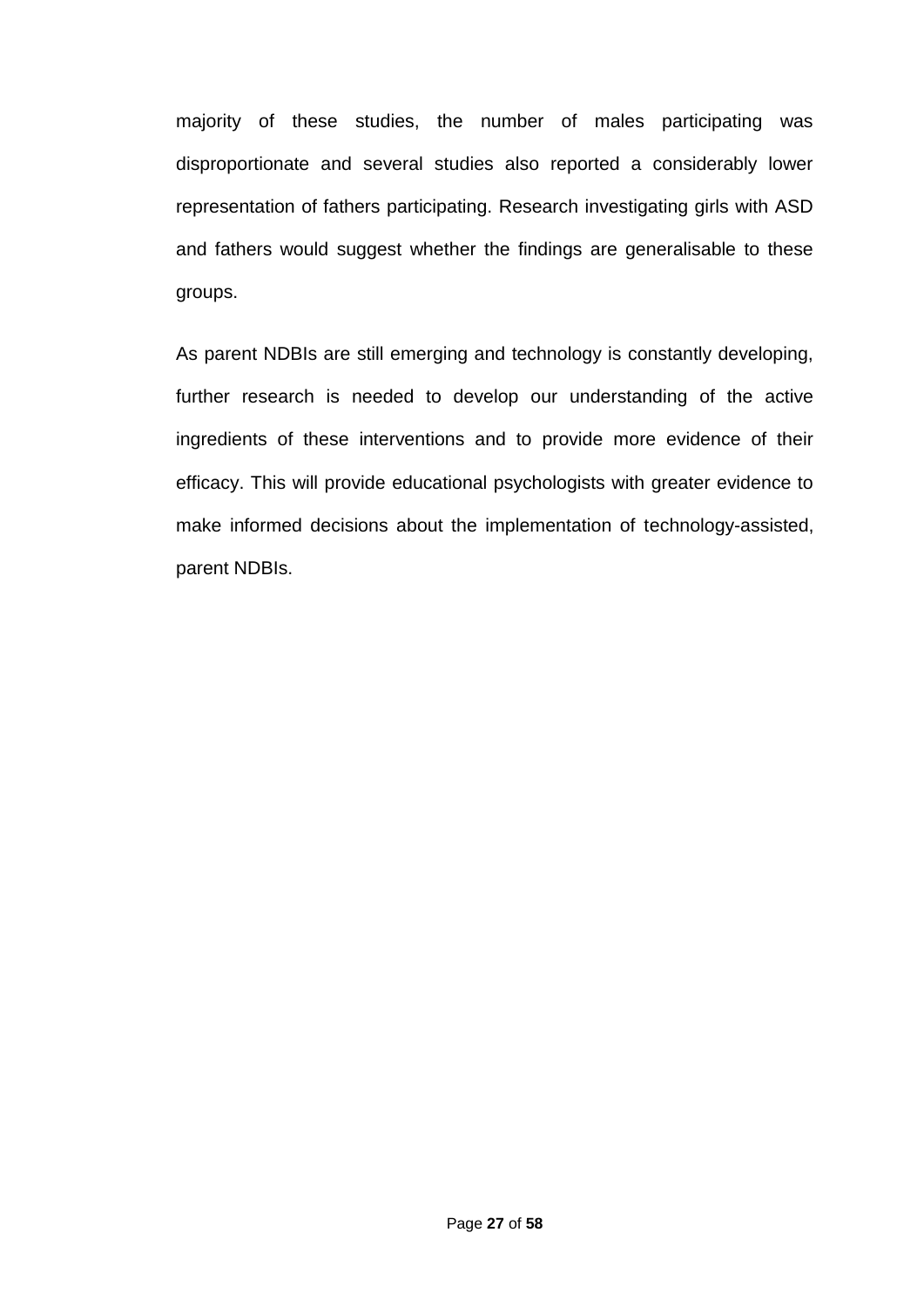majority of these studies, the number of males participating was disproportionate and several studies also reported a considerably lower representation of fathers participating. Research investigating girls with ASD and fathers would suggest whether the findings are generalisable to these groups.

As parent NDBIs are still emerging and technology is constantly developing, further research is needed to develop our understanding of the active ingredients of these interventions and to provide more evidence of their efficacy. This will provide educational psychologists with greater evidence to make informed decisions about the implementation of technology-assisted, parent NDBIs.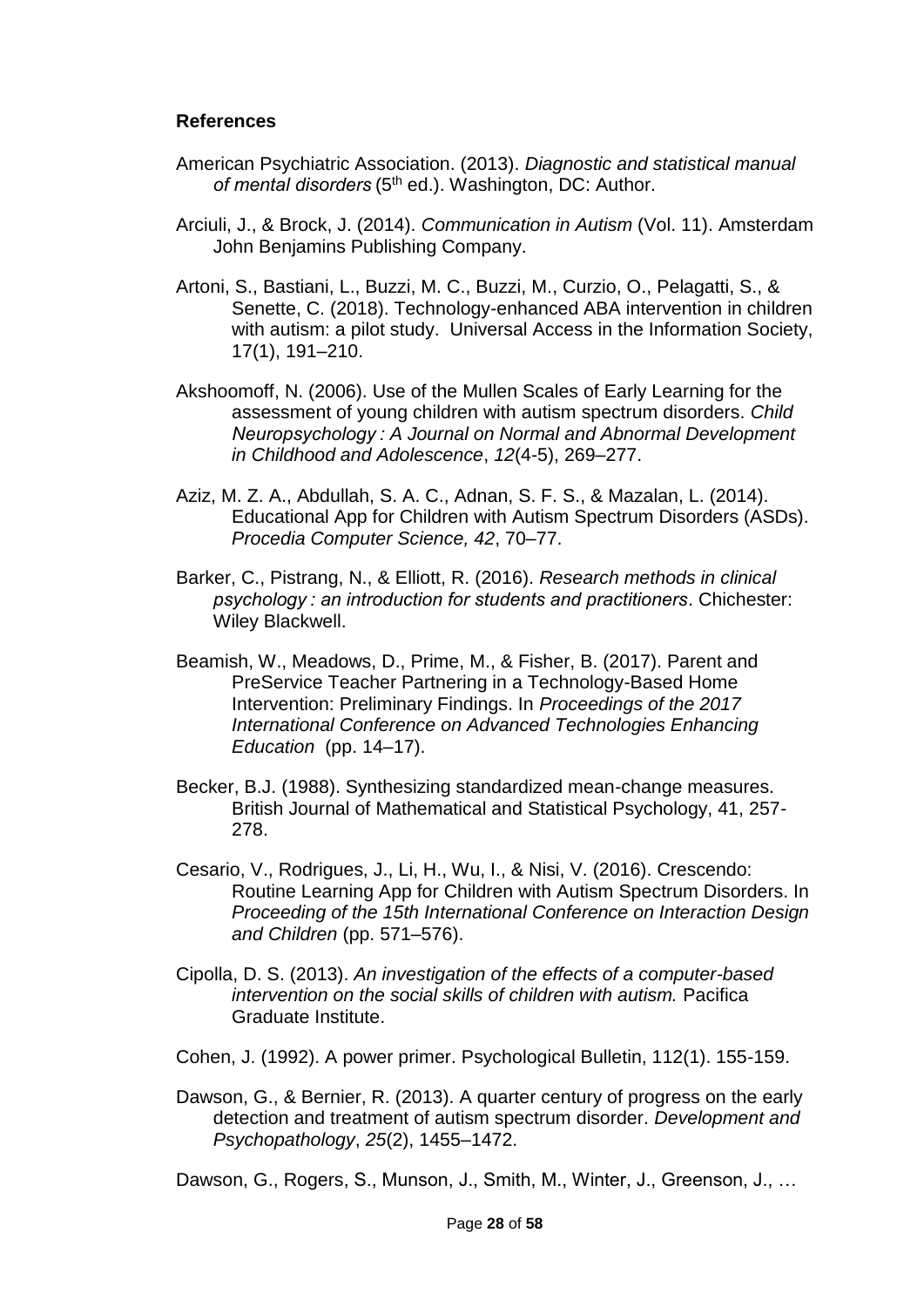### **References**

- American Psychiatric Association. (2013). *Diagnostic and statistical manual*  of mental disorders (5<sup>th</sup> ed.). Washington, DC: Author.
- Arciuli, J., & Brock, J. (2014). *Communication in Autism* (Vol. 11). Amsterdam John Benjamins Publishing Company.
- Artoni, S., Bastiani, L., Buzzi, M. C., Buzzi, M., Curzio, O., Pelagatti, S., & Senette, C. (2018). Technology-enhanced ABA intervention in children with autism: a pilot study. Universal Access in the Information Society, 17(1), 191–210.
- Akshoomoff, N. (2006). Use of the Mullen Scales of Early Learning for the assessment of young children with autism spectrum disorders. *Child Neuropsychology : A Journal on Normal and Abnormal Development in Childhood and Adolescence*, *12*(4-5), 269–277.
- Aziz, M. Z. A., Abdullah, S. A. C., Adnan, S. F. S., & Mazalan, L. (2014). Educational App for Children with Autism Spectrum Disorders (ASDs). *Procedia Computer Science, 42*, 70–77.
- Barker, C., Pistrang, N., & Elliott, R. (2016). *Research methods in clinical psychology : an introduction for students and practitioners*. Chichester: Wiley Blackwell.
- Beamish, W., Meadows, D., Prime, M., & Fisher, B. (2017). Parent and PreService Teacher Partnering in a Technology-Based Home Intervention: Preliminary Findings. In *Proceedings of the 2017 International Conference on Advanced Technologies Enhancing Education* (pp. 14–17).
- Becker, B.J. (1988). Synthesizing standardized mean-change measures. British Journal of Mathematical and Statistical Psychology, 41, 257- 278.
- Cesario, V., Rodrigues, J., Li, H., Wu, I., & Nisi, V. (2016). Crescendo: Routine Learning App for Children with Autism Spectrum Disorders. In *Proceeding of the 15th International Conference on Interaction Design and Children* (pp. 571–576).
- Cipolla, D. S. (2013). *An investigation of the effects of a computer-based intervention on the social skills of children with autism.* Pacifica Graduate Institute.
- Cohen, J. (1992). A power primer. Psychological Bulletin, 112(1). 155-159.
- Dawson, G., & Bernier, R. (2013). A quarter century of progress on the early detection and treatment of autism spectrum disorder. *Development and Psychopathology*, *25*(2), 1455–1472.

Dawson, G., Rogers, S., Munson, J., Smith, M., Winter, J., Greenson, J., ...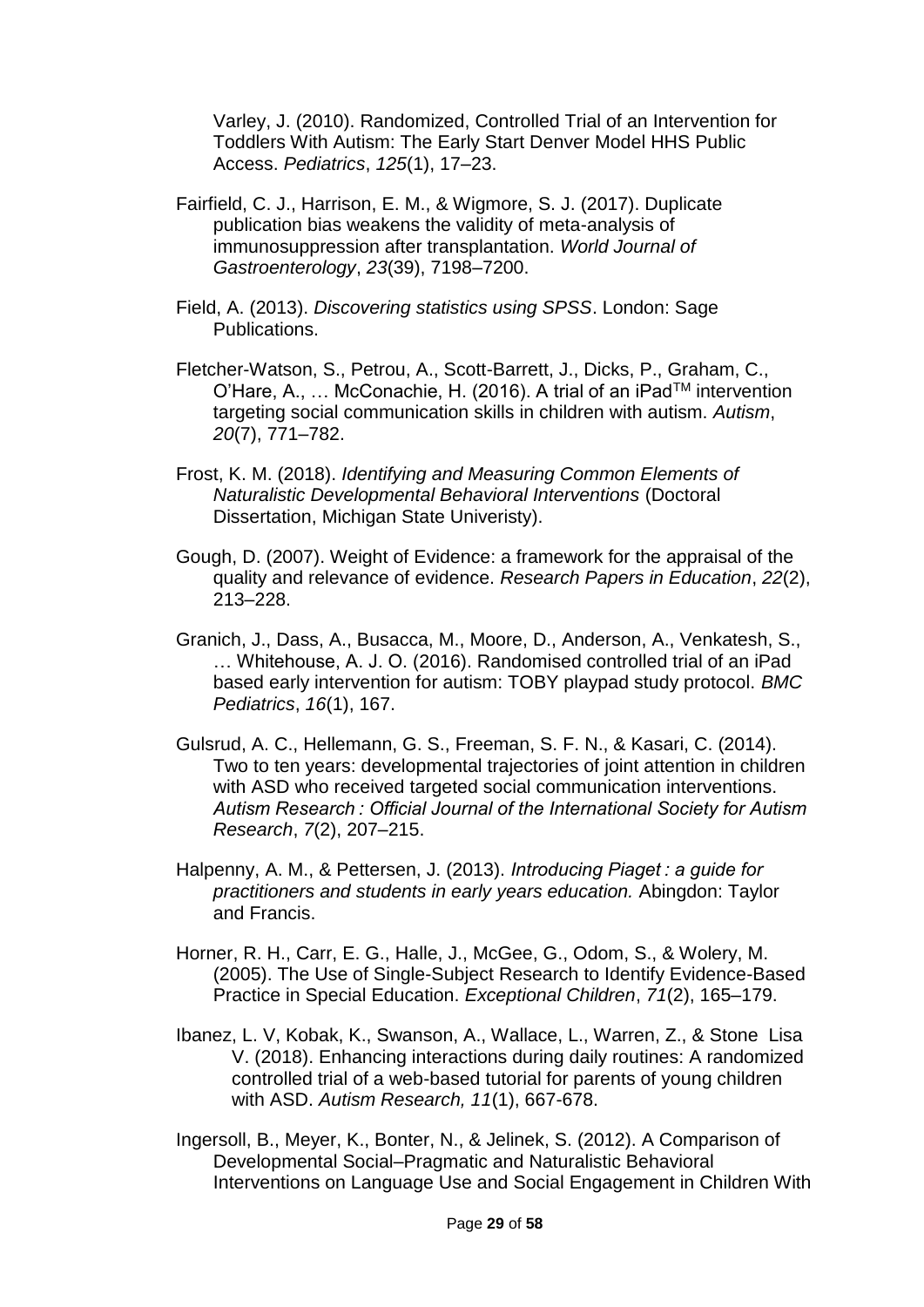Varley, J. (2010). Randomized, Controlled Trial of an Intervention for Toddlers With Autism: The Early Start Denver Model HHS Public Access. *Pediatrics*, *125*(1), 17–23.

- Fairfield, C. J., Harrison, E. M., & Wigmore, S. J. (2017). Duplicate publication bias weakens the validity of meta-analysis of immunosuppression after transplantation. *World Journal of Gastroenterology*, *23*(39), 7198–7200.
- Field, A. (2013). *Discovering statistics using SPSS*. London: Sage Publications.
- Fletcher-Watson, S., Petrou, A., Scott-Barrett, J., Dicks, P., Graham, C., O'Hare, A., … McConachie, H. (2016). A trial of an iPadTM intervention targeting social communication skills in children with autism. *Autism*, *20*(7), 771–782.
- Frost, K. M. (2018). *Identifying and Measuring Common Elements of Naturalistic Developmental Behavioral Interventions* (Doctoral Dissertation, Michigan State Univeristy).
- Gough, D. (2007). Weight of Evidence: a framework for the appraisal of the quality and relevance of evidence. *Research Papers in Education*, *22*(2), 213–228.
- Granich, J., Dass, A., Busacca, M., Moore, D., Anderson, A., Venkatesh, S., … Whitehouse, A. J. O. (2016). Randomised controlled trial of an iPad based early intervention for autism: TOBY playpad study protocol. *BMC Pediatrics*, *16*(1), 167.
- Gulsrud, A. C., Hellemann, G. S., Freeman, S. F. N., & Kasari, C. (2014). Two to ten years: developmental trajectories of joint attention in children with ASD who received targeted social communication interventions. *Autism Research : Official Journal of the International Society for Autism Research*, *7*(2), 207–215.
- Halpenny, A. M., & Pettersen, J. (2013). *Introducing Piaget : a guide for practitioners and students in early years education.* Abingdon: Taylor and Francis.
- Horner, R. H., Carr, E. G., Halle, J., McGee, G., Odom, S., & Wolery, M. (2005). The Use of Single-Subject Research to Identify Evidence-Based Practice in Special Education. *Exceptional Children*, *71*(2), 165–179.
- Ibanez, L. V, Kobak, K., Swanson, A., Wallace, L., Warren, Z., & Stone Lisa V. (2018). Enhancing interactions during daily routines: A randomized controlled trial of a web-based tutorial for parents of young children with ASD. *Autism Research, 11*(1), 667-678.
- Ingersoll, B., Meyer, K., Bonter, N., & Jelinek, S. (2012). A Comparison of Developmental Social–Pragmatic and Naturalistic Behavioral Interventions on Language Use and Social Engagement in Children With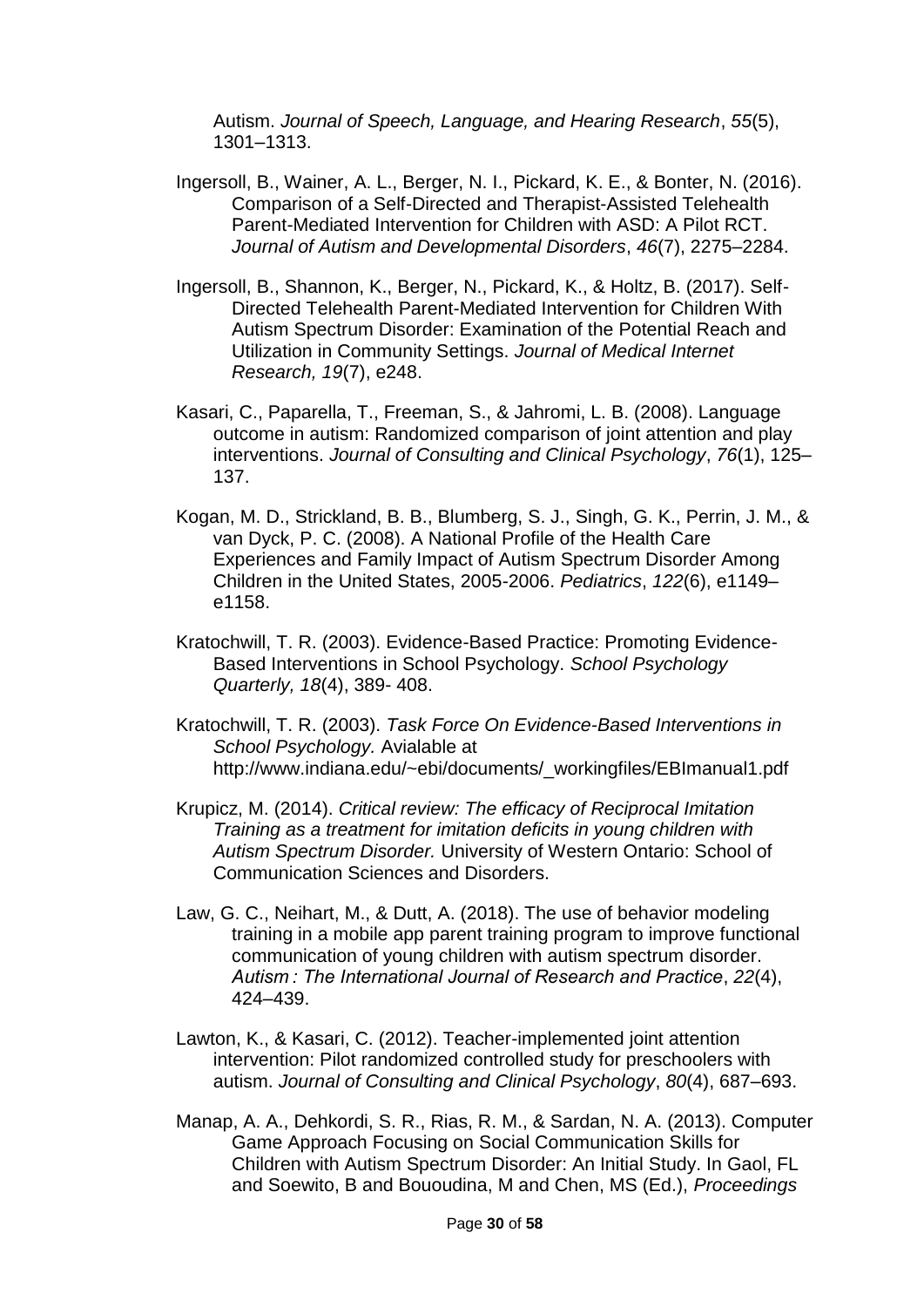Autism. *Journal of Speech, Language, and Hearing Research*, *55*(5), 1301–1313.

- Ingersoll, B., Wainer, A. L., Berger, N. I., Pickard, K. E., & Bonter, N. (2016). Comparison of a Self-Directed and Therapist-Assisted Telehealth Parent-Mediated Intervention for Children with ASD: A Pilot RCT. *Journal of Autism and Developmental Disorders*, *46*(7), 2275–2284.
- Ingersoll, B., Shannon, K., Berger, N., Pickard, K., & Holtz, B. (2017). Self-Directed Telehealth Parent-Mediated Intervention for Children With Autism Spectrum Disorder: Examination of the Potential Reach and Utilization in Community Settings. *Journal of Medical Internet Research, 19*(7), e248.
- Kasari, C., Paparella, T., Freeman, S., & Jahromi, L. B. (2008). Language outcome in autism: Randomized comparison of joint attention and play interventions. *Journal of Consulting and Clinical Psychology*, *76*(1), 125– 137.
- Kogan, M. D., Strickland, B. B., Blumberg, S. J., Singh, G. K., Perrin, J. M., & van Dyck, P. C. (2008). A National Profile of the Health Care Experiences and Family Impact of Autism Spectrum Disorder Among Children in the United States, 2005-2006. *Pediatrics*, *122*(6), e1149– e1158.
- Kratochwill, T. R. (2003). Evidence-Based Practice: Promoting Evidence-Based Interventions in School Psychology. *School Psychology Quarterly, 18*(4), 389- 408.
- Kratochwill, T. R. (2003). *Task Force On Evidence-Based Interventions in School Psychology.* Avialable at http://www.indiana.edu/~ebi/documents/\_workingfiles/EBImanual1.pdf
- Krupicz, M. (2014). *Critical review: The efficacy of Reciprocal Imitation Training as a treatment for imitation deficits in young children with Autism Spectrum Disorder.* University of Western Ontario: School of Communication Sciences and Disorders.
- Law, G. C., Neihart, M., & Dutt, A. (2018). The use of behavior modeling training in a mobile app parent training program to improve functional communication of young children with autism spectrum disorder. *Autism : The International Journal of Research and Practice*, *22*(4), 424–439.
- Lawton, K., & Kasari, C. (2012). Teacher-implemented joint attention intervention: Pilot randomized controlled study for preschoolers with autism. *Journal of Consulting and Clinical Psychology*, *80*(4), 687–693.
- Manap, A. A., Dehkordi, S. R., Rias, R. M., & Sardan, N. A. (2013). Computer Game Approach Focusing on Social Communication Skills for Children with Autism Spectrum Disorder: An Initial Study. In Gaol, FL and Soewito, B and Bououdina, M and Chen, MS (Ed.), *Proceedings*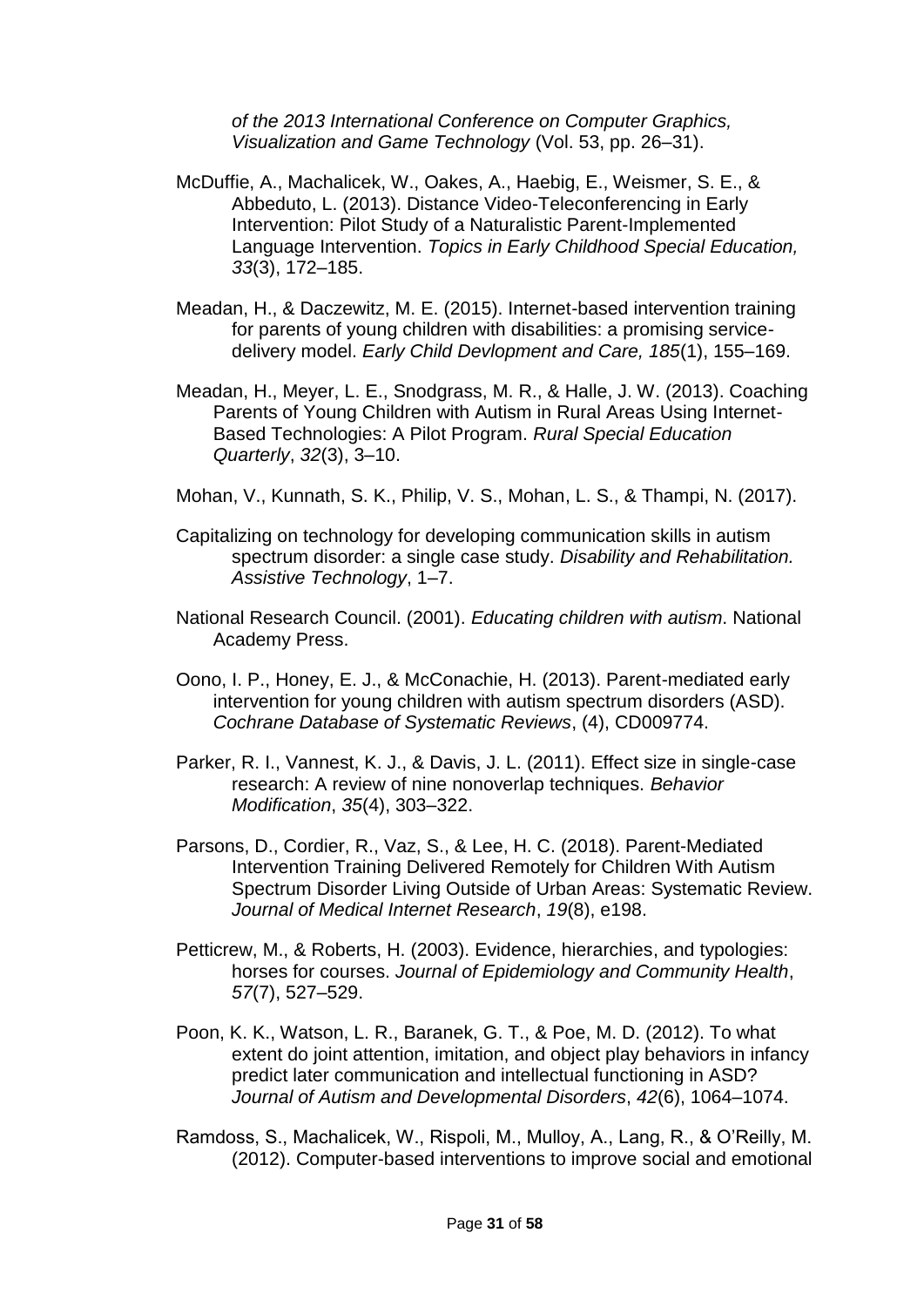*of the 2013 International Conference on Computer Graphics, Visualization and Game Technology* (Vol. 53, pp. 26–31).

- McDuffie, A., Machalicek, W., Oakes, A., Haebig, E., Weismer, S. E., & Abbeduto, L. (2013). Distance Video-Teleconferencing in Early Intervention: Pilot Study of a Naturalistic Parent-Implemented Language Intervention. *Topics in Early Childhood Special Education, 33*(3), 172–185.
- Meadan, H., & Daczewitz, M. E. (2015). Internet-based intervention training for parents of young children with disabilities: a promising servicedelivery model. *Early Child Devlopment and Care, 185*(1), 155–169.
- Meadan, H., Meyer, L. E., Snodgrass, M. R., & Halle, J. W. (2013). Coaching Parents of Young Children with Autism in Rural Areas Using Internet-Based Technologies: A Pilot Program. *Rural Special Education Quarterly*, *32*(3), 3–10.
- Mohan, V., Kunnath, S. K., Philip, V. S., Mohan, L. S., & Thampi, N. (2017).
- Capitalizing on technology for developing communication skills in autism spectrum disorder: a single case study. *Disability and Rehabilitation. Assistive Technology*, 1–7.
- National Research Council. (2001). *Educating children with autism*. National Academy Press.
- Oono, I. P., Honey, E. J., & McConachie, H. (2013). Parent-mediated early intervention for young children with autism spectrum disorders (ASD). *Cochrane Database of Systematic Reviews*, (4), CD009774.
- Parker, R. I., Vannest, K. J., & Davis, J. L. (2011). Effect size in single-case research: A review of nine nonoverlap techniques. *Behavior Modification*, *35*(4), 303–322.
- Parsons, D., Cordier, R., Vaz, S., & Lee, H. C. (2018). Parent-Mediated Intervention Training Delivered Remotely for Children With Autism Spectrum Disorder Living Outside of Urban Areas: Systematic Review. *Journal of Medical Internet Research*, *19*(8), e198.
- Petticrew, M., & Roberts, H. (2003). Evidence, hierarchies, and typologies: horses for courses. *Journal of Epidemiology and Community Health*, *57*(7), 527–529.
- Poon, K. K., Watson, L. R., Baranek, G. T., & Poe, M. D. (2012). To what extent do joint attention, imitation, and object play behaviors in infancy predict later communication and intellectual functioning in ASD? *Journal of Autism and Developmental Disorders*, *42*(6), 1064–1074.
- Ramdoss, S., Machalicek, W., Rispoli, M., Mulloy, A., Lang, R., & O'Reilly, M. (2012). Computer-based interventions to improve social and emotional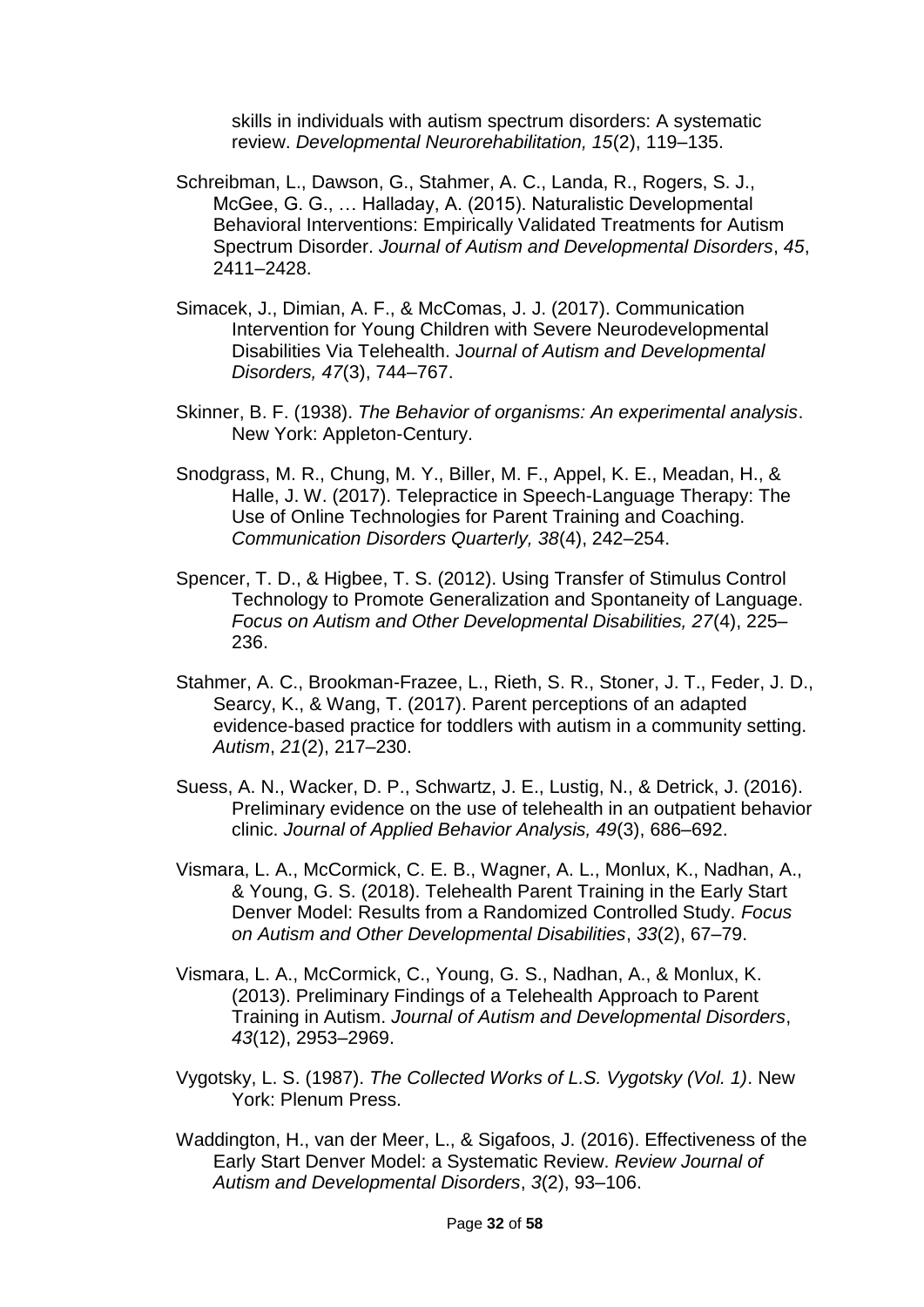skills in individuals with autism spectrum disorders: A systematic review. *Developmental Neurorehabilitation, 15*(2), 119–135.

- Schreibman, L., Dawson, G., Stahmer, A. C., Landa, R., Rogers, S. J., McGee, G. G., … Halladay, A. (2015). Naturalistic Developmental Behavioral Interventions: Empirically Validated Treatments for Autism Spectrum Disorder. *Journal of Autism and Developmental Disorders*, *45*, 2411–2428.
- Simacek, J., Dimian, A. F., & McComas, J. J. (2017). Communication Intervention for Young Children with Severe Neurodevelopmental Disabilities Via Telehealth. J*ournal of Autism and Developmental Disorders, 47*(3), 744–767.
- Skinner, B. F. (1938). *The Behavior of organisms: An experimental analysis*. New York: Appleton-Century.
- Snodgrass, M. R., Chung, M. Y., Biller, M. F., Appel, K. E., Meadan, H., & Halle, J. W. (2017). Telepractice in Speech-Language Therapy: The Use of Online Technologies for Parent Training and Coaching. *Communication Disorders Quarterly, 38*(4), 242–254.
- Spencer, T. D., & Higbee, T. S. (2012). Using Transfer of Stimulus Control Technology to Promote Generalization and Spontaneity of Language. *Focus on Autism and Other Developmental Disabilities, 27*(4), 225– 236.
- Stahmer, A. C., Brookman-Frazee, L., Rieth, S. R., Stoner, J. T., Feder, J. D., Searcy, K., & Wang, T. (2017). Parent perceptions of an adapted evidence-based practice for toddlers with autism in a community setting. *Autism*, *21*(2), 217–230.
- Suess, A. N., Wacker, D. P., Schwartz, J. E., Lustig, N., & Detrick, J. (2016). Preliminary evidence on the use of telehealth in an outpatient behavior clinic. *Journal of Applied Behavior Analysis, 49*(3), 686–692.
- Vismara, L. A., McCormick, C. E. B., Wagner, A. L., Monlux, K., Nadhan, A., & Young, G. S. (2018). Telehealth Parent Training in the Early Start Denver Model: Results from a Randomized Controlled Study. *Focus on Autism and Other Developmental Disabilities*, *33*(2), 67–79.
- Vismara, L. A., McCormick, C., Young, G. S., Nadhan, A., & Monlux, K. (2013). Preliminary Findings of a Telehealth Approach to Parent Training in Autism. *Journal of Autism and Developmental Disorders*, *43*(12), 2953–2969.
- Vygotsky, L. S. (1987). *The Collected Works of L.S. Vygotsky (Vol. 1)*. New York: Plenum Press.
- Waddington, H., van der Meer, L., & Sigafoos, J. (2016). Effectiveness of the Early Start Denver Model: a Systematic Review. *Review Journal of Autism and Developmental Disorders*, *3*(2), 93–106.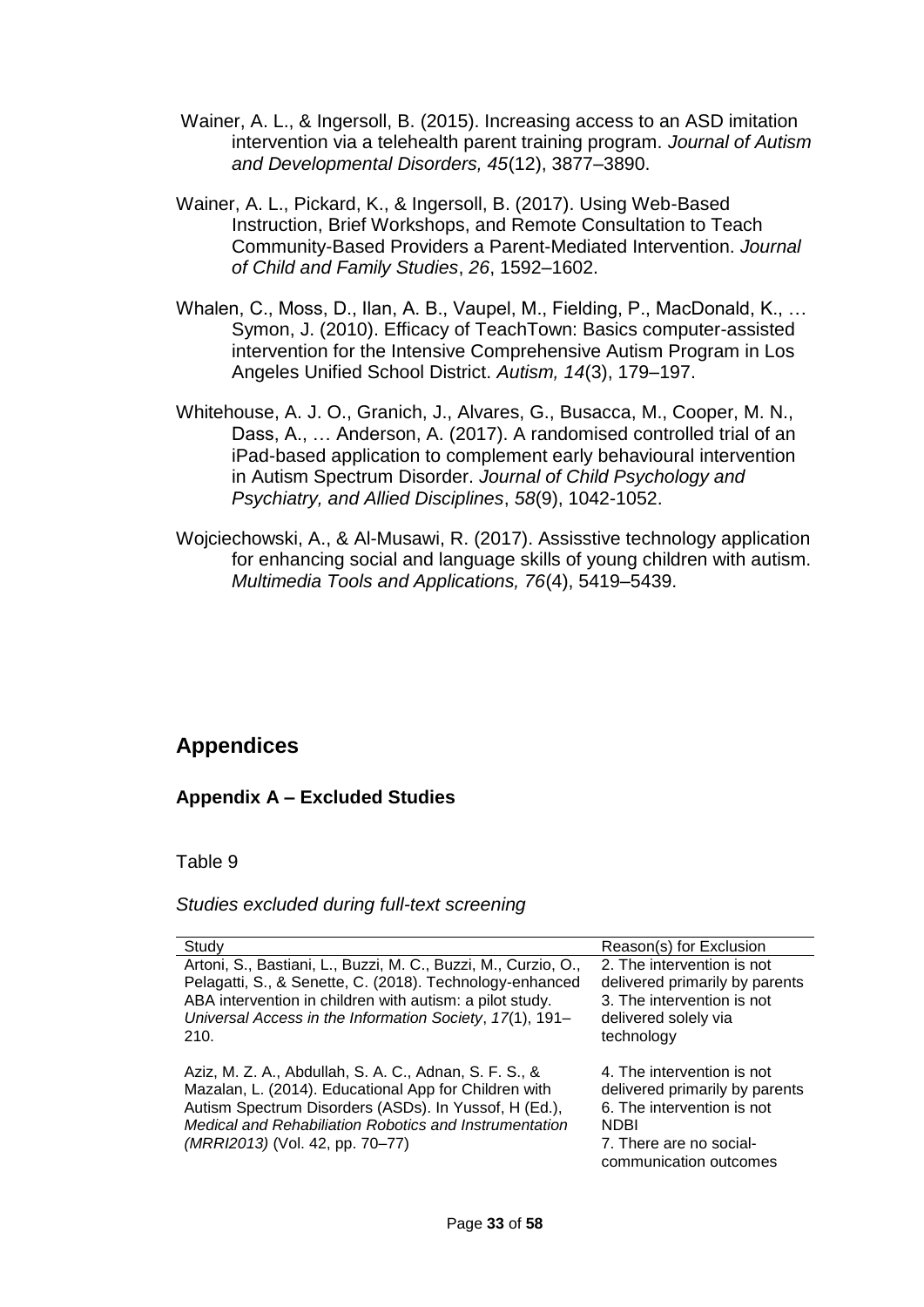- Wainer, A. L., & Ingersoll, B. (2015). Increasing access to an ASD imitation intervention via a telehealth parent training program. *Journal of Autism and Developmental Disorders, 45*(12), 3877–3890.
- Wainer, A. L., Pickard, K., & Ingersoll, B. (2017). Using Web-Based Instruction, Brief Workshops, and Remote Consultation to Teach Community-Based Providers a Parent-Mediated Intervention. *Journal of Child and Family Studies*, *26*, 1592–1602.
- Whalen, C., Moss, D., Ilan, A. B., Vaupel, M., Fielding, P., MacDonald, K., … Symon, J. (2010). Efficacy of TeachTown: Basics computer-assisted intervention for the Intensive Comprehensive Autism Program in Los Angeles Unified School District. *Autism, 14*(3), 179–197.
- Whitehouse, A. J. O., Granich, J., Alvares, G., Busacca, M., Cooper, M. N., Dass, A., … Anderson, A. (2017). A randomised controlled trial of an iPad-based application to complement early behavioural intervention in Autism Spectrum Disorder. *Journal of Child Psychology and Psychiatry, and Allied Disciplines*, *58*(9), 1042-1052.
- Wojciechowski, A., & Al-Musawi, R. (2017). Assisstive technology application for enhancing social and language skills of young children with autism. *Multimedia Tools and Applications, 76*(4), 5419–5439.

# **Appendices**

## **Appendix A – Excluded Studies**

### Table 9

### *Studies excluded during full-text screening*

| Study                                                                                                                                                                                                                                                                 | Reason(s) for Exclusion                                                                                                                                        |
|-----------------------------------------------------------------------------------------------------------------------------------------------------------------------------------------------------------------------------------------------------------------------|----------------------------------------------------------------------------------------------------------------------------------------------------------------|
| Artoni, S., Bastiani, L., Buzzi, M. C., Buzzi, M., Curzio, O.,<br>Pelagatti, S., & Senette, C. (2018). Technology-enhanced<br>ABA intervention in children with autism: a pilot study.<br>Universal Access in the Information Society, 17(1), 191-<br>210.            | 2. The intervention is not<br>delivered primarily by parents<br>3. The intervention is not<br>delivered solely via<br>technology                               |
| Aziz, M. Z. A., Abdullah, S. A. C., Adnan, S. F. S., &<br>Mazalan, L. (2014). Educational App for Children with<br>Autism Spectrum Disorders (ASDs). In Yussof, H (Ed.),<br>Medical and Rehabiliation Robotics and Instrumentation<br>(MRRI2013) (Vol. 42, pp. 70–77) | 4. The intervention is not<br>delivered primarily by parents<br>6. The intervention is not<br><b>NDBI</b><br>7. There are no social-<br>communication outcomes |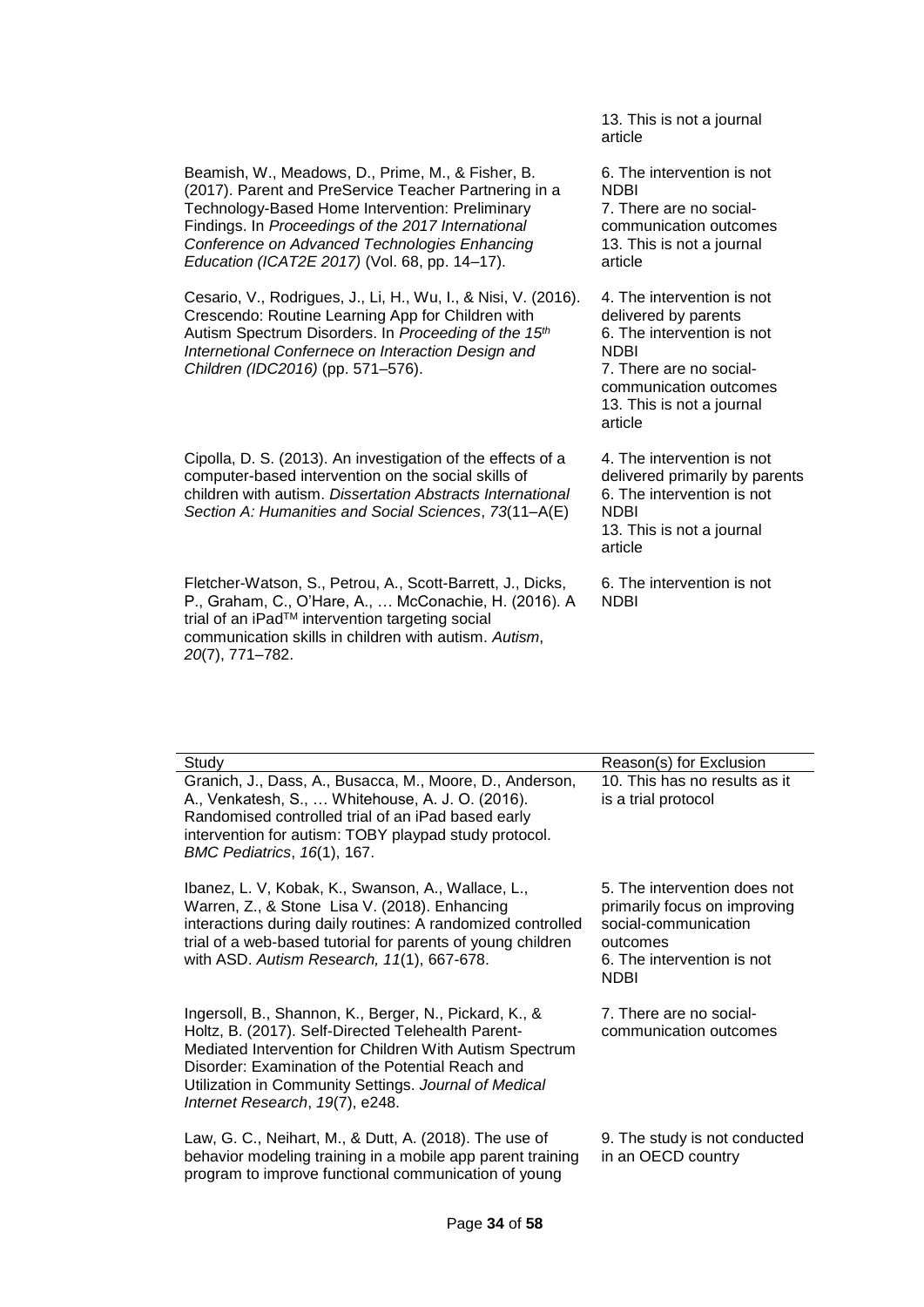13. This is not a journal article

6. The intervention is not **NDBI** 7. There are no socialcommunication outcomes 13. This is not a journal article

Cesario, V., Rodrigues, J., Li, H., Wu, I., & Nisi, V. (2016). Crescendo: Routine Learning App for Children with Autism Spectrum Disorders. In *Proceeding of the 15th Internetional Confernece on Interaction Design and Children (IDC2016)* (pp. 571–576). 4. The intervention is not delivered by parents 6. The intervention is not NDBI

Cipolla, D. S. (2013). An investigation of the effects of a computer-based intervention on the social skills of children with autism. *Dissertation Abstracts International Section A: Humanities and Social Sciences*, *73*(11–A(E)

Beamish, W., Meadows, D., Prime, M., & Fisher, B. (2017). Parent and PreService Teacher Partnering in a Technology-Based Home Intervention: Preliminary Findings. In *Proceedings of the 2017 International Conference on Advanced Technologies Enhancing Education (ICAT2E 2017)* (Vol. 68, pp. 14–17).

Fletcher-Watson, S., Petrou, A., Scott-Barrett, J., Dicks, P., Graham, C., O'Hare, A., … McConachie, H. (2016). A trial of an iPad™ intervention targeting social communication skills in children with autism. *Autism*, *20*(7), 771–782.

7. There are no socialcommunication outcomes 13. This is not a journal article

4. The intervention is not delivered primarily by parents 6. The intervention is not NDBI 13. This is not a journal article

6. The intervention is not NDBI

| Study                                                                                                                                                                                                                                                                                                                   | Reason(s) for Exclusion                                                                                                                |
|-------------------------------------------------------------------------------------------------------------------------------------------------------------------------------------------------------------------------------------------------------------------------------------------------------------------------|----------------------------------------------------------------------------------------------------------------------------------------|
| Granich, J., Dass, A., Busacca, M., Moore, D., Anderson,<br>A., Venkatesh, S.,  Whitehouse, A. J. O. (2016).<br>Randomised controlled trial of an iPad based early<br>intervention for autism: TOBY playpad study protocol.<br><b>BMC Pediatrics, 16(1), 167.</b>                                                       | 10. This has no results as it<br>is a trial protocol                                                                                   |
| Ibanez, L. V, Kobak, K., Swanson, A., Wallace, L.,<br>Warren, Z., & Stone Lisa V. (2018). Enhancing<br>interactions during daily routines: A randomized controlled<br>trial of a web-based tutorial for parents of young children<br>with ASD. Autism Research, 11(1), 667-678.                                         | 5. The intervention does not<br>primarily focus on improving<br>social-communication<br>outcomes<br>6. The intervention is not<br>NDBI |
| Ingersoll, B., Shannon, K., Berger, N., Pickard, K., &<br>Holtz, B. (2017). Self-Directed Telehealth Parent-<br>Mediated Intervention for Children With Autism Spectrum<br>Disorder: Examination of the Potential Reach and<br>Utilization in Community Settings. Journal of Medical<br>Internet Research, 19(7), e248. | 7. There are no social-<br>communication outcomes                                                                                      |
| Law, G. C., Neihart, M., & Dutt, A. (2018). The use of<br>behavior modeling training in a mobile app parent training<br>program to improve functional communication of young                                                                                                                                            | 9. The study is not conducted<br>in an OECD country                                                                                    |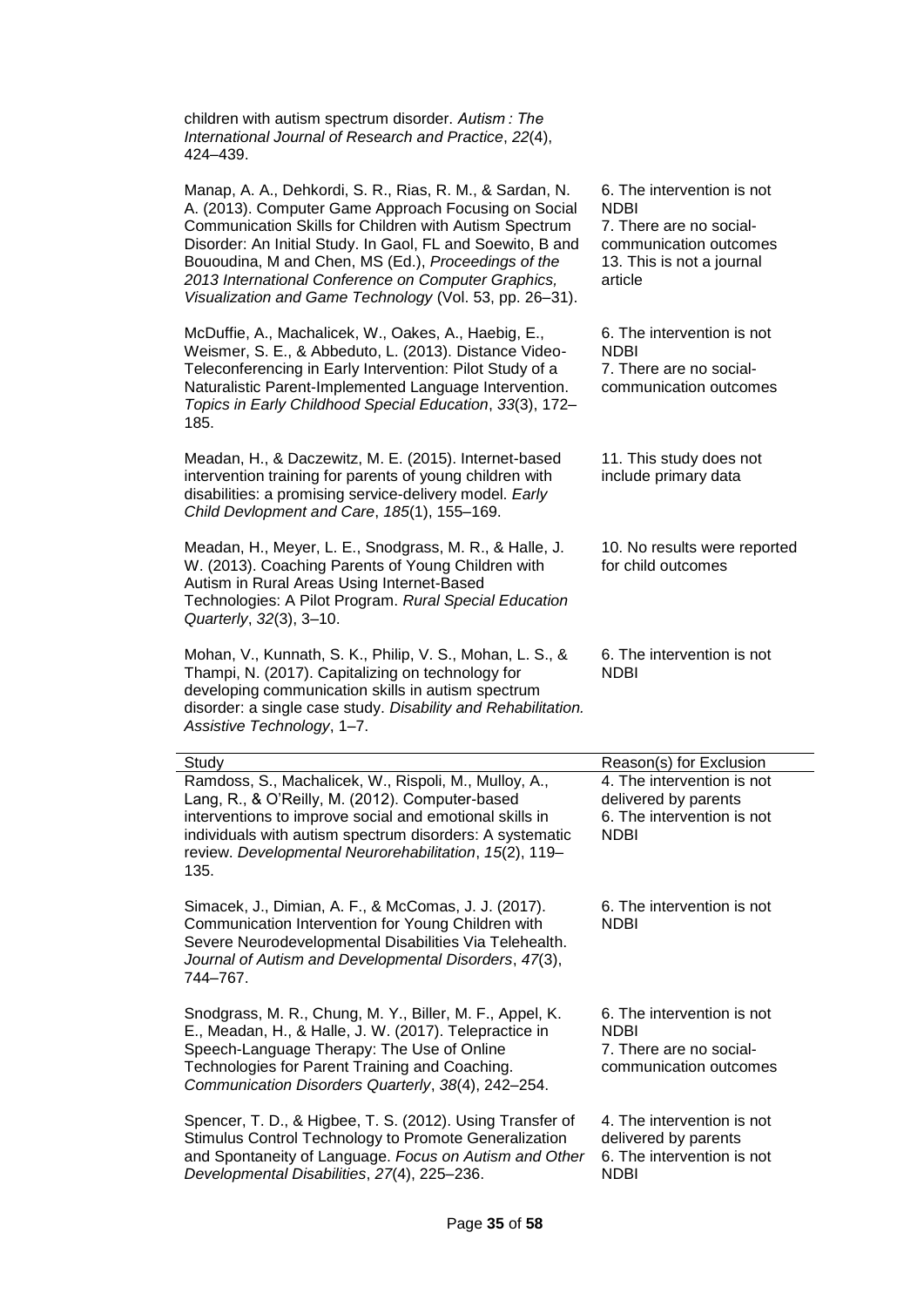| children with autism spectrum disorder. Autism: The<br>International Journal of Research and Practice, 22(4),<br>424-439.                                                                                                                                                                                                                                                                                         |                                                                                                                                        |
|-------------------------------------------------------------------------------------------------------------------------------------------------------------------------------------------------------------------------------------------------------------------------------------------------------------------------------------------------------------------------------------------------------------------|----------------------------------------------------------------------------------------------------------------------------------------|
| Manap, A. A., Dehkordi, S. R., Rias, R. M., & Sardan, N.<br>A. (2013). Computer Game Approach Focusing on Social<br>Communication Skills for Children with Autism Spectrum<br>Disorder: An Initial Study. In Gaol, FL and Soewito, B and<br>Bououdina, M and Chen, MS (Ed.), Proceedings of the<br>2013 International Conference on Computer Graphics,<br>Visualization and Game Technology (Vol. 53, pp. 26-31). | 6. The intervention is not<br><b>NDBI</b><br>7. There are no social-<br>communication outcomes<br>13. This is not a journal<br>article |
| McDuffie, A., Machalicek, W., Oakes, A., Haebig, E.,<br>Weismer, S. E., & Abbeduto, L. (2013). Distance Video-<br>Teleconferencing in Early Intervention: Pilot Study of a<br>Naturalistic Parent-Implemented Language Intervention.<br>Topics in Early Childhood Special Education, 33(3), 172-<br>185.                                                                                                          | 6. The intervention is not<br>NDBI<br>7. There are no social-<br>communication outcomes                                                |
| Meadan, H., & Daczewitz, M. E. (2015). Internet-based<br>intervention training for parents of young children with<br>disabilities: a promising service-delivery model. Early<br>Child Devlopment and Care, 185(1), 155-169.                                                                                                                                                                                       | 11. This study does not<br>include primary data                                                                                        |
| Meadan, H., Meyer, L. E., Snodgrass, M. R., & Halle, J.<br>W. (2013). Coaching Parents of Young Children with<br>Autism in Rural Areas Using Internet-Based<br>Technologies: A Pilot Program. Rural Special Education<br>Quarterly, 32(3), 3-10.                                                                                                                                                                  | 10. No results were reported<br>for child outcomes                                                                                     |
| Mohan, V., Kunnath, S. K., Philip, V. S., Mohan, L. S., &<br>Thampi, N. (2017). Capitalizing on technology for<br>developing communication skills in autism spectrum<br>disorder: a single case study. Disability and Rehabilitation.<br>Assistive Technology, 1-7.                                                                                                                                               | 6. The intervention is not<br><b>NDBI</b>                                                                                              |
| Study                                                                                                                                                                                                                                                                                                                                                                                                             | Reason(s) for Exclusion                                                                                                                |
| Ramdoss, S., Machalicek, W., Rispoli, M., Mulloy, A.,<br>Lang, R., & O'Reilly, M. (2012). Computer-based<br>interventions to improve social and emotional skills in<br>individuals with autism spectrum disorders: A systematic<br>review. Developmental Neurorehabilitation, 15(2), 119-<br>135.                                                                                                                 | 4. The intervention is not<br>delivered by parents<br>6. The intervention is not<br><b>NDBI</b>                                        |
| Simacek, J., Dimian, A. F., & McComas, J. J. (2017).<br>Communication Intervention for Young Children with<br>Severe Neurodevelopmental Disabilities Via Telehealth.<br>Journal of Autism and Developmental Disorders, 47(3),<br>744-767.                                                                                                                                                                         | 6. The intervention is not<br><b>NDBI</b>                                                                                              |
| Snodgrass, M. R., Chung, M. Y., Biller, M. F., Appel, K.<br>E., Meadan, H., & Halle, J. W. (2017). Telepractice in<br>Speech-Language Therapy: The Use of Online<br>Technologies for Parent Training and Coaching.<br>Communication Disorders Quarterly, 38(4), 242-254.                                                                                                                                          | 6. The intervention is not<br>NDBI<br>7. There are no social-<br>communication outcomes                                                |
| Spencer, T. D., & Higbee, T. S. (2012). Using Transfer of<br>Stimulus Control Technology to Promote Generalization<br>and Spontaneity of Language. Focus on Autism and Other<br>Developmental Disabilities, 27(4), 225-236.                                                                                                                                                                                       | 4. The intervention is not<br>delivered by parents<br>6. The intervention is not<br><b>NDBI</b>                                        |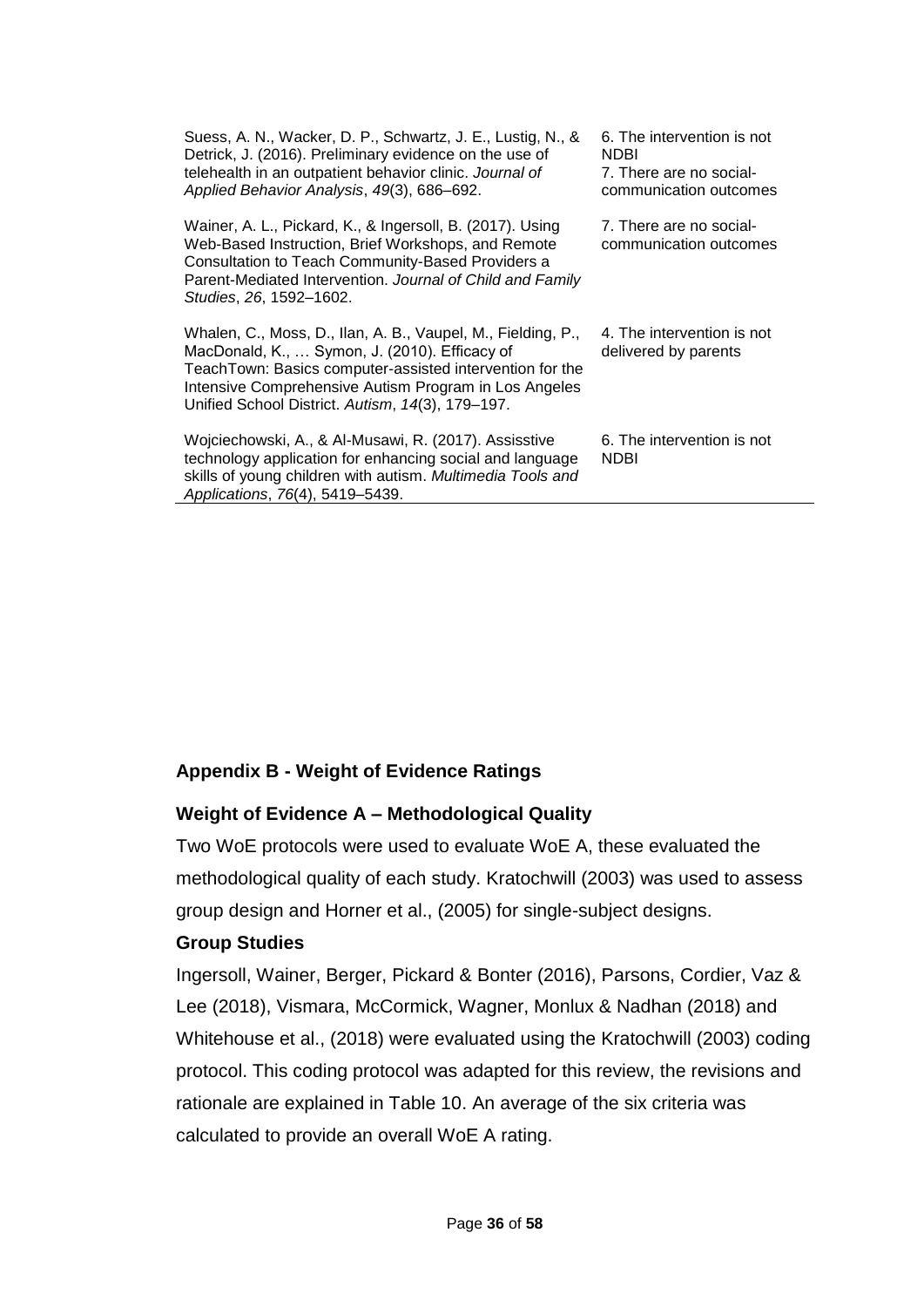| Suess, A. N., Wacker, D. P., Schwartz, J. E., Lustig, N., &<br>Detrick, J. (2016). Preliminary evidence on the use of<br>telehealth in an outpatient behavior clinic. Journal of<br>Applied Behavior Analysis, 49(3), 686-692.                                                         | 6. The intervention is not<br><b>NDBI</b><br>7. There are no social-<br>communication outcomes |
|----------------------------------------------------------------------------------------------------------------------------------------------------------------------------------------------------------------------------------------------------------------------------------------|------------------------------------------------------------------------------------------------|
| Wainer, A. L., Pickard, K., & Ingersoll, B. (2017). Using<br>Web-Based Instruction, Brief Workshops, and Remote<br>Consultation to Teach Community-Based Providers a<br>Parent-Mediated Intervention. Journal of Child and Family<br>Studies, 26, 1592-1602.                           | 7. There are no social-<br>communication outcomes                                              |
| Whalen, C., Moss, D., Ilan, A. B., Vaupel, M., Fielding, P.,<br>MacDonald, K.,  Symon, J. (2010). Efficacy of<br>TeachTown: Basics computer-assisted intervention for the<br>Intensive Comprehensive Autism Program in Los Angeles<br>Unified School District. Autism, 14(3), 179-197. | 4. The intervention is not<br>delivered by parents                                             |
| Wojciechowski, A., & Al-Musawi, R. (2017). Assisstive<br>technology application for enhancing social and language<br>skills of young children with autism. Multimedia Tools and<br>Applications, 76(4), 5419-5439.                                                                     | 6. The intervention is not<br>NDBI                                                             |

## **Appendix B - Weight of Evidence Ratings**

## **Weight of Evidence A – Methodological Quality**

Two WoE protocols were used to evaluate WoE A, these evaluated the methodological quality of each study. Kratochwill (2003) was used to assess group design and Horner et al., (2005) for single-subject designs.

### **Group Studies**

Ingersoll, Wainer, Berger, Pickard & Bonter (2016), Parsons, Cordier, Vaz & Lee (2018), Vismara, McCormick, Wagner, Monlux & Nadhan (2018) and Whitehouse et al., (2018) were evaluated using the Kratochwill (2003) coding protocol. This coding protocol was adapted for this review, the revisions and rationale are explained in Table 10. An average of the six criteria was calculated to provide an overall WoE A rating.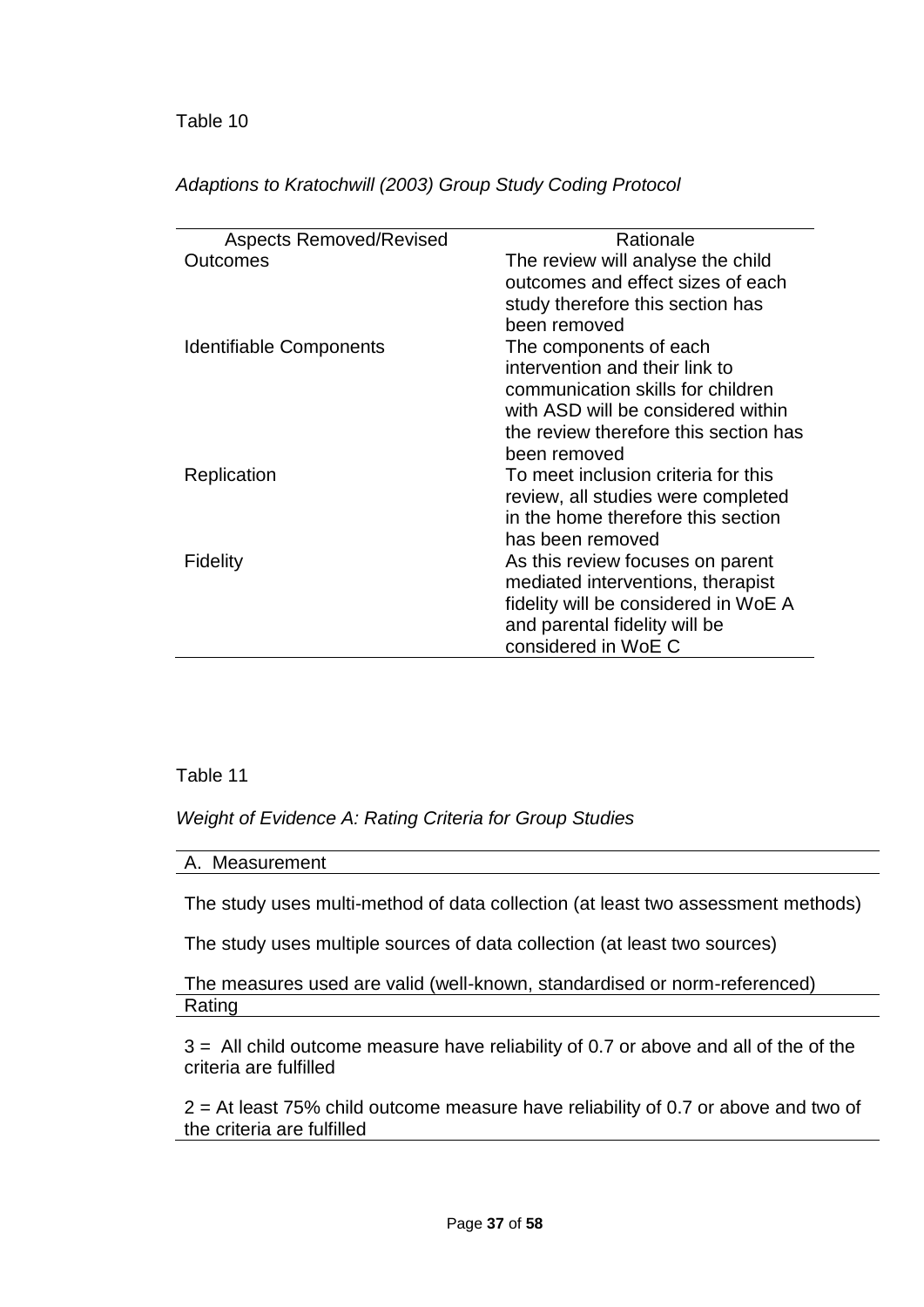| <b>Aspects Removed/Revised</b> | Rationale                             |
|--------------------------------|---------------------------------------|
| Outcomes                       | The review will analyse the child     |
|                                | outcomes and effect sizes of each     |
|                                | study therefore this section has      |
|                                | been removed                          |
| <b>Identifiable Components</b> | The components of each                |
|                                | intervention and their link to        |
|                                | communication skills for children     |
|                                | with ASD will be considered within    |
|                                | the review therefore this section has |
|                                | been removed                          |
| Replication                    | To meet inclusion criteria for this   |
|                                | review, all studies were completed    |
|                                | in the home therefore this section    |
|                                | has been removed                      |
| Fidelity                       | As this review focuses on parent      |
|                                | mediated interventions, therapist     |
|                                | fidelity will be considered in WoE A  |
|                                | and parental fidelity will be         |
|                                | considered in WoE C                   |

*Adaptions to Kratochwill (2003) Group Study Coding Protocol*

## Table 11

*Weight of Evidence A: Rating Criteria for Group Studies*

A. Measurement

The study uses multi-method of data collection (at least two assessment methods)

The study uses multiple sources of data collection (at least two sources)

The measures used are valid (well-known, standardised or norm-referenced) Rating

3 = All child outcome measure have reliability of 0.7 or above and all of the of the criteria are fulfilled

2 = At least 75% child outcome measure have reliability of 0.7 or above and two of the criteria are fulfilled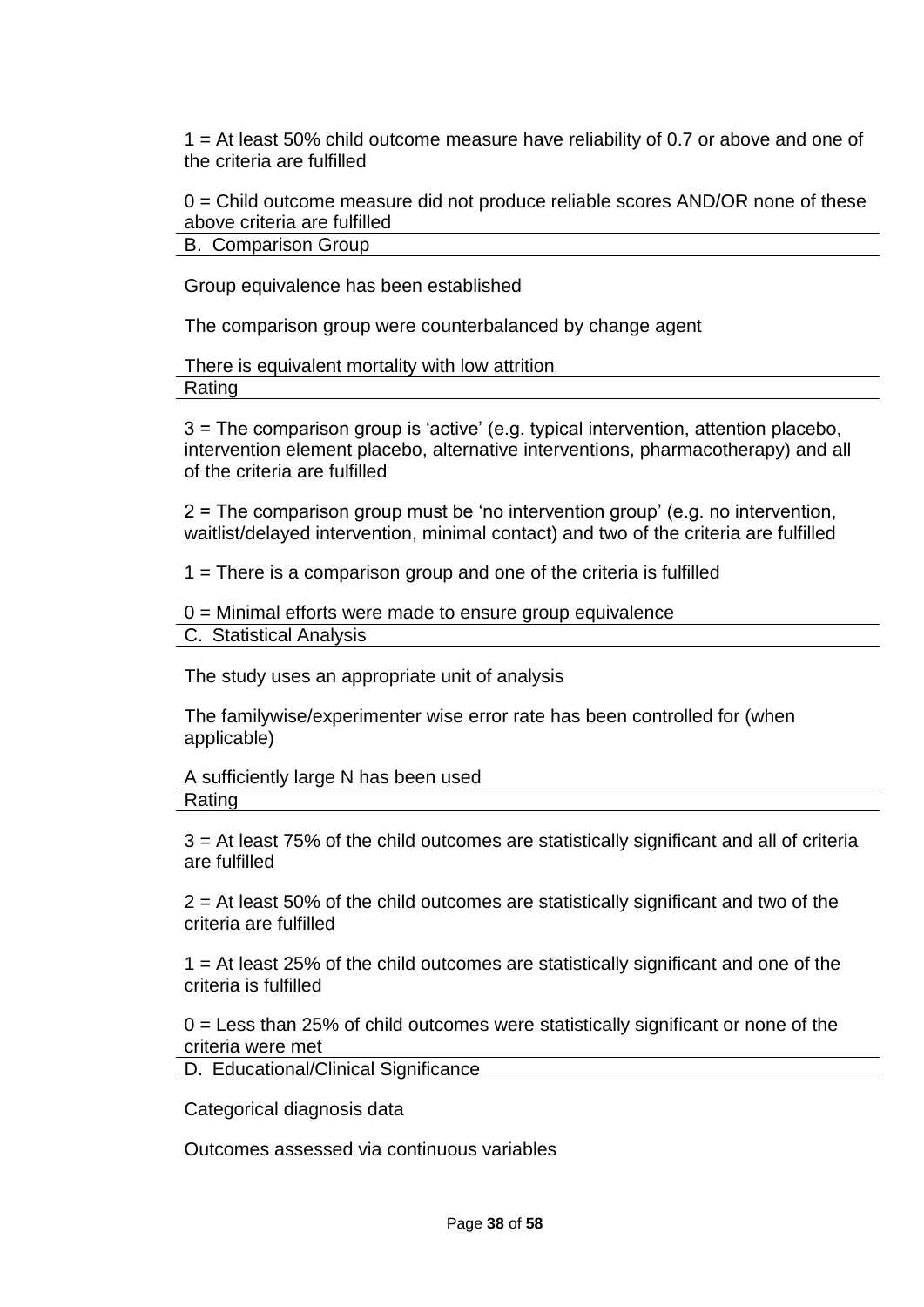1 = At least 50% child outcome measure have reliability of 0.7 or above and one of the criteria are fulfilled

 $0 =$  Child outcome measure did not produce reliable scores AND/OR none of these above criteria are fulfilled

B. Comparison Group

Group equivalence has been established

The comparison group were counterbalanced by change agent

#### There is equivalent mortality with low attrition Rating

3 = The comparison group is 'active' (e.g. typical intervention, attention placebo, intervention element placebo, alternative interventions, pharmacotherapy) and all of the criteria are fulfilled

2 = The comparison group must be 'no intervention group' (e.g. no intervention, waitlist/delayed intervention, minimal contact) and two of the criteria are fulfilled

1 = There is a comparison group and one of the criteria is fulfilled

 $0 =$  Minimal efforts were made to ensure group equivalence C. Statistical Analysis

The study uses an appropriate unit of analysis

The familywise/experimenter wise error rate has been controlled for (when applicable)

A sufficiently large N has been used Rating

3 = At least 75% of the child outcomes are statistically significant and all of criteria are fulfilled

 $2$  = At least 50% of the child outcomes are statistically significant and two of the criteria are fulfilled

1 = At least 25% of the child outcomes are statistically significant and one of the criteria is fulfilled

 $0 =$  Less than 25% of child outcomes were statistically significant or none of the criteria were met

D. Educational/Clinical Significance

Categorical diagnosis data

Outcomes assessed via continuous variables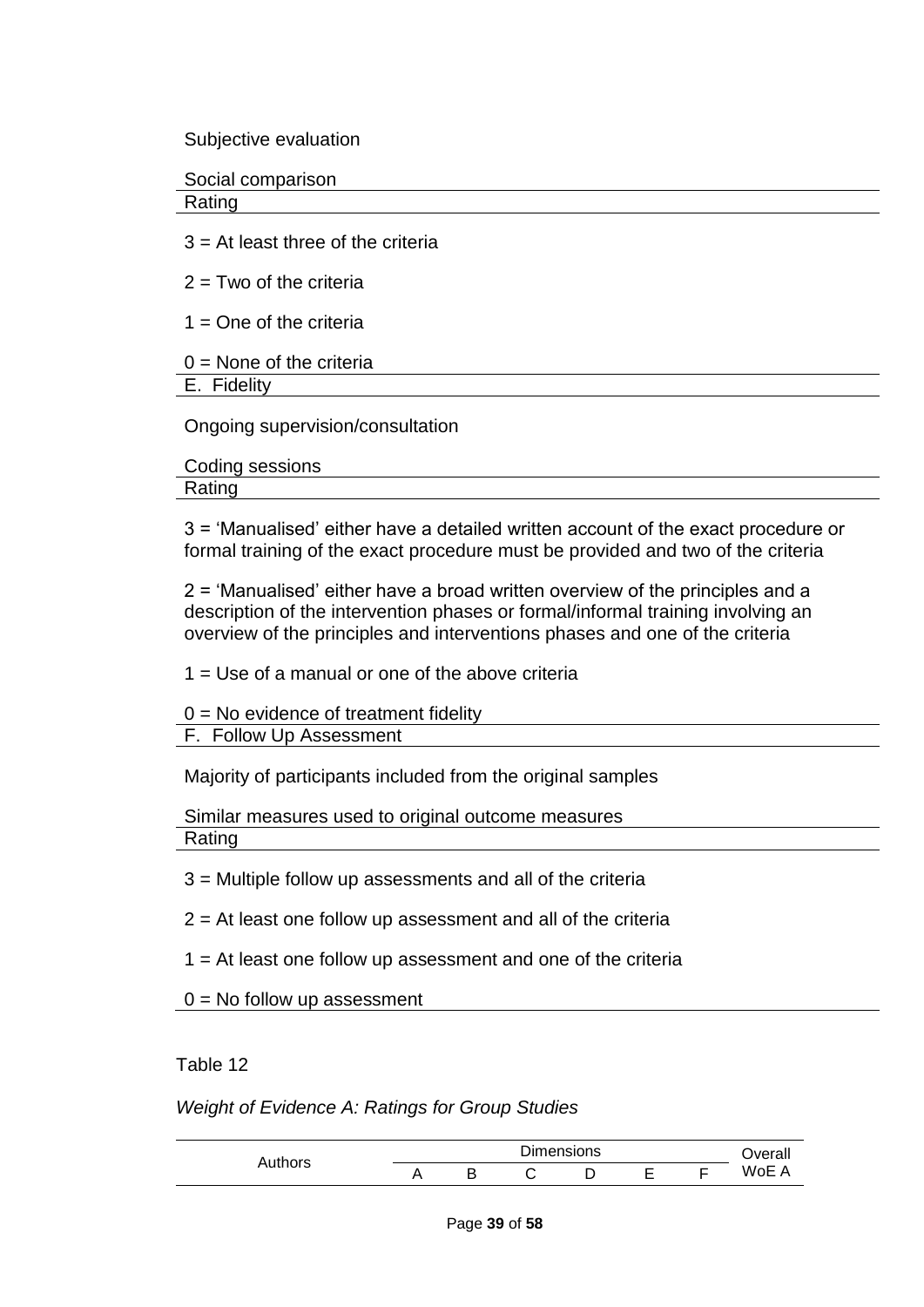Subjective evaluation

Social comparison

Rating

 $3 = At$  least three of the criteria

 $2 = Two of the criteria$ 

 $1 =$ One of the criteria

| $0 =$ None of the criteria |  |  |
|----------------------------|--|--|
|----------------------------|--|--|

E. Fidelity

Ongoing supervision/consultation

Coding sessions Rating

3 = 'Manualised' either have a detailed written account of the exact procedure or formal training of the exact procedure must be provided and two of the criteria

2 = 'Manualised' either have a broad written overview of the principles and a description of the intervention phases or formal/informal training involving an overview of the principles and interventions phases and one of the criteria

1 = Use of a manual or one of the above criteria

 $0 = No$  evidence of treatment fidelity F. Follow Up Assessment

Majority of participants included from the original samples

Similar measures used to original outcome measures Rating

3 = Multiple follow up assessments and all of the criteria

 $2 = At$  least one follow up assessment and all of the criteria

1 = At least one follow up assessment and one of the criteria

 $0 = No$  follow up assessment

Table 12

*Weight of Evidence A: Ratings for Group Studies*

|         | <b>Dimensions</b> |  |   |  |  |  | Overall |
|---------|-------------------|--|---|--|--|--|---------|
| Authors |                   |  | ٮ |  |  |  | WoE     |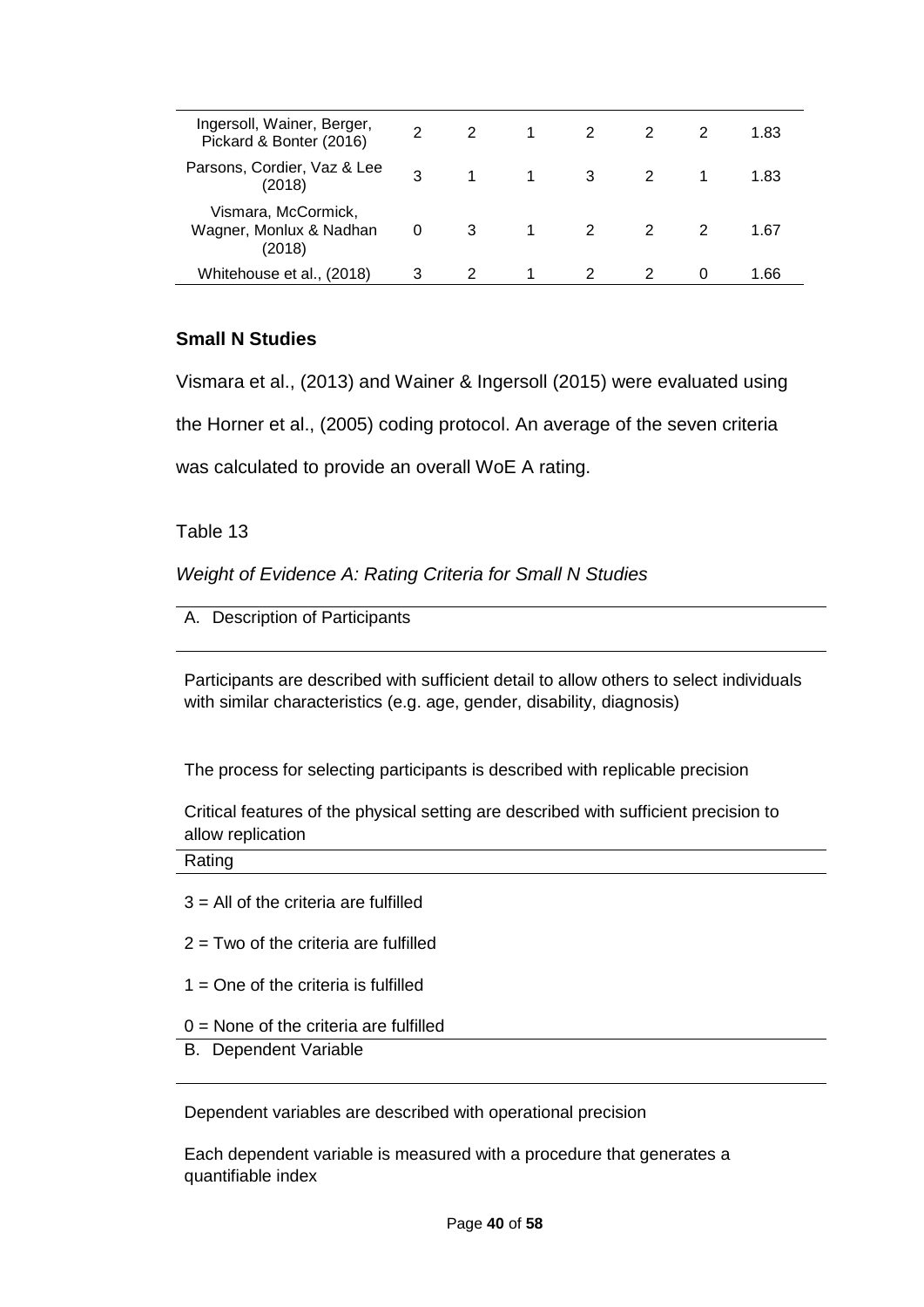| Ingersoll, Wainer, Berger,<br>Pickard & Bonter (2016)    | 2 | $\mathcal{P}$  |             | $\overline{\mathbf{2}}$ |                         | 1.83 |
|----------------------------------------------------------|---|----------------|-------------|-------------------------|-------------------------|------|
| Parsons, Cordier, Vaz & Lee<br>(2018)                    | 3 | $\overline{1}$ | $1 \quad 3$ |                         | $\overline{\mathbf{2}}$ | 1.83 |
| Vismara, McCormick,<br>Wagner, Monlux & Nadhan<br>(2018) | 0 | 3 <sup>1</sup> |             | $1 \quad 2$             |                         | 1.67 |
| Whitehouse et al., (2018)                                | 3 |                |             |                         |                         | 1 66 |

### **Small N Studies**

Vismara et al., (2013) and Wainer & Ingersoll (2015) were evaluated using

the Horner et al., (2005) coding protocol. An average of the seven criteria

was calculated to provide an overall WoE A rating.

Table 13

*Weight of Evidence A: Rating Criteria for Small N Studies*

A. Description of Participants

Participants are described with sufficient detail to allow others to select individuals with similar characteristics (e.g. age, gender, disability, diagnosis)

The process for selecting participants is described with replicable precision

Critical features of the physical setting are described with sufficient precision to allow replication

Rating

- $3$  = All of the criteria are fulfilled
- $2 = Two$  of the criteria are fulfilled
- $1 =$  One of the criteria is fulfilled
- 0 = None of the criteria are fulfilled
- B. Dependent Variable

Dependent variables are described with operational precision

Each dependent variable is measured with a procedure that generates a quantifiable index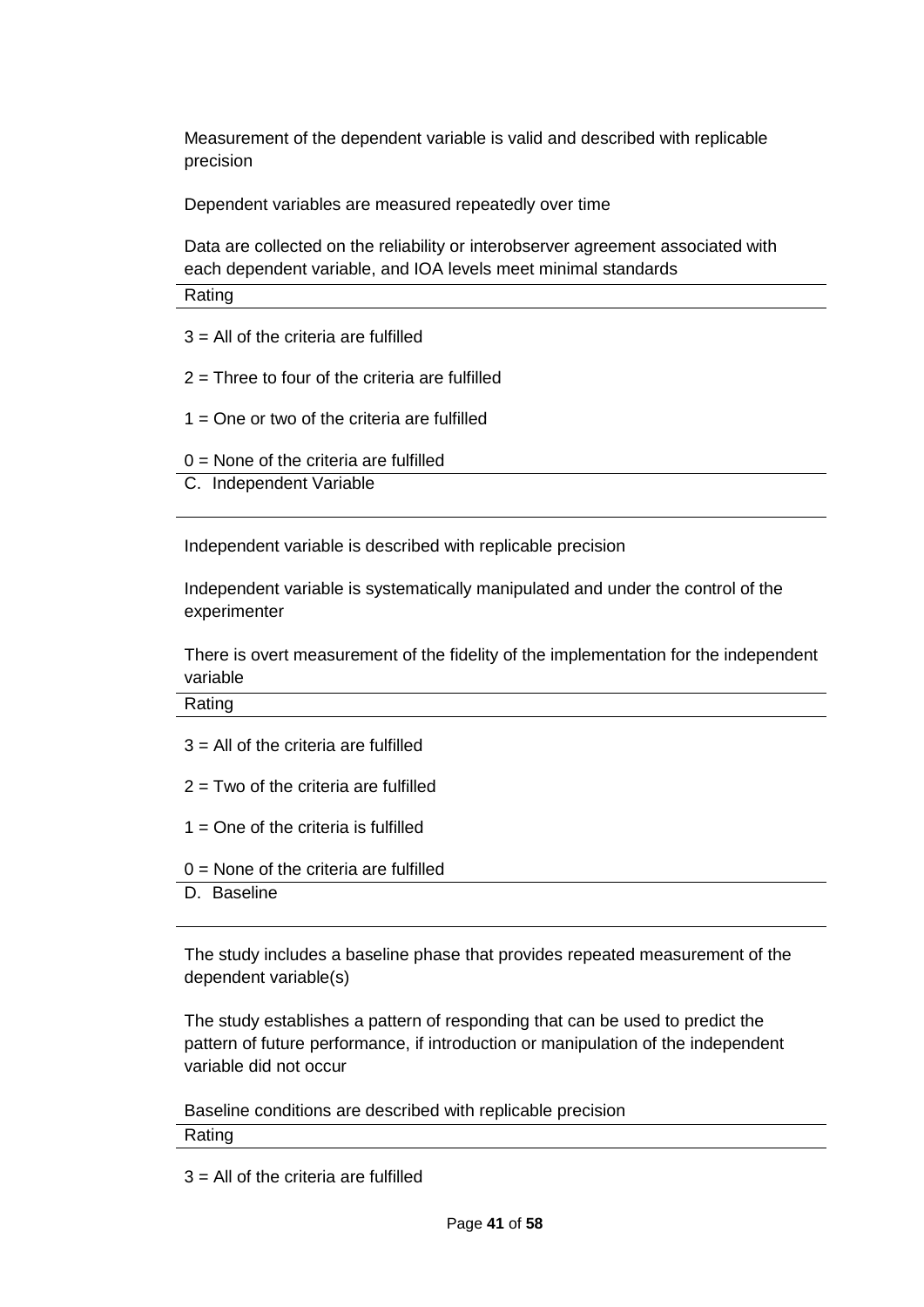Measurement of the dependent variable is valid and described with replicable precision

Dependent variables are measured repeatedly over time

Data are collected on the reliability or interobserver agreement associated with each dependent variable, and IOA levels meet minimal standards

Rating

- $3 =$  All of the criteria are fulfilled
- $2$  = Three to four of the criteria are fulfilled
- $1 =$  One or two of the criteria are fulfilled
- $0 =$  None of the criteria are fulfilled
- C. Independent Variable

Independent variable is described with replicable precision

Independent variable is systematically manipulated and under the control of the experimenter

There is overt measurement of the fidelity of the implementation for the independent variable

Rating

- $3 =$  All of the criteria are fulfilled
- $2 = Two$  of the criteria are fulfilled
- $1 =$  One of the criteria is fulfilled
- $0 =$  None of the criteria are fulfilled
- D. Baseline

The study includes a baseline phase that provides repeated measurement of the dependent variable(s)

The study establishes a pattern of responding that can be used to predict the pattern of future performance, if introduction or manipulation of the independent variable did not occur

Baseline conditions are described with replicable precision

Rating

 $3$  = All of the criteria are fulfilled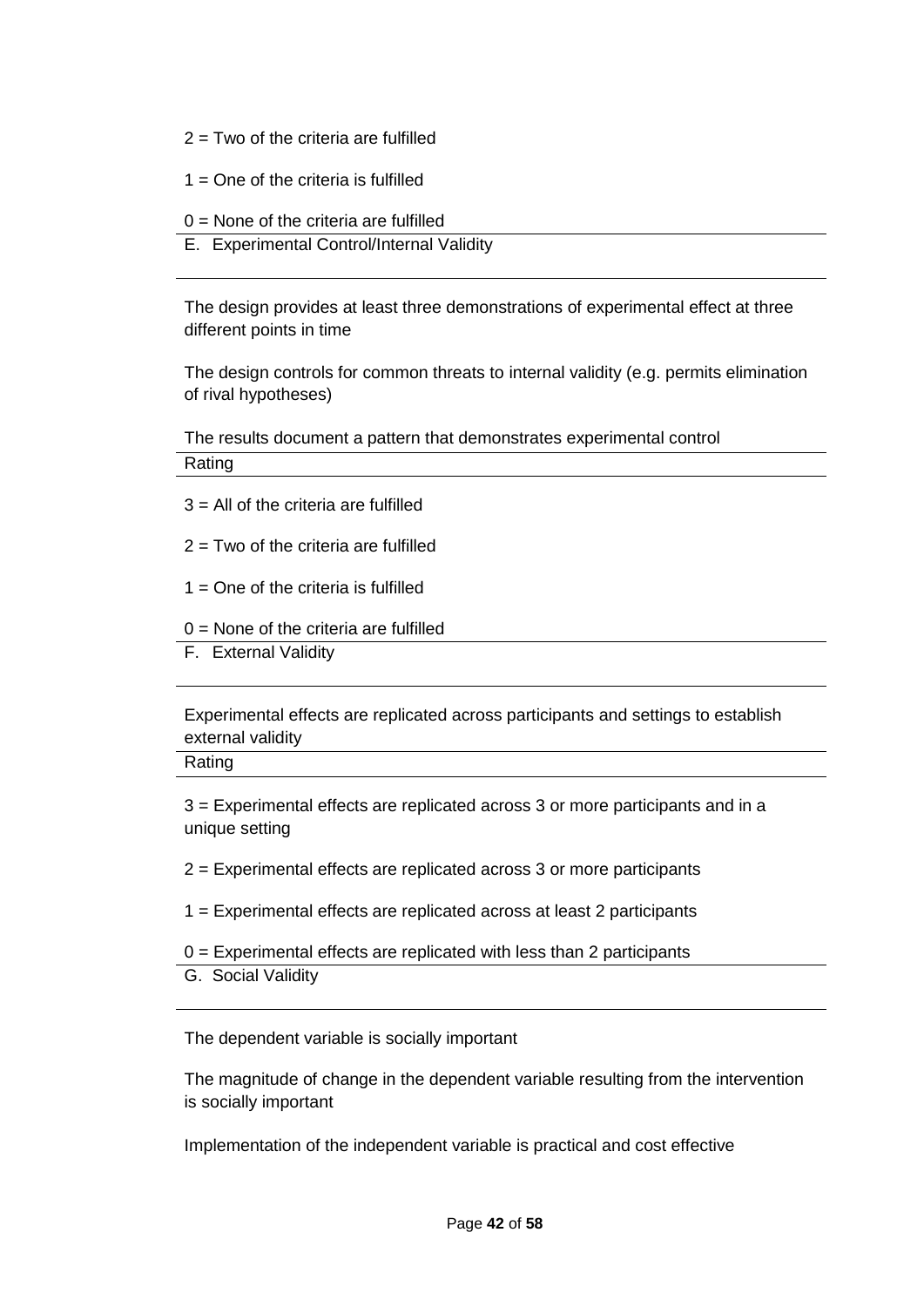- $2 = Two$  of the criteria are fulfilled
- $1 =$  One of the criteria is fulfilled
- $0 =$  None of the criteria are fulfilled
- E. Experimental Control/Internal Validity

The design provides at least three demonstrations of experimental effect at three different points in time

The design controls for common threats to internal validity (e.g. permits elimination of rival hypotheses)

The results document a pattern that demonstrates experimental control Rating

- $3$  = All of the criteria are fulfilled
- $2 = Two$  of the criteria are fulfilled
- $1 =$  One of the criteria is fulfilled
- $0 =$  None of the criteria are fulfilled
- F. External Validity

Experimental effects are replicated across participants and settings to establish external validity

Rating

3 = Experimental effects are replicated across 3 or more participants and in a unique setting

2 = Experimental effects are replicated across 3 or more participants

- 1 = Experimental effects are replicated across at least 2 participants
- $0 =$  Experimental effects are replicated with less than 2 participants
- G. Social Validity

The dependent variable is socially important

The magnitude of change in the dependent variable resulting from the intervention is socially important

Implementation of the independent variable is practical and cost effective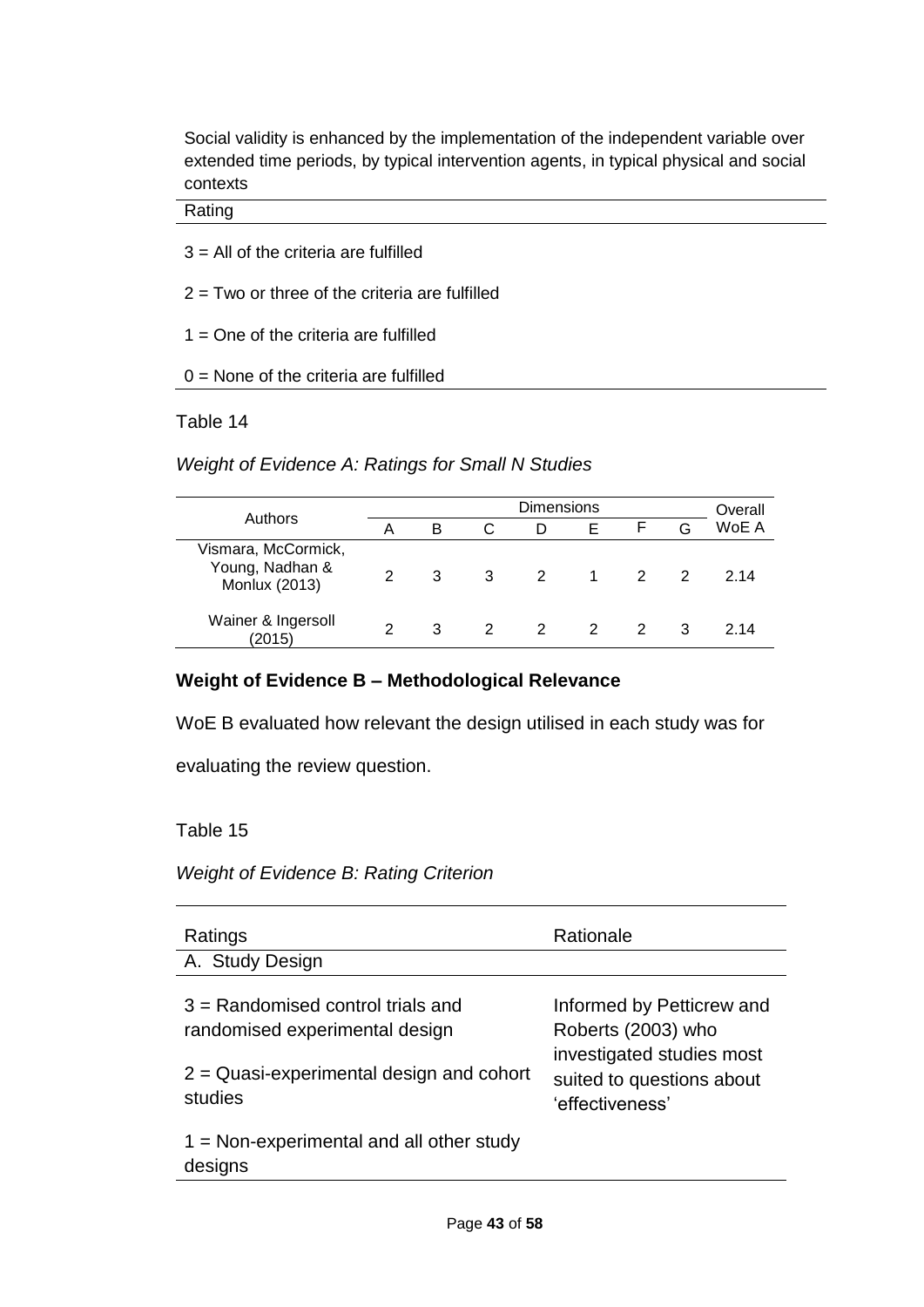Social validity is enhanced by the implementation of the independent variable over extended time periods, by typical intervention agents, in typical physical and social contexts

#### Rating

- $3$  = All of the criteria are fulfilled
- $2 = Two$  or three of the criteria are fulfilled
- $1 =$  One of the criteria are fulfilled
- $0 =$  None of the criteria are fulfilled

### Table 14

### *Weight of Evidence A: Ratings for Small N Studies*

|                                                         | <b>Dimensions</b> |   |               |                |                  |                |   | Overall |
|---------------------------------------------------------|-------------------|---|---------------|----------------|------------------|----------------|---|---------|
| Authors                                                 | А                 | в |               |                | E                |                | G | WoE A   |
| Vismara, McCormick,<br>Young, Nadhan &<br>Monlux (2013) | $\mathcal{P}$     | 3 | $\mathbf{3}$  | $\mathcal{P}$  | $\blacksquare$ 1 | $\overline{2}$ |   | 2 14    |
| Wainer & Ingersoll<br>(2015)                            | 2                 | 3 | $\mathcal{P}$ | $\overline{2}$ | $\overline{2}$   |                | 3 | 2 14    |

### **Weight of Evidence B – Methodological Relevance**

WoE B evaluated how relevant the design utilised in each study was for

evaluating the review question.

### Table 15

### *Weight of Evidence B: Rating Criterion*

| Ratings<br>A. Study Design                                   | Rationale                                                                 |
|--------------------------------------------------------------|---------------------------------------------------------------------------|
|                                                              |                                                                           |
| $3$ = Randomised control trials and                          | Informed by Petticrew and                                                 |
| randomised experimental design                               | Roberts (2003) who                                                        |
| $2$ = Quasi-experimental design and cohort<br>studies        | investigated studies most<br>suited to questions about<br>'effectiveness' |
| $1 = \text{Non-experimental}$ and all other study<br>designs |                                                                           |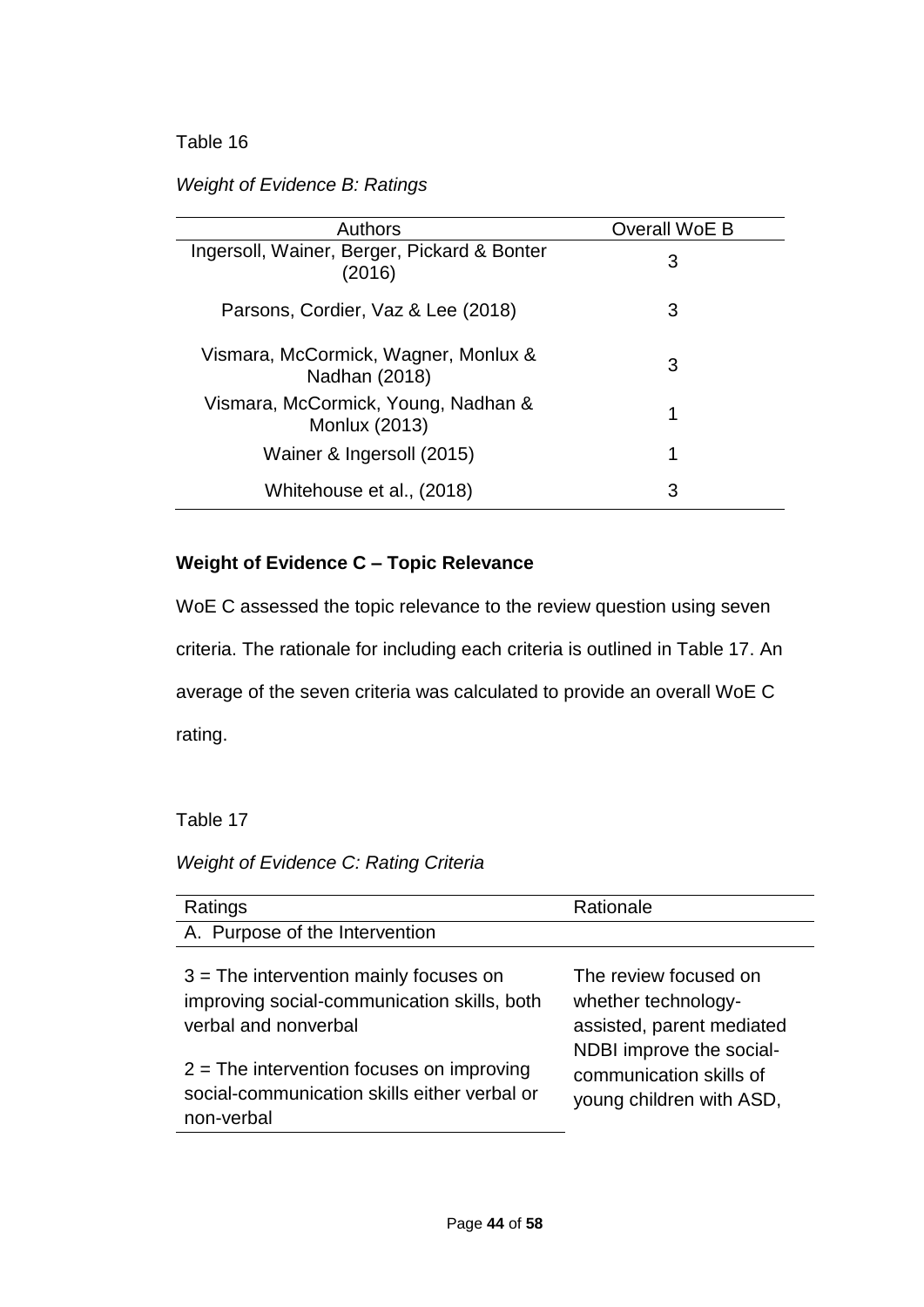# *Weight of Evidence B: Ratings*

| <b>Authors</b>                                              | Overall WoE B |
|-------------------------------------------------------------|---------------|
| Ingersoll, Wainer, Berger, Pickard & Bonter<br>(2016)       | 3             |
| Parsons, Cordier, Vaz & Lee (2018)                          | 3             |
| Vismara, McCormick, Wagner, Monlux &<br>Nadhan (2018)       | 3             |
| Vismara, McCormick, Young, Nadhan &<br><b>Monlux (2013)</b> | 1             |
| Wainer & Ingersoll (2015)                                   | 1             |
| Whitehouse et al., (2018)                                   | 3             |

# **Weight of Evidence C – Topic Relevance**

WoE C assessed the topic relevance to the review question using seven criteria. The rationale for including each criteria is outlined in Table 17. An average of the seven criteria was calculated to provide an overall WoE C rating.

Table 17

# *Weight of Evidence C: Rating Criteria*

| Ratings                                      | Rationale                 |
|----------------------------------------------|---------------------------|
| A. Purpose of the Intervention               |                           |
| $3$ = The intervention mainly focuses on     | The review focused on     |
| improving social-communication skills, both  | whether technology-       |
| verbal and nonverbal                         | assisted, parent mediated |
| $2$ = The intervention focuses on improving  | NDBI improve the social-  |
| social-communication skills either verbal or | communication skills of   |
| non-verbal                                   | young children with ASD,  |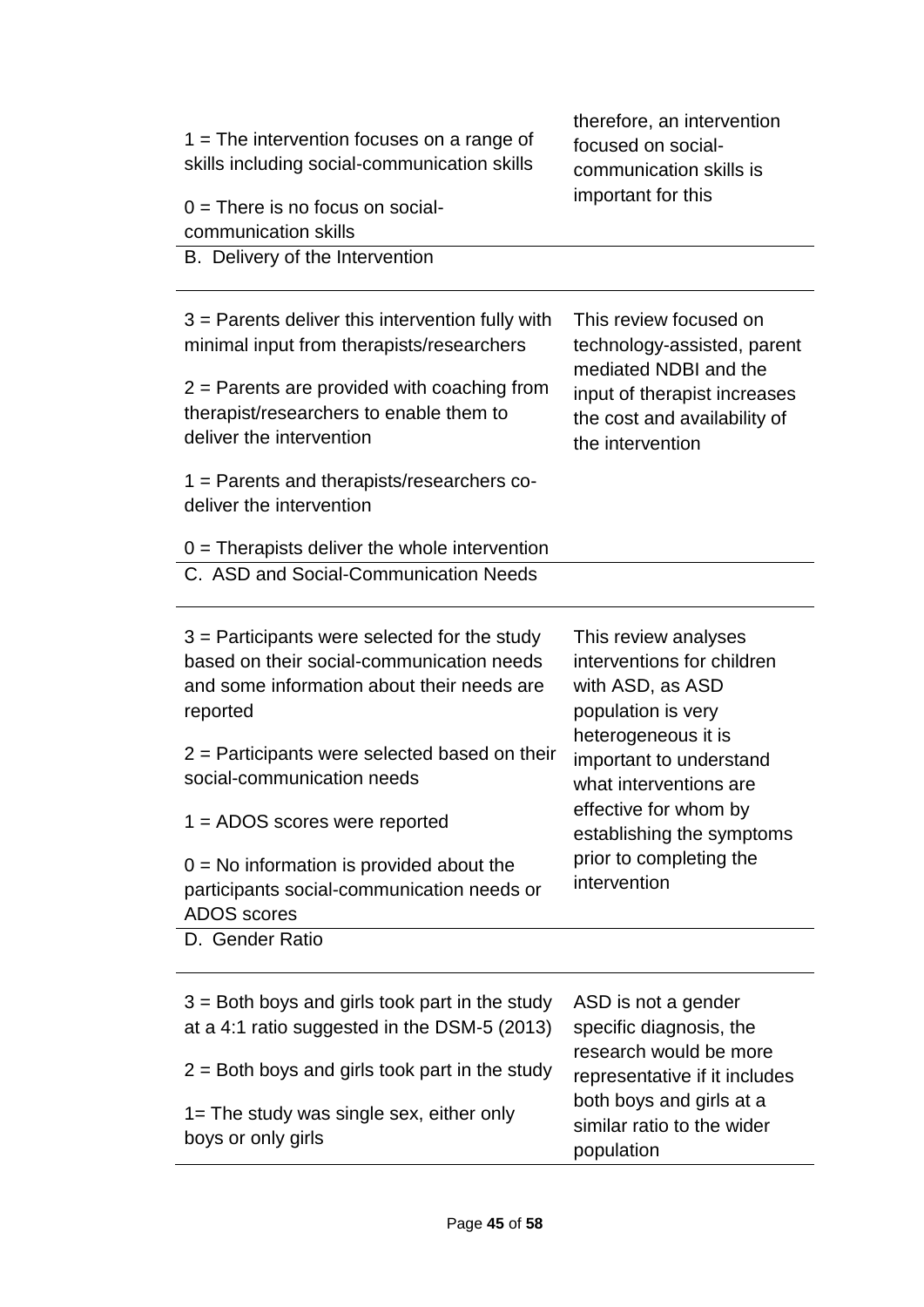| $1 =$ The intervention focuses on a range of<br>skills including social-communication skills<br>$0 =$ There is no focus on social-<br>communication skills                                                                                                                                                                                                                                                     | therefore, an intervention<br>focused on social-<br>communication skills is<br>important for this                                                                                                                                                                         |
|----------------------------------------------------------------------------------------------------------------------------------------------------------------------------------------------------------------------------------------------------------------------------------------------------------------------------------------------------------------------------------------------------------------|---------------------------------------------------------------------------------------------------------------------------------------------------------------------------------------------------------------------------------------------------------------------------|
| B. Delivery of the Intervention                                                                                                                                                                                                                                                                                                                                                                                |                                                                                                                                                                                                                                                                           |
| $3$ = Parents deliver this intervention fully with<br>minimal input from therapists/researchers<br>$2$ = Parents are provided with coaching from<br>therapist/researchers to enable them to<br>deliver the intervention                                                                                                                                                                                        | This review focused on<br>technology-assisted, parent<br>mediated NDBI and the<br>input of therapist increases<br>the cost and availability of<br>the intervention                                                                                                        |
| $1 =$ Parents and therapists/researchers co-<br>deliver the intervention                                                                                                                                                                                                                                                                                                                                       |                                                                                                                                                                                                                                                                           |
| $0 =$ Therapists deliver the whole intervention                                                                                                                                                                                                                                                                                                                                                                |                                                                                                                                                                                                                                                                           |
| C. ASD and Social-Communication Needs                                                                                                                                                                                                                                                                                                                                                                          |                                                                                                                                                                                                                                                                           |
| $3$ = Participants were selected for the study<br>based on their social-communication needs<br>and some information about their needs are<br>reported<br>$2$ = Participants were selected based on their<br>social-communication needs<br>$1 =$ ADOS scores were reported<br>$0 = No$ information is provided about the<br>participants social-communication needs or<br><b>ADOS</b> scores<br>D. Gender Ratio | This review analyses<br>interventions for children<br>with ASD, as ASD<br>population is very<br>heterogeneous it is<br>important to understand<br>what interventions are<br>effective for whom by<br>establishing the symptoms<br>prior to completing the<br>intervention |
| $3$ = Both boys and girls took part in the study<br>at a 4:1 ratio suggested in the DSM-5 (2013)<br>$2$ = Both boys and girls took part in the study<br>$1 =$ The study was single sex, either only<br>boys or only girls                                                                                                                                                                                      | ASD is not a gender<br>specific diagnosis, the<br>research would be more<br>representative if it includes<br>both boys and girls at a<br>similar ratio to the wider<br>population                                                                                         |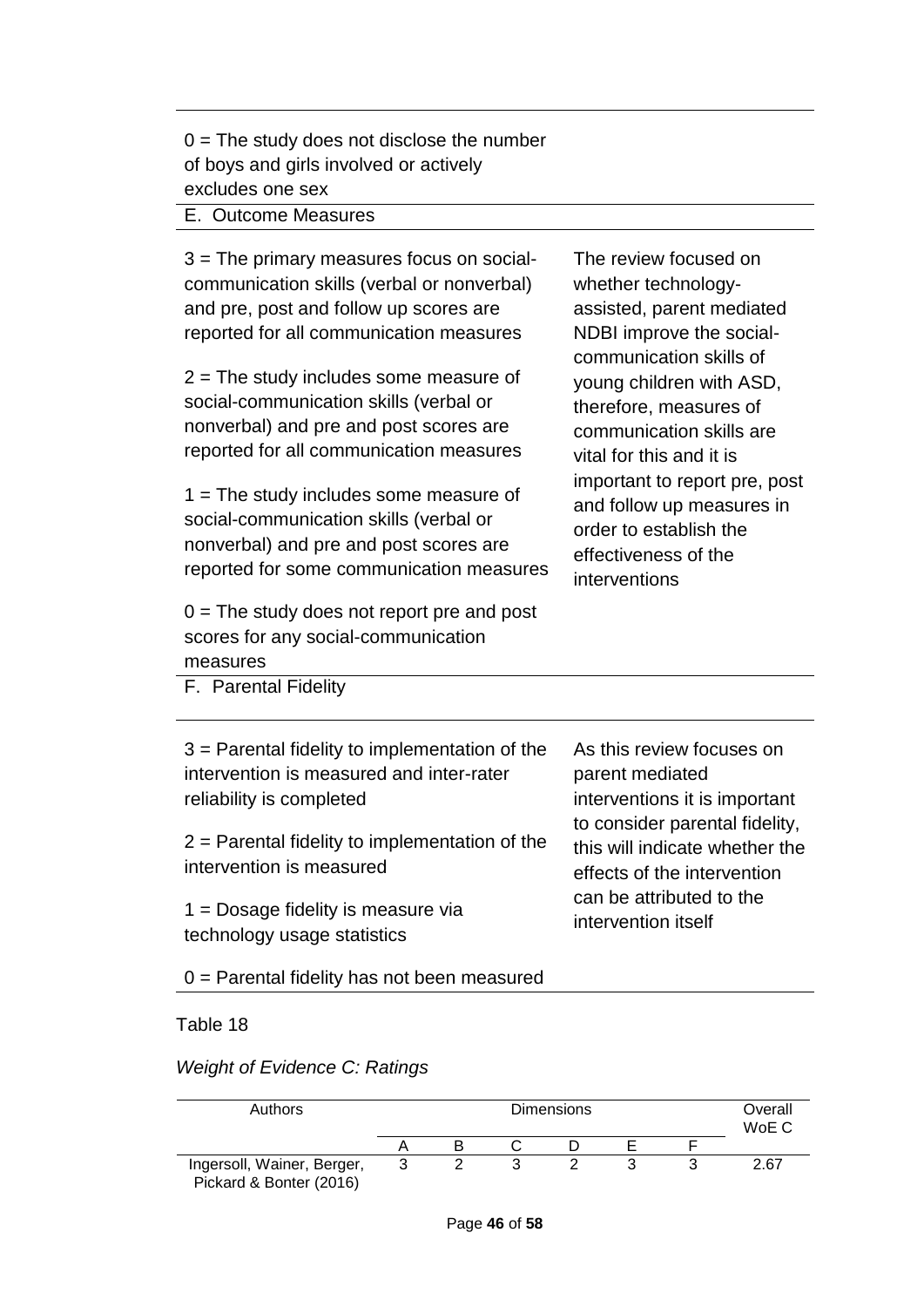$0 =$  The study does not disclose the number of boys and girls involved or actively excludes one sex

### E. Outcome Measures

3 = The primary measures focus on socialcommunication skills (verbal or nonverbal) and pre, post and follow up scores are reported for all communication measures

2 = The study includes some measure of social-communication skills (verbal or nonverbal) and pre and post scores are reported for all communication measures

1 = The study includes some measure of social-communication skills (verbal or nonverbal) and pre and post scores are reported for some communication measures

 $0 =$  The study does not report pre and post scores for any social-communication measures

The review focused on whether technologyassisted, parent mediated NDBI improve the socialcommunication skills of young children with ASD, therefore, measures of communication skills are vital for this and it is important to report pre, post and follow up measures in order to establish the effectiveness of the interventions

F. Parental Fidelity

| $3$ = Parental fidelity to implementation of the<br>intervention is measured and inter-rater<br>reliability is completed<br>$2$ = Parental fidelity to implementation of the<br>intervention is measured<br>$1 =$ Dosage fidelity is measure via<br>technology usage statistics | As this review focuses on<br>parent mediated<br>interventions it is important<br>to consider parental fidelity,<br>this will indicate whether the<br>effects of the intervention<br>can be attributed to the<br>intervention itself |
|---------------------------------------------------------------------------------------------------------------------------------------------------------------------------------------------------------------------------------------------------------------------------------|-------------------------------------------------------------------------------------------------------------------------------------------------------------------------------------------------------------------------------------|
|                                                                                                                                                                                                                                                                                 |                                                                                                                                                                                                                                     |

0 = Parental fidelity has not been measured

### Table 18

*Weight of Evidence C: Ratings* 

| Authors                                               | <b>Dimensions</b> |  |  |  |  | Overall<br>WoE C |      |
|-------------------------------------------------------|-------------------|--|--|--|--|------------------|------|
|                                                       |                   |  |  |  |  |                  |      |
| Ingersoll, Wainer, Berger,<br>Pickard & Bonter (2016) |                   |  |  |  |  |                  | 2.67 |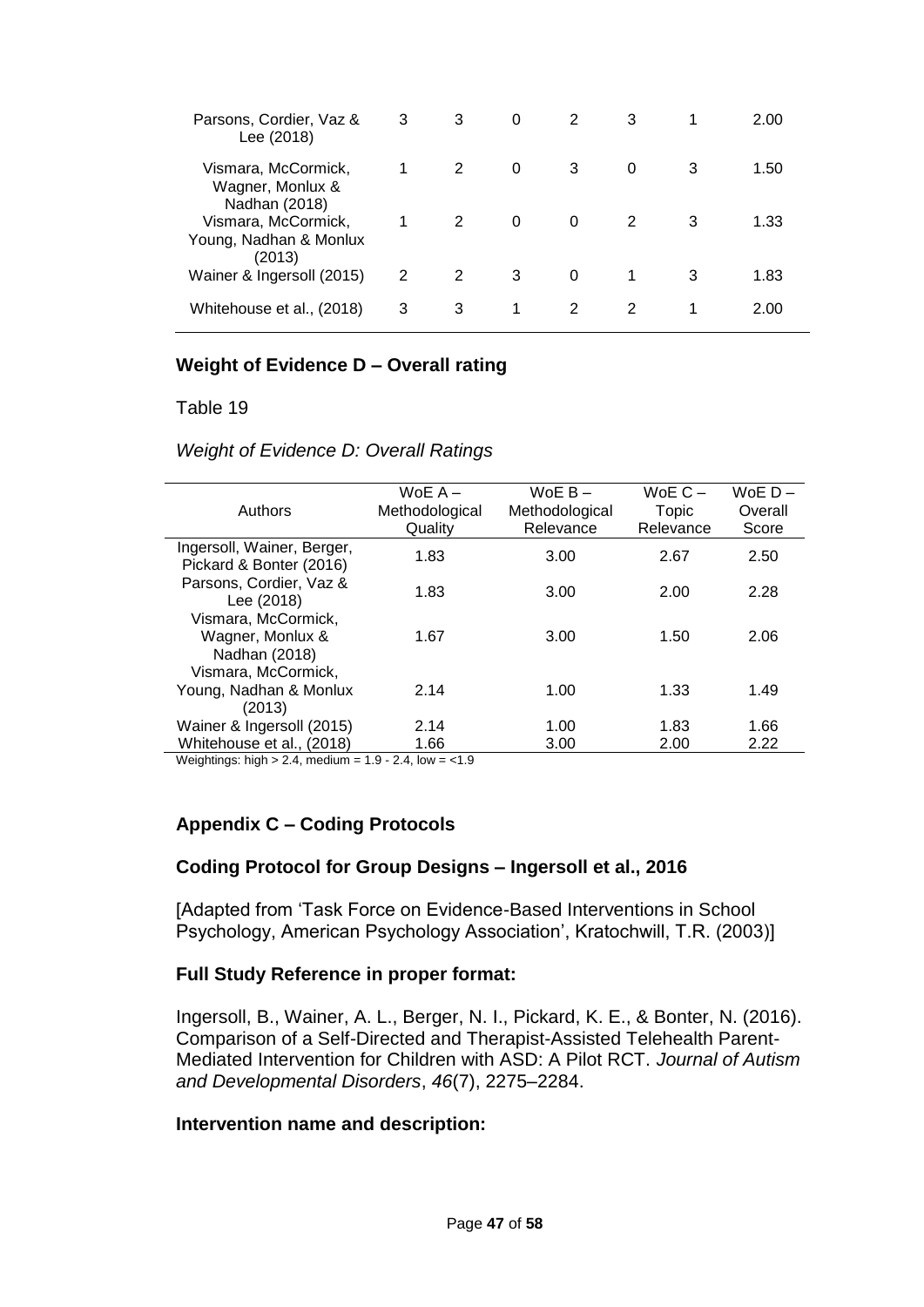| Parsons, Cordier, Vaz &<br>Lee (2018)                    | 3 | 3 | 0 | 2 | 3 |   | 2.00 |
|----------------------------------------------------------|---|---|---|---|---|---|------|
| Vismara, McCormick,<br>Wagner, Monlux &<br>Nadhan (2018) |   | 2 | 0 | 3 | 0 | 3 | 1.50 |
| Vismara, McCormick,<br>Young, Nadhan & Monlux<br>(2013)  |   | 2 | 0 | 0 | 2 | 3 | 1.33 |
| Wainer & Ingersoll (2015)                                | 2 | 2 | 3 | 0 | 1 | 3 | 1.83 |
| Whitehouse et al., (2018)                                | 3 | 3 | 1 | 2 | 2 | 1 | 2.00 |

### **Weight of Evidence D – Overall rating**

Table 19

*Weight of Evidence D: Overall Ratings* 

|                            | WoE $A -$      | WoE $B -$      | WoE $C -$ | $WoE D -$ |
|----------------------------|----------------|----------------|-----------|-----------|
| Authors                    | Methodological | Methodological | Topic     | Overall   |
|                            | Quality        | Relevance      | Relevance | Score     |
| Ingersoll, Wainer, Berger, | 1.83           |                |           |           |
| Pickard & Bonter (2016)    |                | 3.00           | 2.67      | 2.50      |
| Parsons, Cordier, Vaz &    |                |                |           |           |
| Lee (2018)                 | 1.83           | 3.00           | 2.00      | 2.28      |
| Vismara, McCormick,        |                |                |           |           |
| Wagner, Monlux &           | 1.67           | 3.00           | 1.50      | 2.06      |
| Nadhan (2018)              |                |                |           |           |
| Vismara, McCormick,        |                |                |           |           |
| Young, Nadhan & Monlux     | 2.14           | 1.00           | 1.33      | 1.49      |
| (2013)                     |                |                |           |           |
| Wainer & Ingersoll (2015)  | 2.14           | 1.00           | 1.83      | 1.66      |
| Whitehouse et al., (2018)  | 1.66           | 3.00           | 2.00      | 2.22      |
|                            |                |                |           |           |

Weightings: high  $> 2.4$ , medium =  $1.9 - 2.4$ , low =  $< 1.9$ 

## **Appendix C – Coding Protocols**

#### **Coding Protocol for Group Designs – Ingersoll et al., 2016**

[Adapted from 'Task Force on Evidence-Based Interventions in School Psychology, American Psychology Association', Kratochwill, T.R. (2003)]

#### **Full Study Reference in proper format:**

Ingersoll, B., Wainer, A. L., Berger, N. I., Pickard, K. E., & Bonter, N. (2016). Comparison of a Self-Directed and Therapist-Assisted Telehealth Parent-Mediated Intervention for Children with ASD: A Pilot RCT. *Journal of Autism and Developmental Disorders*, *46*(7), 2275–2284.

#### **Intervention name and description:**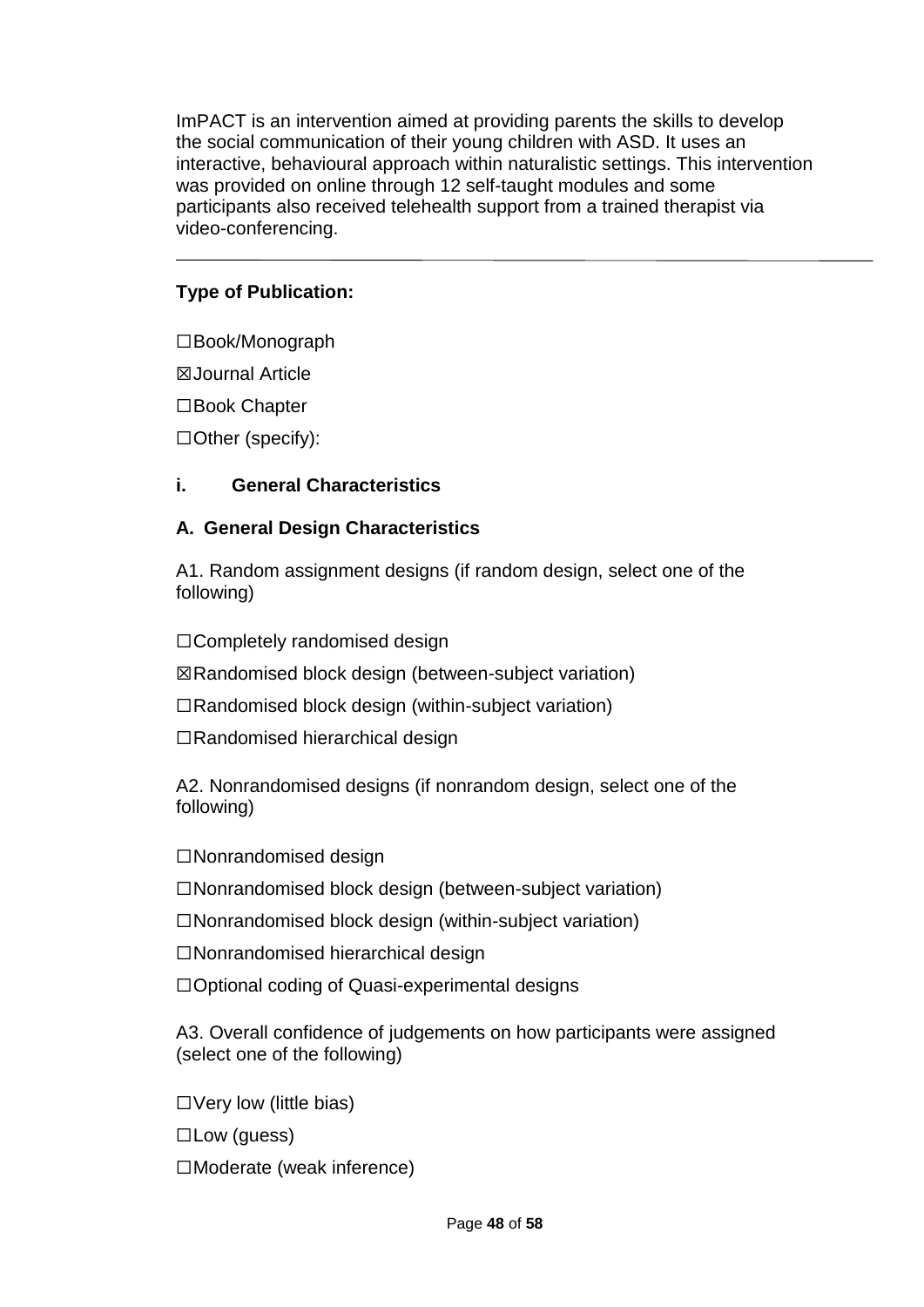ImPACT is an intervention aimed at providing parents the skills to develop the social communication of their young children with ASD. It uses an interactive, behavioural approach within naturalistic settings. This intervention was provided on online through 12 self-taught modules and some participants also received telehealth support from a trained therapist via video-conferencing.

# **Type of Publication:**

☐Book/Monograph

☒Journal Article

☐Book Chapter

☐Other (specify):

## **i. General Characteristics**

## **A. General Design Characteristics**

A1. Random assignment designs (if random design, select one of the following)

☐Completely randomised design

☒Randomised block design (between-subject variation)

☐Randomised block design (within-subject variation)

☐Randomised hierarchical design

A2. Nonrandomised designs (if nonrandom design, select one of the following)

☐Nonrandomised design

☐Nonrandomised block design (between-subject variation)

☐Nonrandomised block design (within-subject variation)

☐Nonrandomised hierarchical design

☐Optional coding of Quasi-experimental designs

A3. Overall confidence of judgements on how participants were assigned (select one of the following)

☐Very low (little bias)

☐Low (guess)

☐Moderate (weak inference)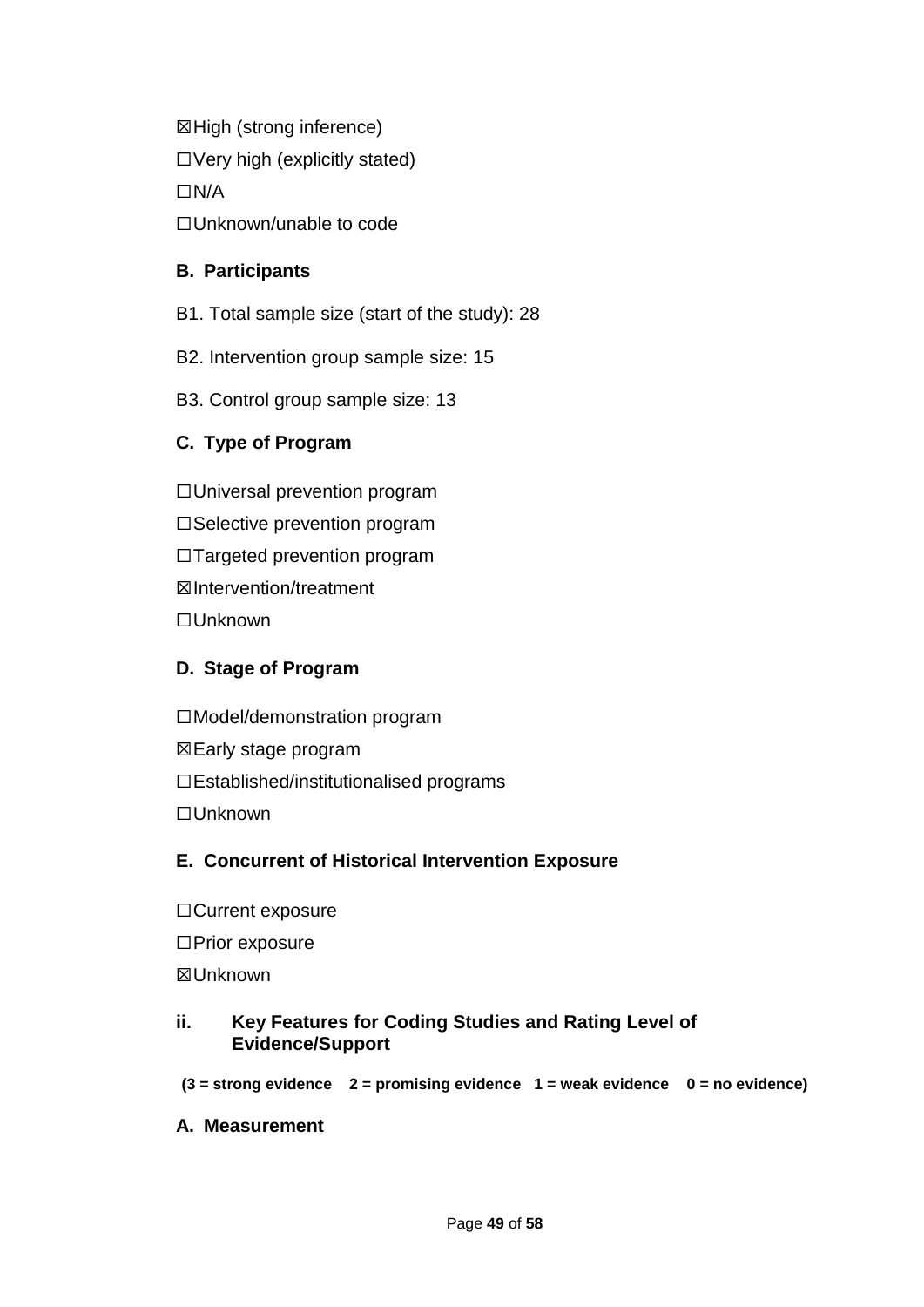☒High (strong inference)  $\Box$  Very high (explicitly stated) ☐N/A ☐Unknown/unable to code

## **B. Participants**

- B1. Total sample size (start of the study): 28
- B2. Intervention group sample size: 15
- B3. Control group sample size: 13

# **C. Type of Program**

☐Universal prevention program

□Selective prevention program

☐Targeted prevention program

☒Intervention/treatment

☐Unknown

# **D. Stage of Program**

☐Model/demonstration program

- ☒Early stage program
- ☐Established/institutionalised programs

☐Unknown

# **E. Concurrent of Historical Intervention Exposure**

☐Current exposure ☐Prior exposure ☒Unknown

## **ii. Key Features for Coding Studies and Rating Level of Evidence/Support**

- **(3 = strong evidence 2 = promising evidence 1 = weak evidence 0 = no evidence)**
- **A. Measurement**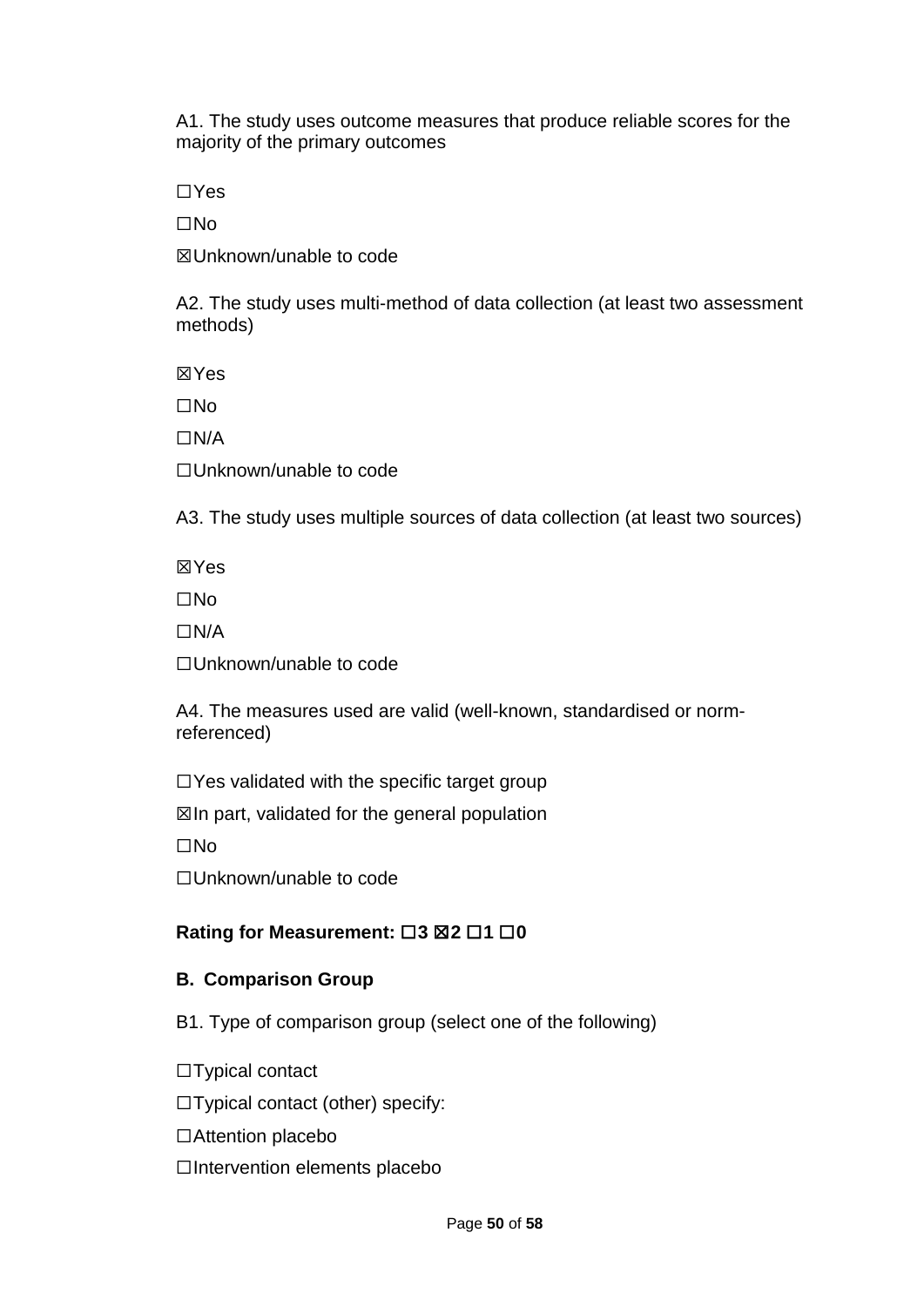A1. The study uses outcome measures that produce reliable scores for the majority of the primary outcomes

☐Yes

☐No

☒Unknown/unable to code

A2. The study uses multi-method of data collection (at least two assessment methods)

☒Yes

☐No

☐N/A

☐Unknown/unable to code

A3. The study uses multiple sources of data collection (at least two sources)

☒Yes

☐No

☐N/A

☐Unknown/unable to code

A4. The measures used are valid (well-known, standardised or normreferenced)

 $\Box$  Yes validated with the specific target group

 $\boxtimes$ In part, validated for the general population

☐No

☐Unknown/unable to code

### **Rating for Measurement:** ☐**3** ☒**2** ☐**1** ☐**0**

### **B. Comparison Group**

B1. Type of comparison group (select one of the following)

☐Typical contact

☐Typical contact (other) specify:

☐Attention placebo

□Intervention elements placebo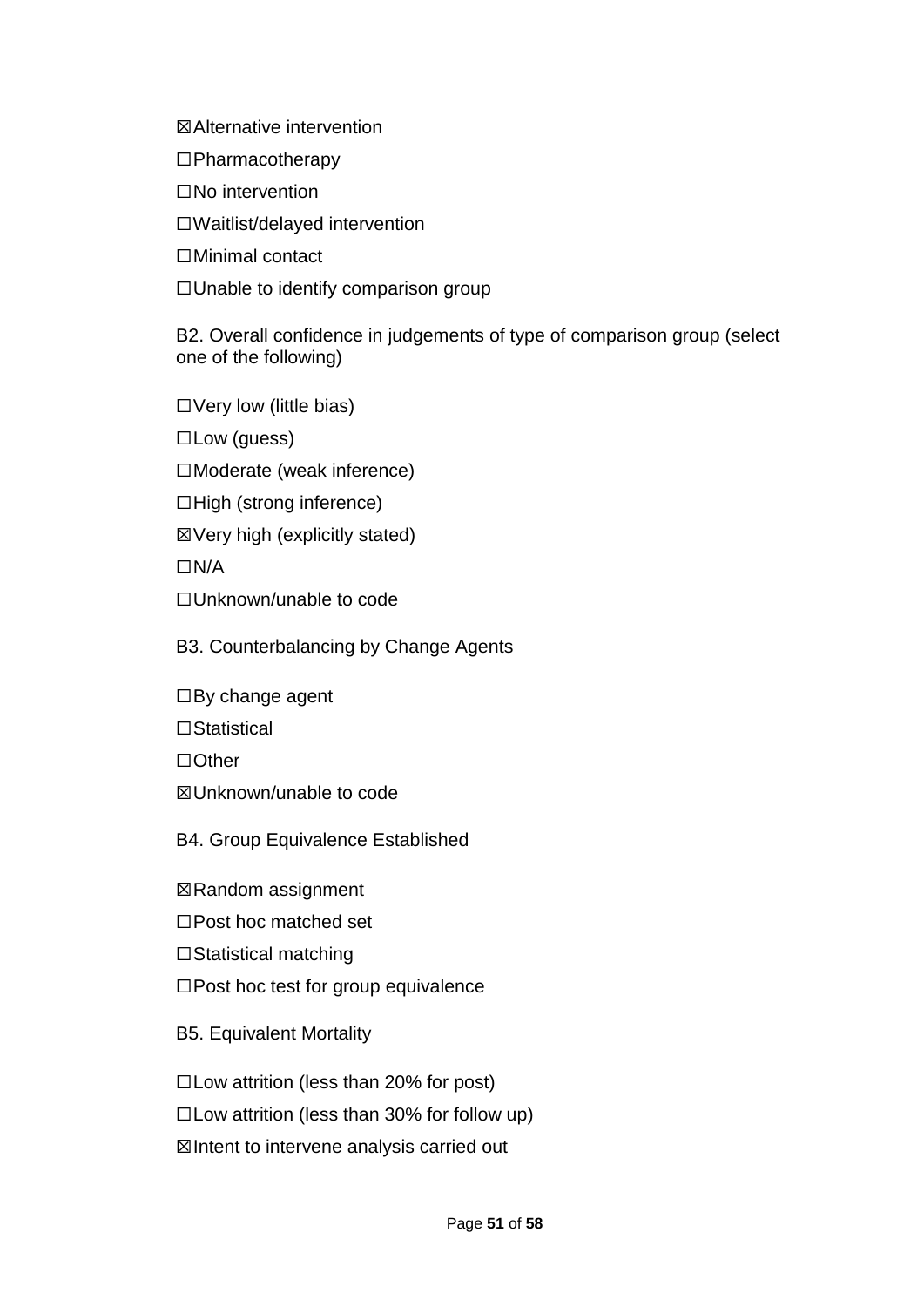☒Alternative intervention

☐Pharmacotherapy

☐No intervention

☐Waitlist/delayed intervention

☐Minimal contact

☐Unable to identify comparison group

B2. Overall confidence in judgements of type of comparison group (select one of the following)

☐Very low (little bias)

☐Low (guess)

☐Moderate (weak inference)

☐High (strong inference)

☒Very high (explicitly stated)

☐N/A

☐Unknown/unable to code

B3. Counterbalancing by Change Agents

 $\Box$ By change agent

☐Statistical

☐Other

☒Unknown/unable to code

B4. Group Equivalence Established

☒Random assignment

☐Post hoc matched set

☐Statistical matching

☐Post hoc test for group equivalence

B5. Equivalent Mortality

 $\Box$ Low attrition (less than 20% for post)

☐Low attrition (less than 30% for follow up)

☒Intent to intervene analysis carried out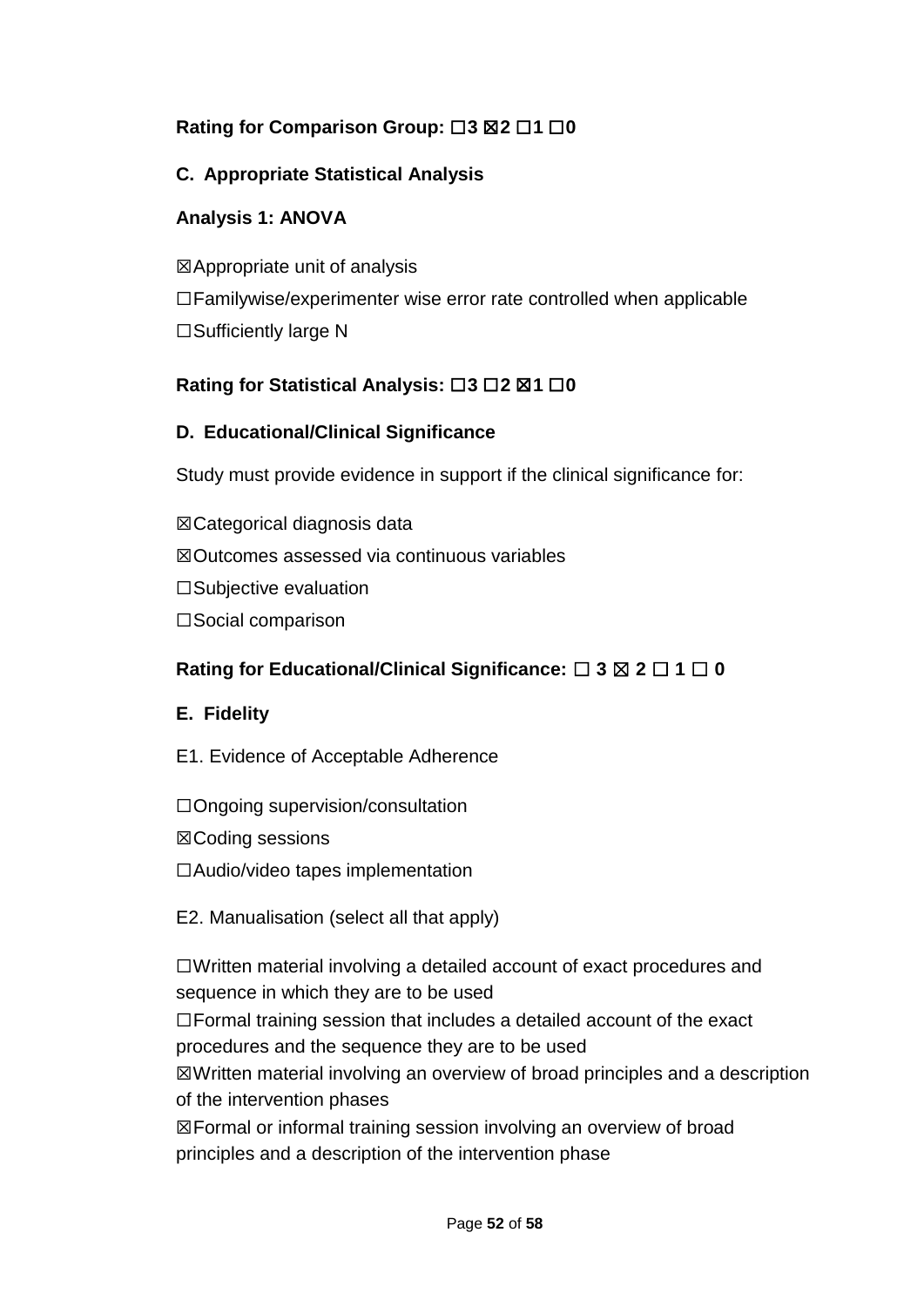# **Rating for Comparison Group:** ☐**3** ☒**2** ☐**1** ☐**0**

# **C. Appropriate Statistical Analysis**

## **Analysis 1: ANOVA**

☒Appropriate unit of analysis ☐Familywise/experimenter wise error rate controlled when applicable ☐Sufficiently large N

## **Rating for Statistical Analysis:** ☐**3** ☐**2** ☒**1** ☐**0**

### **D. Educational/Clinical Significance**

Study must provide evidence in support if the clinical significance for:

☒Categorical diagnosis data ☒Outcomes assessed via continuous variables ☐Subjective evaluation ☐Social comparison

## **Rating for Educational/Clinical Significance:** ☐ **3** ☒ **2** ☐ **1** ☐ **0**

## **E. Fidelity**

- E1. Evidence of Acceptable Adherence
- ☐Ongoing supervision/consultation
- ☒Coding sessions
- ☐Audio/video tapes implementation
- E2. Manualisation (select all that apply)

☐Written material involving a detailed account of exact procedures and sequence in which they are to be used

☐Formal training session that includes a detailed account of the exact procedures and the sequence they are to be used

☒Written material involving an overview of broad principles and a description of the intervention phases

☒Formal or informal training session involving an overview of broad principles and a description of the intervention phase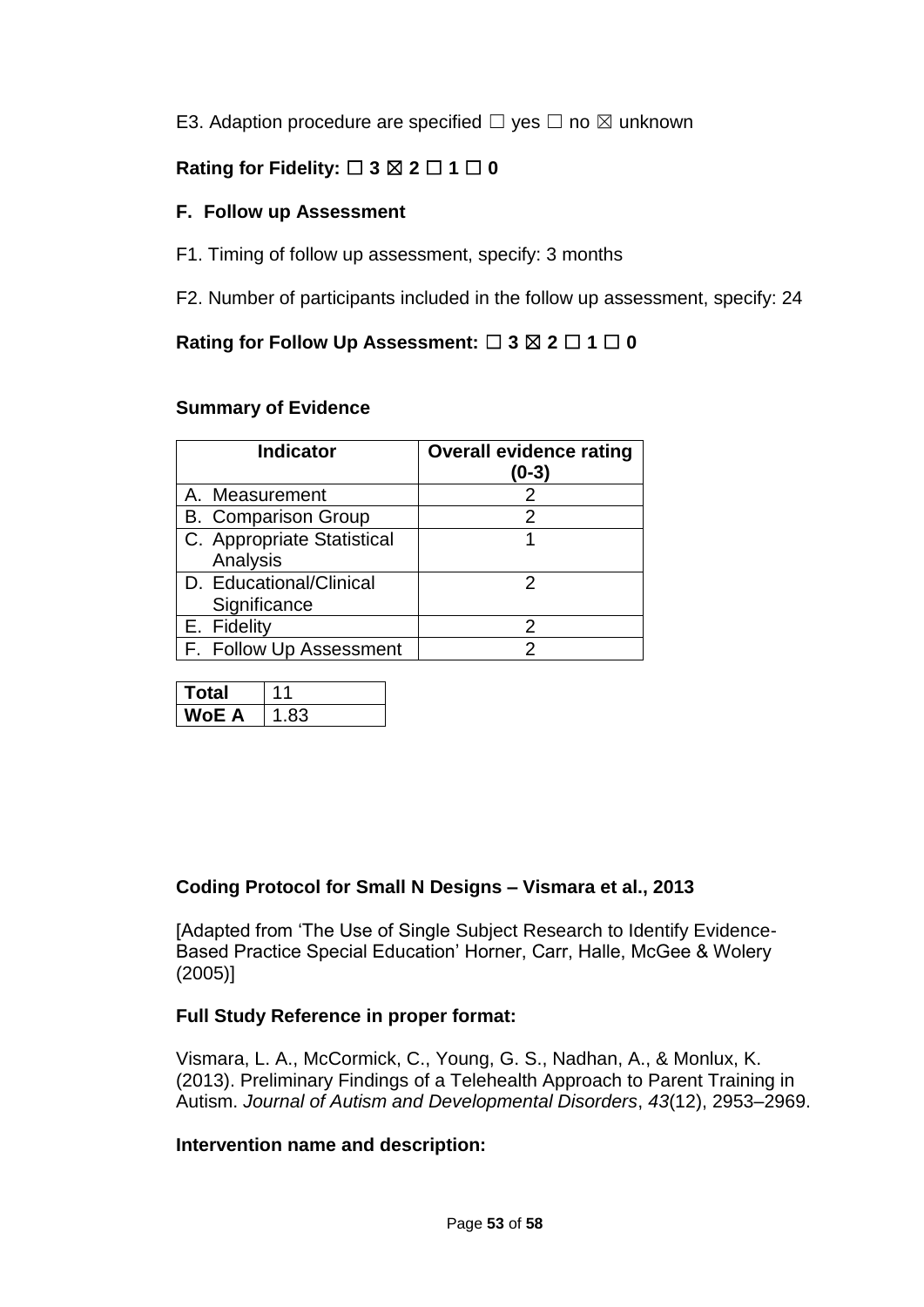E3. Adaption procedure are specified  $\Box$  yes  $\Box$  no  $\boxtimes$  unknown

# **Rating for Fidelity:** ☐ **3** ☒ **2** ☐ **1** ☐ **0**

## **F. Follow up Assessment**

- F1. Timing of follow up assessment, specify: 3 months
- F2. Number of participants included in the follow up assessment, specify: 24

# **Rating for Follow Up Assessment:** ☐ **3** ☒ **2** ☐ **1** ☐ **0**

### **Summary of Evidence**

| <b>Indicator</b>                        | <b>Overall evidence rating</b><br>(0-3) |
|-----------------------------------------|-----------------------------------------|
| A. Measurement                          |                                         |
| <b>B.</b> Comparison Group              | 2                                       |
| C. Appropriate Statistical<br>Analysis  |                                         |
| D. Educational/Clinical<br>Significance | 2                                       |
| E. Fidelity                             | 2                                       |
| F. Follow Up Assessment                 |                                         |

| <b>Total</b> |     |
|--------------|-----|
| WoE A        | .83 |

## **Coding Protocol for Small N Designs – Vismara et al., 2013**

[Adapted from 'The Use of Single Subject Research to Identify Evidence-Based Practice Special Education' Horner, Carr, Halle, McGee & Wolery (2005)]

## **Full Study Reference in proper format:**

Vismara, L. A., McCormick, C., Young, G. S., Nadhan, A., & Monlux, K. (2013). Preliminary Findings of a Telehealth Approach to Parent Training in Autism. *Journal of Autism and Developmental Disorders*, *43*(12), 2953–2969.

### **Intervention name and description:**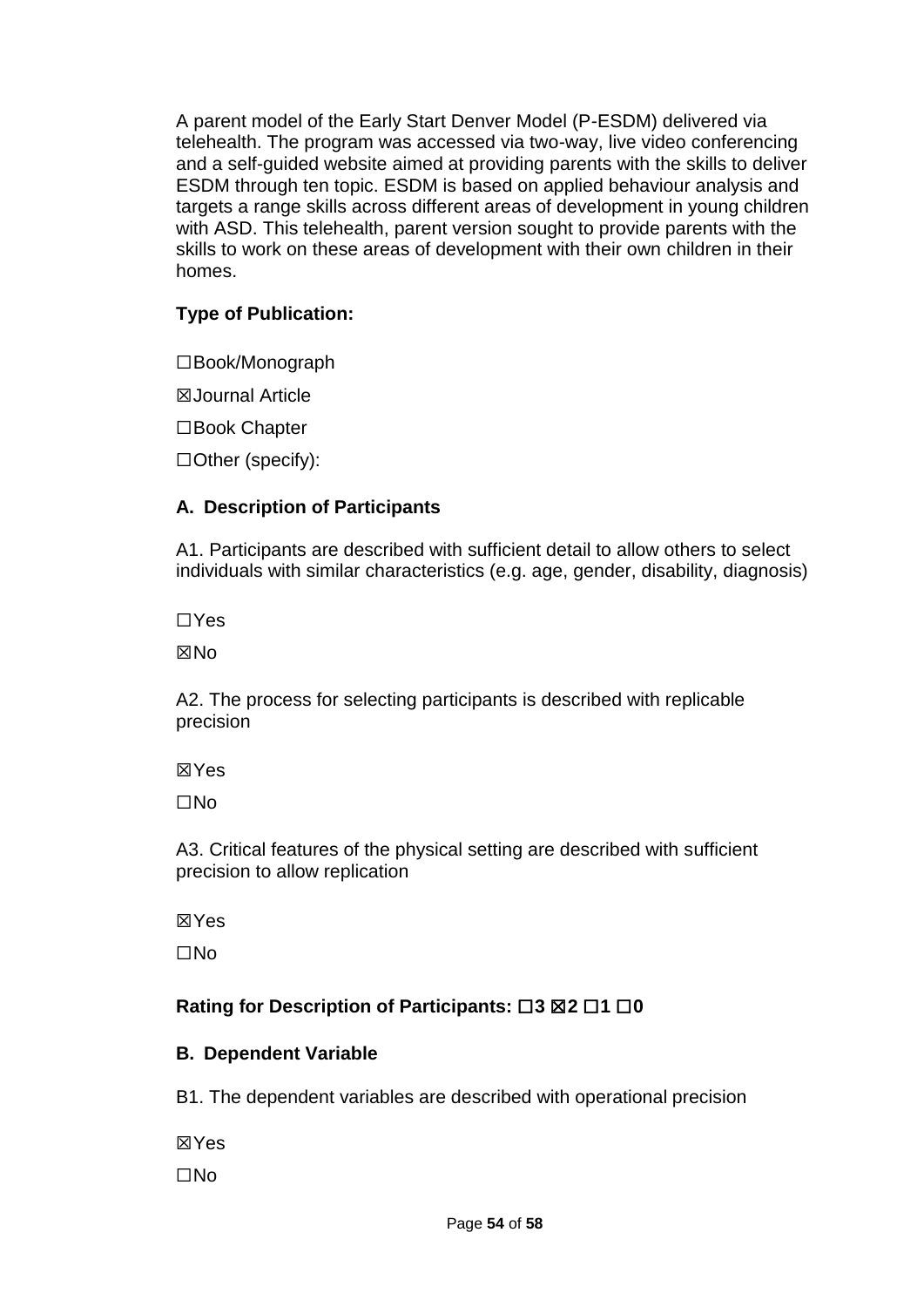A parent model of the Early Start Denver Model (P-ESDM) delivered via telehealth. The program was accessed via two-way, live video conferencing and a self-guided website aimed at providing parents with the skills to deliver ESDM through ten topic. ESDM is based on applied behaviour analysis and targets a range skills across different areas of development in young children with ASD. This telehealth, parent version sought to provide parents with the skills to work on these areas of development with their own children in their homes.

## **Type of Publication:**

☐Book/Monograph

☒Journal Article

☐Book Chapter

☐Other (specify):

## **A. Description of Participants**

A1. Participants are described with sufficient detail to allow others to select individuals with similar characteristics (e.g. age, gender, disability, diagnosis)

☐Yes

**XX**No

A2. The process for selecting participants is described with replicable precision

☒Yes

☐No

A3. Critical features of the physical setting are described with sufficient precision to allow replication

☒Yes

☐No

# **Rating for Description of Participants:** ☐**3** ☒**2** ☐**1** ☐**0**

## **B. Dependent Variable**

B1. The dependent variables are described with operational precision

☒Yes ☐No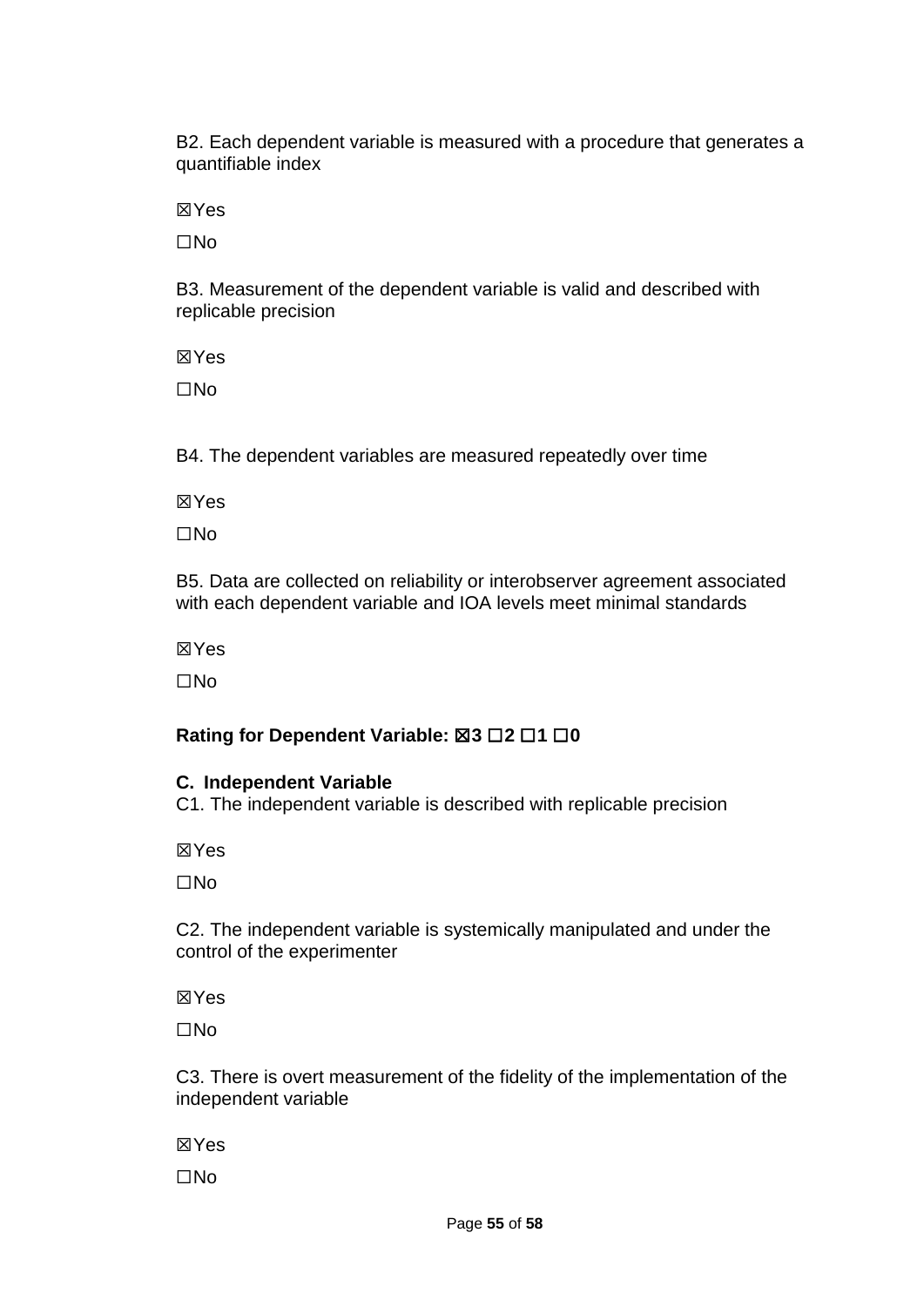B2. Each dependent variable is measured with a procedure that generates a quantifiable index

☒Yes

☐No

B3. Measurement of the dependent variable is valid and described with replicable precision

☒Yes

☐No

B4. The dependent variables are measured repeatedly over time

☒Yes

☐No

B5. Data are collected on reliability or interobserver agreement associated with each dependent variable and IOA levels meet minimal standards

☒Yes

☐No

# **Rating for Dependent Variable:** ☒**3** ☐**2** ☐**1** ☐**0**

## **C. Independent Variable**

C1. The independent variable is described with replicable precision

☒Yes

☐No

C2. The independent variable is systemically manipulated and under the control of the experimenter

☒Yes

☐No

C3. There is overt measurement of the fidelity of the implementation of the independent variable

☒Yes

☐No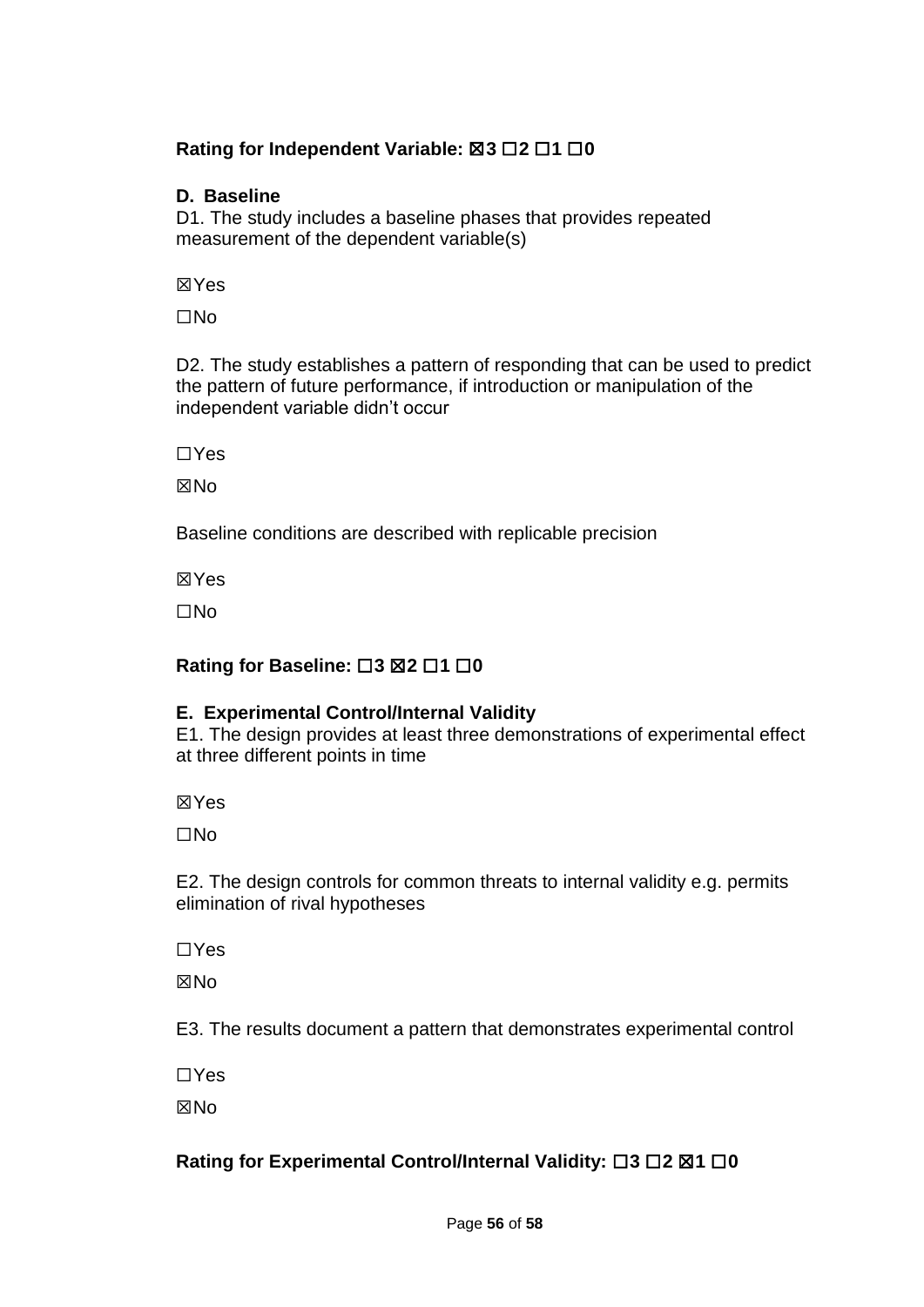## **Rating for Independent Variable:** ☒**3** ☐**2** ☐**1** ☐**0**

### **D. Baseline**

D1. The study includes a baseline phases that provides repeated measurement of the dependent variable(s)

☒Yes

☐No

D2. The study establishes a pattern of responding that can be used to predict the pattern of future performance, if introduction or manipulation of the independent variable didn't occur

☐Yes

**XNo** 

Baseline conditions are described with replicable precision

☒Yes

☐No

# **Rating for Baseline:** ☐**3** ☒**2** ☐**1** ☐**0**

## **E. Experimental Control/Internal Validity**

E1. The design provides at least three demonstrations of experimental effect at three different points in time

☒Yes

☐No

E2. The design controls for common threats to internal validity e.g. permits elimination of rival hypotheses

☐Yes

**XXNo** 

E3. The results document a pattern that demonstrates experimental control

☐Yes

**XNo** 

# **Rating for Experimental Control/Internal Validity:** ☐**3** ☐**2** ☒**1** ☐**0**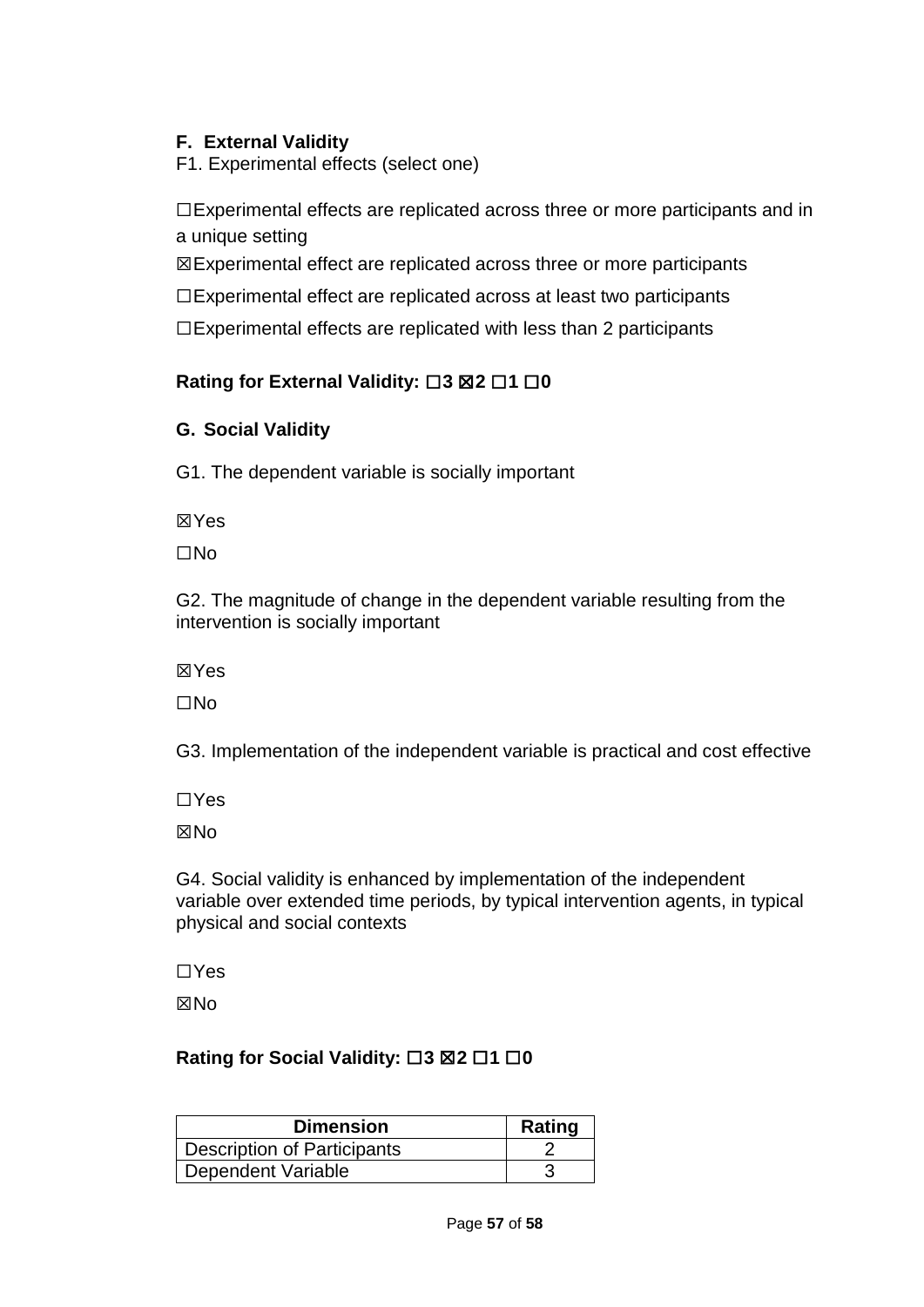# **F. External Validity**

F1. Experimental effects (select one)

☐Experimental effects are replicated across three or more participants and in a unique setting

☒Experimental effect are replicated across three or more participants

☐Experimental effect are replicated across at least two participants

☐Experimental effects are replicated with less than 2 participants

## **Rating for External Validity:** ☐**3** ☒**2** ☐**1** ☐**0**

## **G. Social Validity**

G1. The dependent variable is socially important

☒Yes

☐No

G2. The magnitude of change in the dependent variable resulting from the intervention is socially important

☒Yes

☐No

G3. Implementation of the independent variable is practical and cost effective

☐Yes

☒No

G4. Social validity is enhanced by implementation of the independent variable over extended time periods, by typical intervention agents, in typical physical and social contexts

☐Yes

**XXNo** 

## **Rating for Social Validity:** ☐**3** ☒**2** ☐**1** ☐**0**

| <b>Dimension</b>            | <b>Rating</b> |
|-----------------------------|---------------|
| Description of Participants |               |
| Dependent Variable          |               |